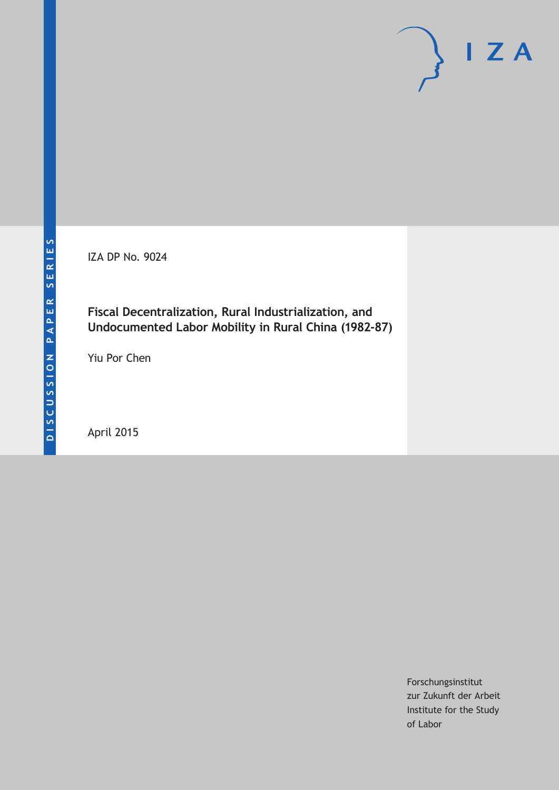IZA DP No. 9024

### **Fiscal Decentralization, Rural Industrialization, and Undocumented Labor Mobility in Rural China (1982-87)**

Yiu Por Chen

April 2015

Forschungsinstitut zur Zukunft der Arbeit Institute for the Study of Labor

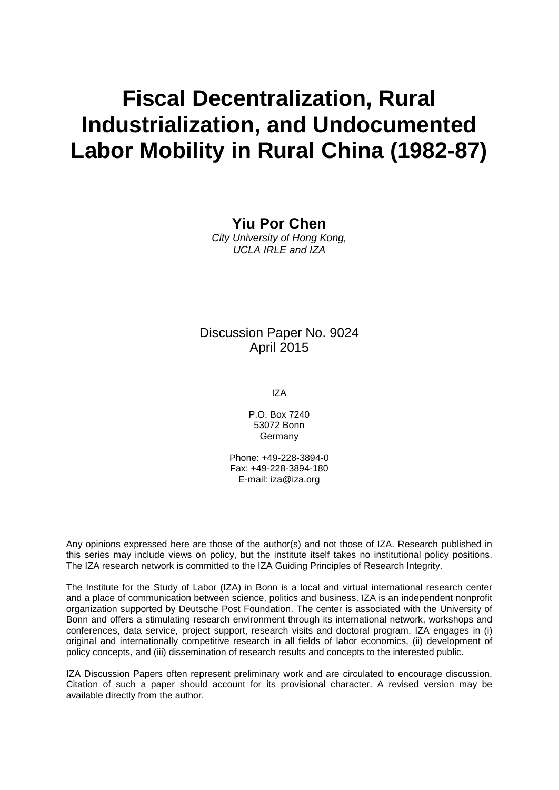# **Fiscal Decentralization, Rural Industrialization, and Undocumented Labor Mobility in Rural China (1982-87)**

**Yiu Por Chen**

*City University of Hong Kong, UCLA IRLE and IZA*

### Discussion Paper No. 9024 April 2015

IZA

P.O. Box 7240 53072 Bonn **Germany** 

Phone: +49-228-3894-0 Fax: +49-228-3894-180 E-mail: iza@iza.org

Any opinions expressed here are those of the author(s) and not those of IZA. Research published in this series may include views on policy, but the institute itself takes no institutional policy positions. The IZA research network is committed to the IZA Guiding Principles of Research Integrity.

The Institute for the Study of Labor (IZA) in Bonn is a local and virtual international research center and a place of communication between science, politics and business. IZA is an independent nonprofit organization supported by Deutsche Post Foundation. The center is associated with the University of Bonn and offers a stimulating research environment through its international network, workshops and conferences, data service, project support, research visits and doctoral program. IZA engages in (i) original and internationally competitive research in all fields of labor economics, (ii) development of policy concepts, and (iii) dissemination of research results and concepts to the interested public.

IZA Discussion Papers often represent preliminary work and are circulated to encourage discussion. Citation of such a paper should account for its provisional character. A revised version may be available directly from the author.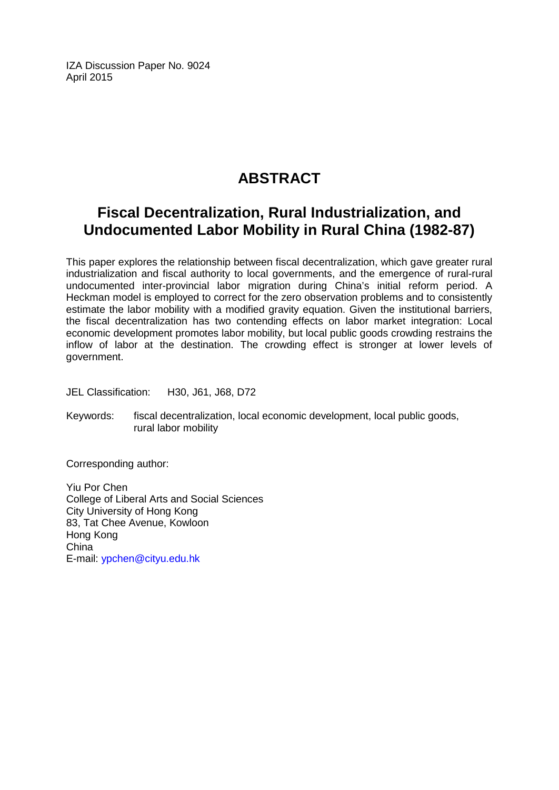IZA Discussion Paper No. 9024 April 2015

## **ABSTRACT**

# **Fiscal Decentralization, Rural Industrialization, and Undocumented Labor Mobility in Rural China (1982-87)**

This paper explores the relationship between fiscal decentralization, which gave greater rural industrialization and fiscal authority to local governments, and the emergence of rural-rural undocumented inter-provincial labor migration during China's initial reform period. A Heckman model is employed to correct for the zero observation problems and to consistently estimate the labor mobility with a modified gravity equation. Given the institutional barriers, the fiscal decentralization has two contending effects on labor market integration: Local economic development promotes labor mobility, but local public goods crowding restrains the inflow of labor at the destination. The crowding effect is stronger at lower levels of government.

JEL Classification: H30, J61, J68, D72

Keywords: fiscal decentralization, local economic development, local public goods, rural labor mobility

Corresponding author:

Yiu Por Chen College of Liberal Arts and Social Sciences City University of Hong Kong 83, Tat Chee Avenue, Kowloon Hong Kong China E-mail: [ypchen@cityu.edu.hk](mailto:ypchen@cityu.edu.hk)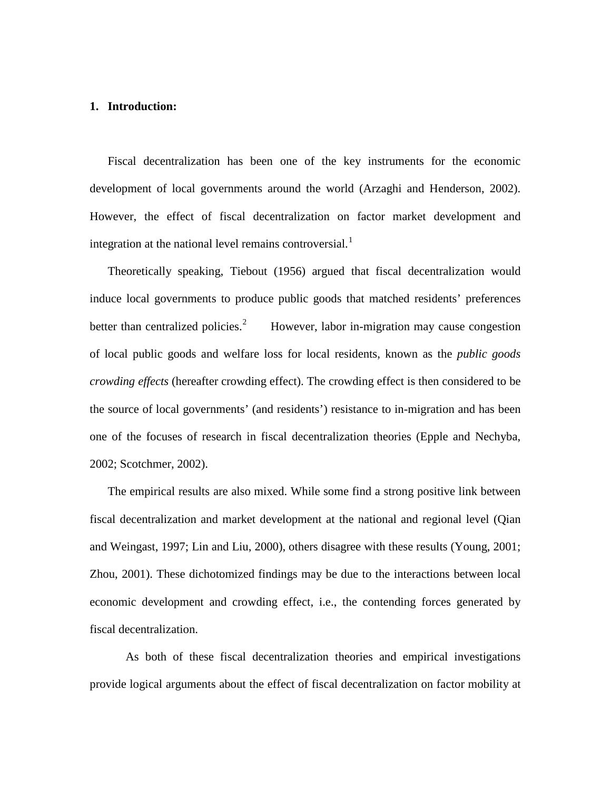#### **1. Introduction:**

Fiscal decentralization has been one of the key instruments for the economic development of local governments around the world (Arzaghi and Henderson, 2002). However, the effect of fiscal decentralization on factor market development and integration at the national level remains controversial.<sup>[1](#page-62-0)</sup>

Theoretically speaking, Tiebout (1956) argued that fiscal decentralization would induce local governments to produce public goods that matched residents' preferences better than centralized policies.<sup>[2](#page-62-1)</sup> However, labor in-migration may cause congestion of local public goods and welfare loss for local residents, known as the *public goods crowding effects* (hereafter crowding effect). The crowding effect is then considered to be the source of local governments' (and residents') resistance to in-migration and has been one of the focuses of research in fiscal decentralization theories (Epple and Nechyba, 2002; Scotchmer, 2002).

The empirical results are also mixed. While some find a strong positive link between fiscal decentralization and market development at the national and regional level (Qian and Weingast, 1997; Lin and Liu, 2000), others disagree with these results (Young, 2001; Zhou, 2001). These dichotomized findings may be due to the interactions between local economic development and crowding effect, i.e., the contending forces generated by fiscal decentralization.

As both of these fiscal decentralization theories and empirical investigations provide logical arguments about the effect of fiscal decentralization on factor mobility at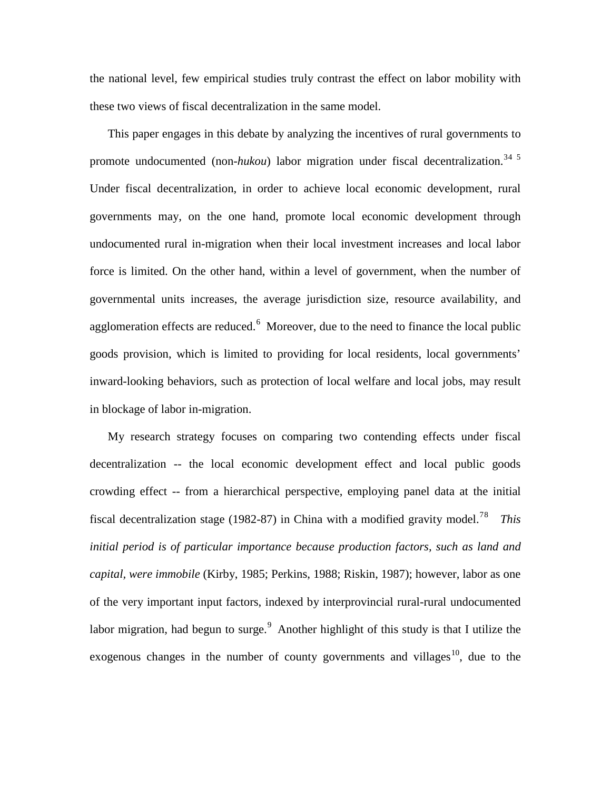the national level, few empirical studies truly contrast the effect on labor mobility with these two views of fiscal decentralization in the same model.

This paper engages in this debate by analyzing the incentives of rural governments to promote undocumented (non-*hukou*) labor migration under fiscal decentralization.<sup>[3](#page-62-2)[4](#page-63-0) [5](#page-63-1)</sup> Under fiscal decentralization, in order to achieve local economic development, rural governments may, on the one hand, promote local economic development through undocumented rural in-migration when their local investment increases and local labor force is limited. On the other hand, within a level of government, when the number of governmental units increases, the average jurisdiction size, resource availability, and agglomeration effects are reduced.<sup>[6](#page-63-2)</sup> Moreover, due to the need to finance the local public goods provision, which is limited to providing for local residents, local governments' inward-looking behaviors, such as protection of local welfare and local jobs, may result in blockage of labor in-migration.

My research strategy focuses on comparing two contending effects under fiscal decentralization -- the local economic development effect and local public goods crowding effect -- from a hierarchical perspective, employing panel data at the initial fiscal decentralization stage (1982-8[7](#page-63-3)) in China with a modified gravity model.<sup>7[8](#page-63-4)</sup> This *initial period is of particular importance because production factors, such as land and capital, were immobile* (Kirby, 1985; Perkins, 1988; Riskin, 1987); however, labor as one of the very important input factors, indexed by interprovincial rural-rural undocumented labor migration, had begun to surge.<sup>[9](#page-63-5)</sup> Another highlight of this study is that I utilize the exogenous changes in the number of county governments and villages<sup>10</sup>, due to the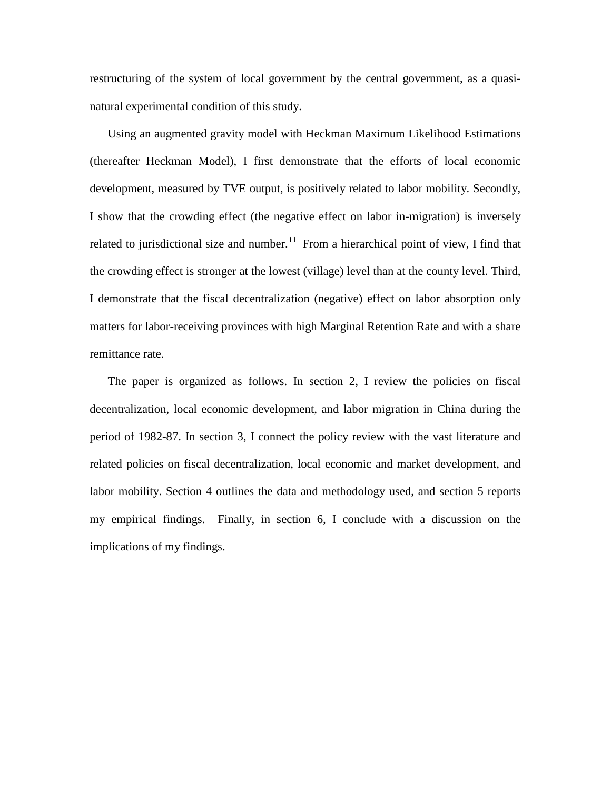restructuring of the system of local government by the central government, as a quasinatural experimental condition of this study.

Using an augmented gravity model with Heckman Maximum Likelihood Estimations (thereafter Heckman Model), I first demonstrate that the efforts of local economic development, measured by TVE output, is positively related to labor mobility. Secondly, I show that the crowding effect (the negative effect on labor in-migration) is inversely related to jurisdictional size and number.<sup>[11](#page-64-1)</sup> From a hierarchical point of view, I find that the crowding effect is stronger at the lowest (village) level than at the county level. Third, I demonstrate that the fiscal decentralization (negative) effect on labor absorption only matters for labor-receiving provinces with high Marginal Retention Rate and with a share remittance rate.

The paper is organized as follows. In section 2, I review the policies on fiscal decentralization, local economic development, and labor migration in China during the period of 1982-87. In section 3, I connect the policy review with the vast literature and related policies on fiscal decentralization, local economic and market development, and labor mobility. Section 4 outlines the data and methodology used, and section 5 reports my empirical findings. Finally, in section 6, I conclude with a discussion on the implications of my findings.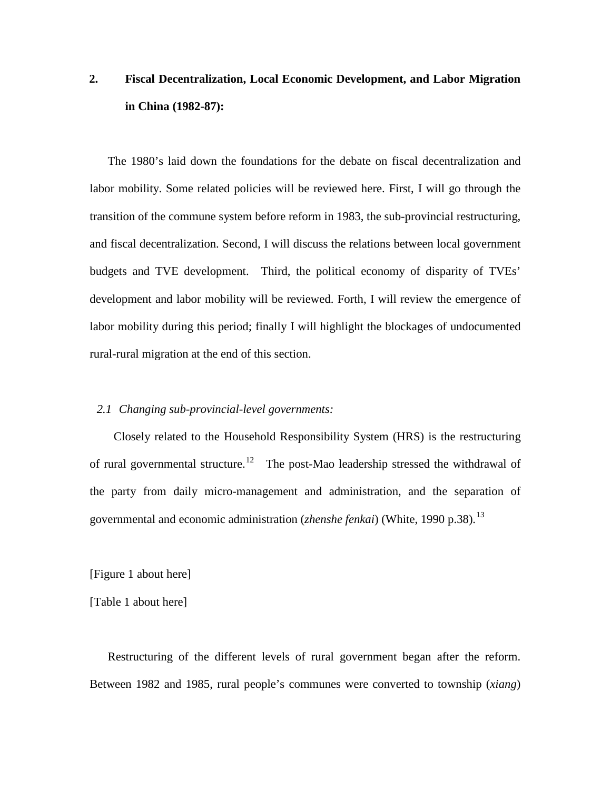# **2. Fiscal Decentralization, Local Economic Development, and Labor Migration in China (1982-87):**

The 1980's laid down the foundations for the debate on fiscal decentralization and labor mobility. Some related policies will be reviewed here. First, I will go through the transition of the commune system before reform in 1983, the sub-provincial restructuring, and fiscal decentralization. Second, I will discuss the relations between local government budgets and TVE development. Third, the political economy of disparity of TVEs' development and labor mobility will be reviewed. Forth, I will review the emergence of labor mobility during this period; finally I will highlight the blockages of undocumented rural-rural migration at the end of this section.

#### *2.1 Changing sub-provincial-level governments:*

 Closely related to the Household Responsibility System (HRS) is the restructuring of rural governmental structure.<sup>12</sup> The post-Mao leadership stressed the withdrawal of the party from daily micro-management and administration, and the separation of governmental and economic administration (*zhenshe fenkai*) (White, 1990 p.38).<sup>[13](#page-64-3)</sup>

[Figure 1 about here]

[Table 1 about here]

Restructuring of the different levels of rural government began after the reform. Between 1982 and 1985, rural people's communes were converted to township (*xiang*)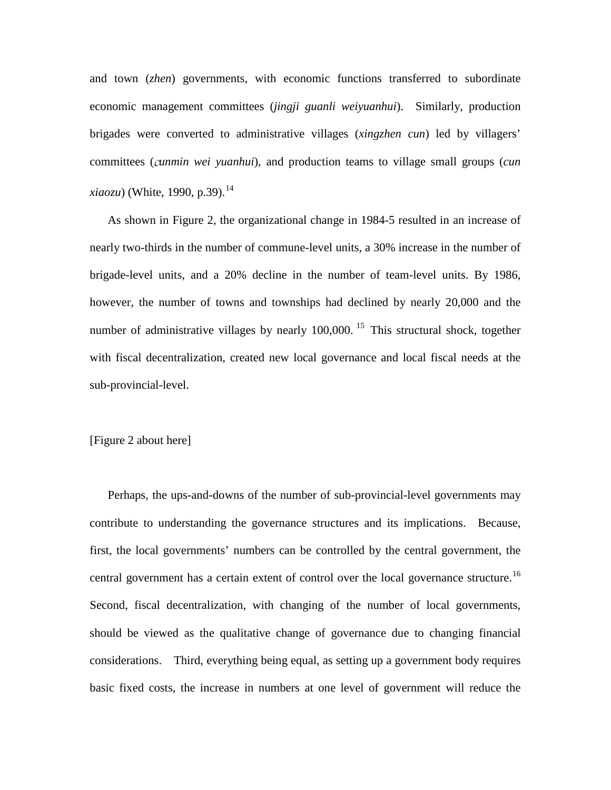and town (*zhen*) governments, with economic functions transferred to subordinate economic management committees (*jingji guanli weiyuanhui*). Similarly, production brigades were converted to administrative villages (*xingzhen cun*) led by villagers' committees (c*unmin wei yuanhui*), and production teams to village small groups (*cun xiaozu*) (White, 1990, p.39).<sup>[14](#page-64-4)</sup>

As shown in Figure 2, the organizational change in 1984-5 resulted in an increase of nearly two-thirds in the number of commune-level units, a 30% increase in the number of brigade-level units, and a 20% decline in the number of team-level units. By 1986, however, the number of towns and townships had declined by nearly 20,000 and the number of administrative villages by nearly  $100,000$ . <sup>[15](#page-64-5)</sup> This structural shock, together with fiscal decentralization, created new local governance and local fiscal needs at the sub-provincial-level.

#### [Figure 2 about here]

Perhaps, the ups-and-downs of the number of sub-provincial-level governments may contribute to understanding the governance structures and its implications. Because, first, the local governments' numbers can be controlled by the central government, the central government has a certain extent of control over the local governance structure.<sup>[16](#page-64-6)</sup> Second, fiscal decentralization, with changing of the number of local governments, should be viewed as the qualitative change of governance due to changing financial considerations. Third, everything being equal, as setting up a government body requires basic fixed costs, the increase in numbers at one level of government will reduce the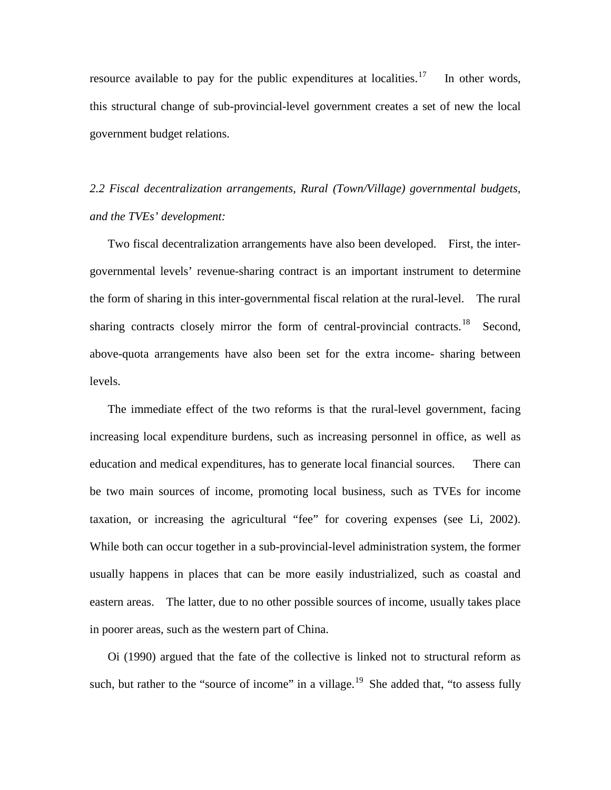resource available to pay for the public expenditures at localities.<sup>17</sup> In other words, this structural change of sub-provincial-level government creates a set of new the local government budget relations.

*2.2 Fiscal decentralization arrangements, Rural (Town/Village) governmental budgets, and the TVEs' development:*

Two fiscal decentralization arrangements have also been developed. First, the intergovernmental levels' revenue-sharing contract is an important instrument to determine the form of sharing in this inter-governmental fiscal relation at the rural-level. The rural sharing contracts closely mirror the form of central-provincial contracts.<sup>[18](#page-64-8)</sup> Second, above-quota arrangements have also been set for the extra income- sharing between levels.

The immediate effect of the two reforms is that the rural-level government, facing increasing local expenditure burdens, such as increasing personnel in office, as well as education and medical expenditures, has to generate local financial sources. There can be two main sources of income, promoting local business, such as TVEs for income taxation, or increasing the agricultural "fee" for covering expenses (see Li, 2002). While both can occur together in a sub-provincial-level administration system, the former usually happens in places that can be more easily industrialized, such as coastal and eastern areas. The latter, due to no other possible sources of income, usually takes place in poorer areas, such as the western part of China.

Oi (1990) argued that the fate of the collective is linked not to structural reform as such, but rather to the "source of income" in a village.<sup>[19](#page-64-9)</sup> She added that, "to assess fully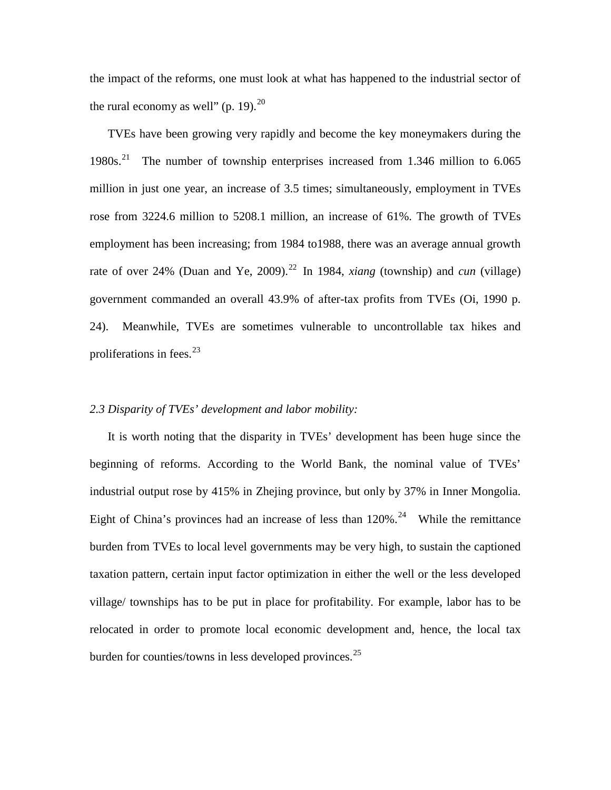the impact of the reforms, one must look at what has happened to the industrial sector of the rural economy as well" (p. 19). $^{20}$  $^{20}$  $^{20}$ 

TVEs have been growing very rapidly and become the key moneymakers during the 1980s. [21](#page-64-11) The number of township enterprises increased from 1.346 million to 6.065 million in just one year, an increase of 3.5 times; simultaneously, employment in TVEs rose from 3224.6 million to 5208.1 million, an increase of 61%. The growth of TVEs employment has been increasing; from 1984 to1988, there was an average annual growth rate of over 24% (Duan and Ye, 2009).<sup>[22](#page-64-12)</sup> In 1984, *xiang* (township) and *cun* (village) government commanded an overall 43.9% of after-tax profits from TVEs (Oi, 1990 p. 24). Meanwhile, TVEs are sometimes vulnerable to uncontrollable tax hikes and proliferations in fees.  $23$ 

#### *2.3 Disparity of TVEs' development and labor mobility:*

It is worth noting that the disparity in TVEs' development has been huge since the beginning of reforms. According to the World Bank, the nominal value of TVEs' industrial output rose by 415% in Zhejing province, but only by 37% in Inner Mongolia. Eight of China's provinces had an increase of less than  $120\%$ .<sup>[24](#page-65-0)</sup> While the remittance burden from TVEs to local level governments may be very high, to sustain the captioned taxation pattern, certain input factor optimization in either the well or the less developed village/ townships has to be put in place for profitability. For example, labor has to be relocated in order to promote local economic development and, hence, the local tax burden for counties/towns in less developed provinces.<sup>[25](#page-65-1)</sup>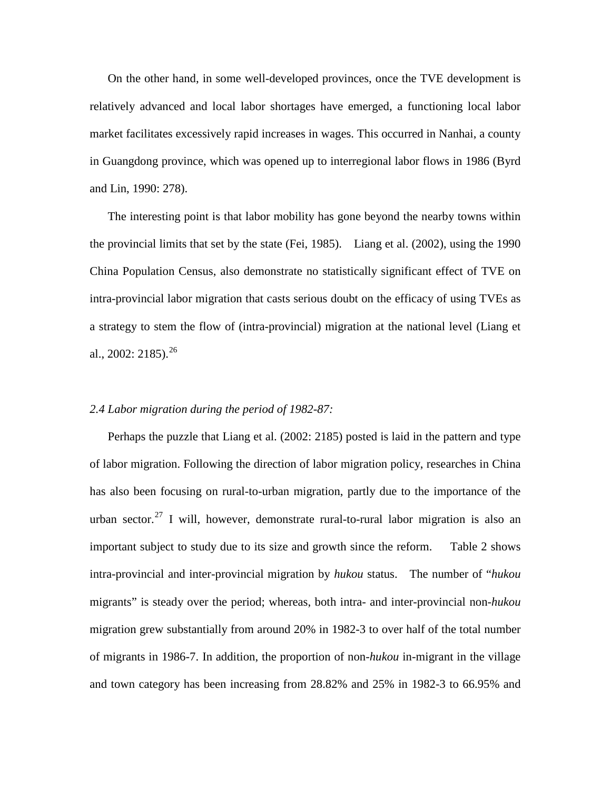On the other hand, in some well-developed provinces, once the TVE development is relatively advanced and local labor shortages have emerged, a functioning local labor market facilitates excessively rapid increases in wages. This occurred in Nanhai, a county in Guangdong province, which was opened up to interregional labor flows in 1986 (Byrd and Lin, 1990: 278).

The interesting point is that labor mobility has gone beyond the nearby towns within the provincial limits that set by the state (Fei, 1985). Liang et al. (2002), using the 1990 China Population Census, also demonstrate no statistically significant effect of TVE on intra-provincial labor migration that casts serious doubt on the efficacy of using TVEs as a strategy to stem the flow of (intra-provincial) migration at the national level (Liang et al., 2002: 2185).<sup>26</sup>

#### *2.4 Labor migration during the period of 1982-87:*

Perhaps the puzzle that Liang et al. (2002: 2185) posted is laid in the pattern and type of labor migration. Following the direction of labor migration policy, researches in China has also been focusing on rural-to-urban migration, partly due to the importance of the urban sector.<sup>[27](#page-65-3)</sup> I will, however, demonstrate rural-to-rural labor migration is also an important subject to study due to its size and growth since the reform. Table 2 shows intra-provincial and inter-provincial migration by *hukou* status. The number of "*hukou*  migrants" is steady over the period; whereas, both intra- and inter-provincial non*-hukou* migration grew substantially from around 20% in 1982-3 to over half of the total number of migrants in 1986-7. In addition, the proportion of non*-hukou* in-migrant in the village and town category has been increasing from 28.82% and 25% in 1982-3 to 66.95% and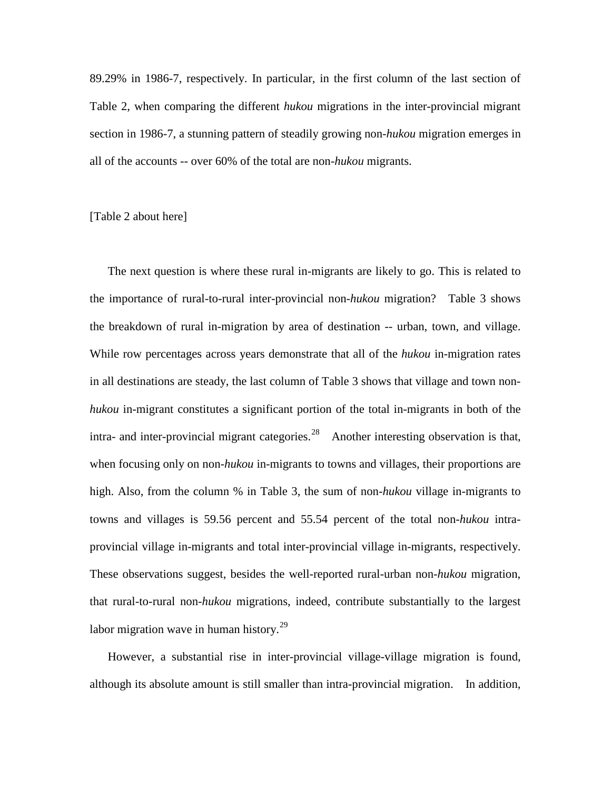89.29% in 1986-7, respectively. In particular, in the first column of the last section of Table 2, when comparing the different *hukou* migrations in the inter-provincial migrant section in 1986-7, a stunning pattern of steadily growing non*-hukou* migration emerges in all of the accounts -- over 60% of the total are non*-hukou* migrants.

[Table 2 about here]

The next question is where these rural in-migrants are likely to go. This is related to the importance of rural-to-rural inter-provincial non*-hukou* migration? Table 3 shows the breakdown of rural in-migration by area of destination -- urban, town, and village. While row percentages across years demonstrate that all of the *hukou* in-migration rates in all destinations are steady, the last column of Table 3 shows that village and town non*hukou* in-migrant constitutes a significant portion of the total in-migrants in both of the intra- and inter-provincial migrant categories.<sup>[28](#page-65-4)</sup> Another interesting observation is that, when focusing only on non-*hukou* in-migrants to towns and villages, their proportions are high. Also, from the column % in Table 3, the sum of non-*hukou* village in-migrants to towns and villages is 59.56 percent and 55.54 percent of the total non-*hukou* intraprovincial village in-migrants and total inter-provincial village in-migrants, respectively. These observations suggest, besides the well-reported rural-urban non*-hukou* migration, that rural-to-rural non*-hukou* migrations, indeed, contribute substantially to the largest labor migration wave in human history.<sup>29</sup>

However, a substantial rise in inter-provincial village-village migration is found, although its absolute amount is still smaller than intra-provincial migration. In addition,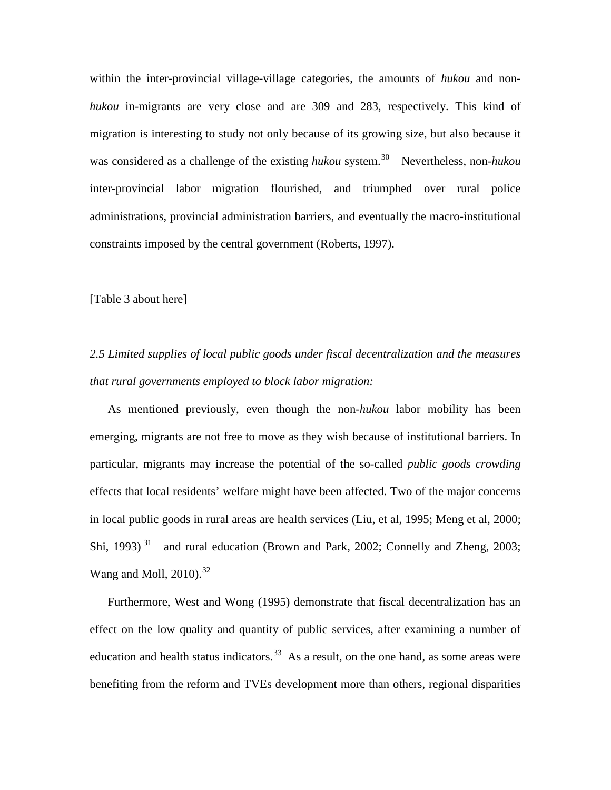within the inter-provincial village-village categories, the amounts of *hukou* and non*hukou* in-migrants are very close and are 309 and 283, respectively. This kind of migration is interesting to study not only because of its growing size, but also because it was considered as a challenge of the existing *hukou* system.<sup>[30](#page-65-6)</sup> Nevertheless, non-*hukou* inter-provincial labor migration flourished, and triumphed over rural police administrations, provincial administration barriers, and eventually the macro-institutional constraints imposed by the central government (Roberts, 1997).

[Table 3 about here]

*2.5 Limited supplies of local public goods under fiscal decentralization and the measures that rural governments employed to block labor migration:*

As mentioned previously, even though the non*-hukou* labor mobility has been emerging, migrants are not free to move as they wish because of institutional barriers. In particular, migrants may increase the potential of the so-called *public goods crowding* effects that local residents' welfare might have been affected. Two of the major concerns in local public goods in rural areas are health services (Liu, et al, 1995; Meng et al, 2000; Shi, 1993)<sup>[31](#page-65-7)</sup> and rural education (Brown and Park, 2002; Connelly and Zheng, 2003; Wang and Moll,  $2010$ ).<sup>[32](#page-65-8)</sup>

Furthermore, West and Wong (1995) demonstrate that fiscal decentralization has an effect on the low quality and quantity of public services, after examining a number of education and health status indicators.<sup>[33](#page-66-0)</sup> As a result, on the one hand, as some areas were benefiting from the reform and TVEs development more than others, regional disparities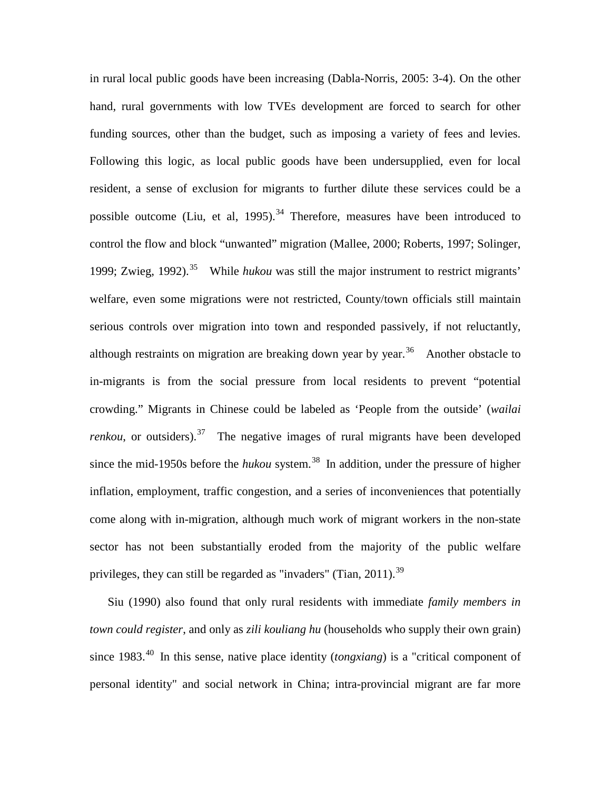in rural local public goods have been increasing (Dabla-Norris, 2005: 3-4). On the other hand, rural governments with low TVEs development are forced to search for other funding sources, other than the budget, such as imposing a variety of fees and levies. Following this logic, as local public goods have been undersupplied, even for local resident, a sense of exclusion for migrants to further dilute these services could be a possible outcome (Liu, et al, 1995).<sup>[34](#page-66-1)</sup> Therefore, measures have been introduced to control the flow and block "unwanted" migration (Mallee, 2000; Roberts, 1997; Solinger, 1999; Zwieg, 1992).<sup>[35](#page-66-2)</sup> While *hukou* was still the major instrument to restrict migrants' welfare, even some migrations were not restricted, County/town officials still maintain serious controls over migration into town and responded passively, if not reluctantly, although restraints on migration are breaking down year by year.<sup>[36](#page-66-3)</sup> Another obstacle to in-migrants is from the social pressure from local residents to prevent "potential crowding." Migrants in Chinese could be labeled as 'People from the outside' (*wailai renkou*, or outsiders).<sup>37</sup> The negative images of rural migrants have been developed since the mid-1950s before the *hukou* system. [38](#page-66-5) In addition, under the pressure of higher inflation, employment, traffic congestion, and a series of inconveniences that potentially come along with in-migration, although much work of migrant workers in the non-state sector has not been substantially eroded from the majority of the public welfare privileges, they can still be regarded as "invaders" (Tian,  $2011$ ).<sup>[39](#page-66-6)</sup>

 Siu (1990) also found that only rural residents with immediate *family members in town could register*, and only as *zili kouliang hu* (households who supply their own grain) since 1983<sup>[40](#page-66-7)</sup> In this sense, native place identity *(tongxiang)* is a "critical component of personal identity" and social network in China; intra-provincial migrant are far more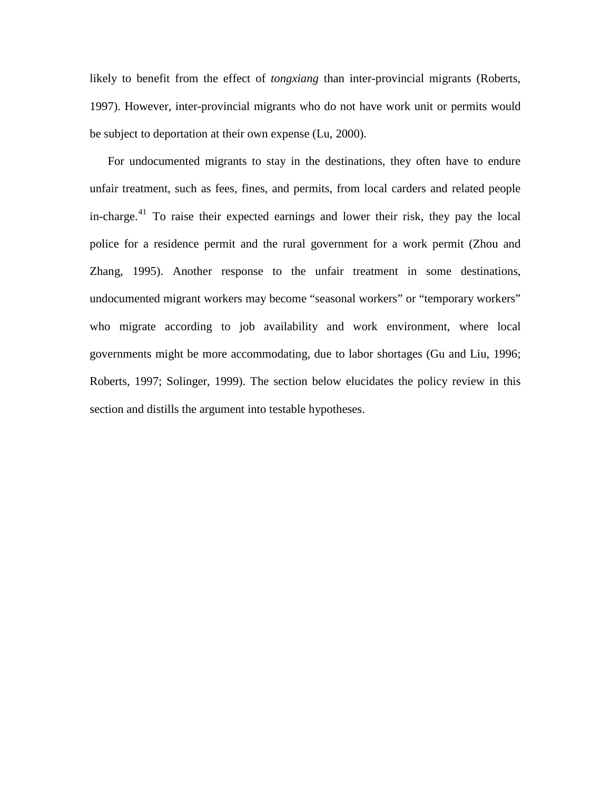likely to benefit from the effect of *tongxiang* than inter-provincial migrants (Roberts, 1997). However, inter-provincial migrants who do not have work unit or permits would be subject to deportation at their own expense (Lu, 2000).

 For undocumented migrants to stay in the destinations, they often have to endure unfair treatment, such as fees, fines, and permits, from local carders and related people in-charge.<sup>[41](#page-66-8)</sup> To raise their expected earnings and lower their risk, they pay the local police for a residence permit and the rural government for a work permit (Zhou and Zhang, 1995). Another response to the unfair treatment in some destinations, undocumented migrant workers may become "seasonal workers" or "temporary workers" who migrate according to job availability and work environment, where local governments might be more accommodating, due to labor shortages (Gu and Liu, 1996; Roberts, 1997; Solinger, 1999). The section below elucidates the policy review in this section and distills the argument into testable hypotheses.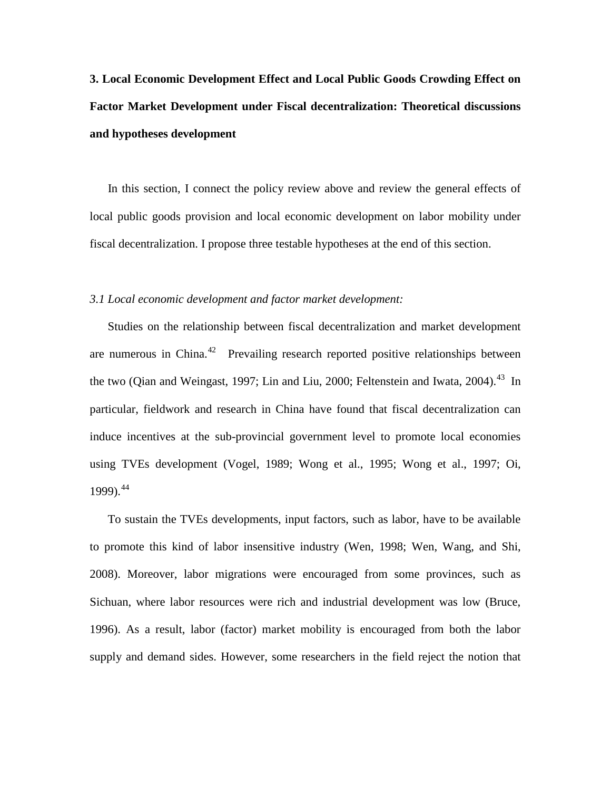# **3. Local Economic Development Effect and Local Public Goods Crowding Effect on Factor Market Development under Fiscal decentralization: Theoretical discussions and hypotheses development**

 In this section, I connect the policy review above and review the general effects of local public goods provision and local economic development on labor mobility under fiscal decentralization. I propose three testable hypotheses at the end of this section.

#### *3.1 Local economic development and factor market development:*

Studies on the relationship between fiscal decentralization and market development are numerous in China.<sup>42</sup> Prevailing research reported positive relationships between the two (Qian and Weingast, 1997; Lin and Liu, 2000; Feltenstein and Iwata, 2004).<sup>[43](#page-66-10)</sup> In particular, fieldwork and research in China have found that fiscal decentralization can induce incentives at the sub-provincial government level to promote local economies using TVEs development (Vogel, 1989; Wong et al., 1995; Wong et al., 1997; Oi, 1999).[44](#page-67-0) 

To sustain the TVEs developments, input factors, such as labor, have to be available to promote this kind of labor insensitive industry (Wen, 1998; Wen, Wang, and Shi, 2008). Moreover, labor migrations were encouraged from some provinces, such as Sichuan, where labor resources were rich and industrial development was low (Bruce, 1996). As a result, labor (factor) market mobility is encouraged from both the labor supply and demand sides. However, some researchers in the field reject the notion that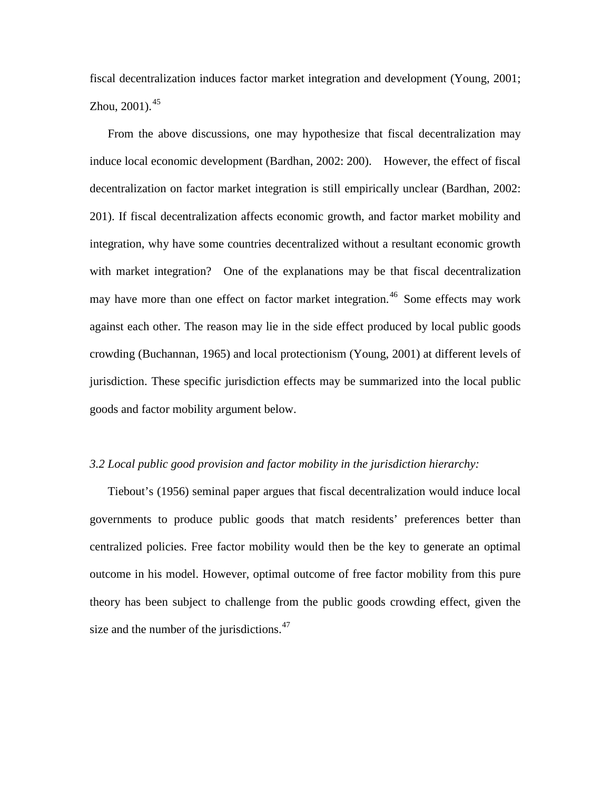fiscal decentralization induces factor market integration and development (Young, 2001; Zhou,  $2001$ ).<sup>[45](#page-67-1)</sup>

From the above discussions, one may hypothesize that fiscal decentralization may induce local economic development (Bardhan, 2002: 200). However, the effect of fiscal decentralization on factor market integration is still empirically unclear (Bardhan, 2002: 201). If fiscal decentralization affects economic growth, and factor market mobility and integration, why have some countries decentralized without a resultant economic growth with market integration? One of the explanations may be that fiscal decentralization may have more than one effect on factor market integration.<sup>[46](#page-67-2)</sup> Some effects may work against each other. The reason may lie in the side effect produced by local public goods crowding (Buchannan, 1965) and local protectionism (Young, 2001) at different levels of jurisdiction. These specific jurisdiction effects may be summarized into the local public goods and factor mobility argument below.

#### *3.2 Local public good provision and factor mobility in the jurisdiction hierarchy:*

Tiebout's (1956) seminal paper argues that fiscal decentralization would induce local governments to produce public goods that match residents' preferences better than centralized policies. Free factor mobility would then be the key to generate an optimal outcome in his model. However, optimal outcome of free factor mobility from this pure theory has been subject to challenge from the public goods crowding effect, given the size and the number of the jurisdictions. $47$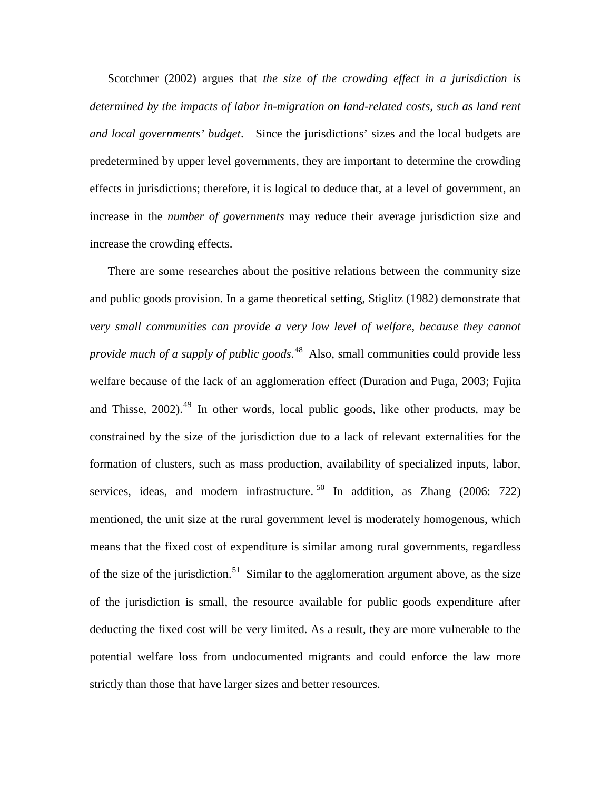Scotchmer (2002) argues that *the size of the crowding effect in a jurisdiction is determined by the impacts of labor in-migration on land-related costs, such as land rent and local governments' budget*. Since the jurisdictions' sizes and the local budgets are predetermined by upper level governments, they are important to determine the crowding effects in jurisdictions; therefore, it is logical to deduce that, at a level of government, an increase in the *number of governments* may reduce their average jurisdiction size and increase the crowding effects.

There are some researches about the positive relations between the community size and public goods provision. In a game theoretical setting, Stiglitz (1982) demonstrate that *very small communities can provide a very low level of welfare, because they cannot provide much of a supply of public goods*. [48](#page-67-4) Also, small communities could provide less welfare because of the lack of an agglomeration effect (Duration and Puga, 2003; Fujita and Thisse,  $2002$ ).<sup>[49](#page-67-5)</sup> In other words, local public goods, like other products, may be constrained by the size of the jurisdiction due to a lack of relevant externalities for the formation of clusters, such as mass production, availability of specialized inputs, labor, services, ideas, and modern infrastructure.  $50$  In addition, as Zhang (2006: 722) mentioned, the unit size at the rural government level is moderately homogenous, which means that the fixed cost of expenditure is similar among rural governments, regardless of the size of the jurisdiction.<sup>[51](#page-67-7)</sup> Similar to the agglomeration argument above, as the size of the jurisdiction is small, the resource available for public goods expenditure after deducting the fixed cost will be very limited. As a result, they are more vulnerable to the potential welfare loss from undocumented migrants and could enforce the law more strictly than those that have larger sizes and better resources.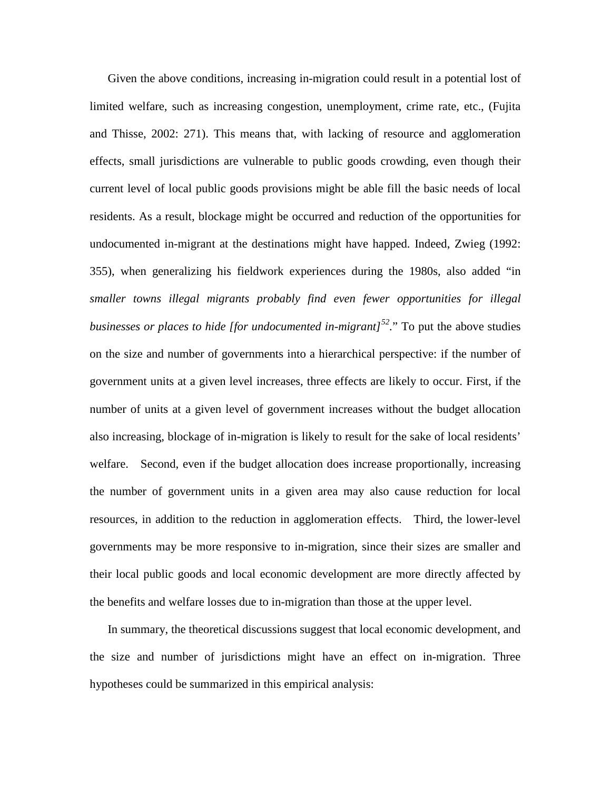Given the above conditions, increasing in-migration could result in a potential lost of limited welfare, such as increasing congestion, unemployment, crime rate, etc., (Fujita and Thisse, 2002: 271). This means that, with lacking of resource and agglomeration effects, small jurisdictions are vulnerable to public goods crowding, even though their current level of local public goods provisions might be able fill the basic needs of local residents. As a result, blockage might be occurred and reduction of the opportunities for undocumented in-migrant at the destinations might have happed. Indeed, Zwieg (1992: 355), when generalizing his fieldwork experiences during the 1980s, also added "in *smaller towns illegal migrants probably find even fewer opportunities for illegal businesses or places to hide [for undocumented in-migrant][52](#page-67-8).*" To put the above studies on the size and number of governments into a hierarchical perspective: if the number of government units at a given level increases, three effects are likely to occur. First, if the number of units at a given level of government increases without the budget allocation also increasing, blockage of in-migration is likely to result for the sake of local residents' welfare. Second, even if the budget allocation does increase proportionally, increasing the number of government units in a given area may also cause reduction for local resources, in addition to the reduction in agglomeration effects. Third, the lower-level governments may be more responsive to in-migration, since their sizes are smaller and their local public goods and local economic development are more directly affected by the benefits and welfare losses due to in-migration than those at the upper level.

In summary, the theoretical discussions suggest that local economic development, and the size and number of jurisdictions might have an effect on in-migration. Three hypotheses could be summarized in this empirical analysis: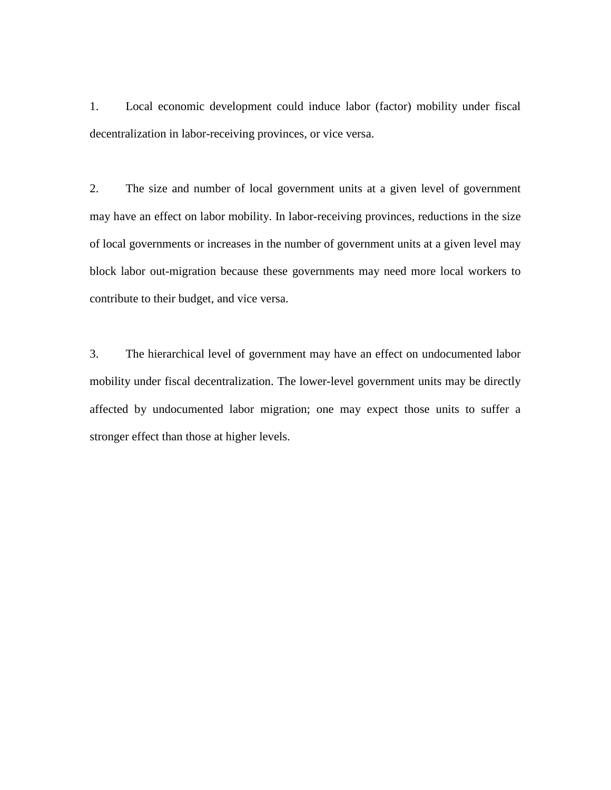1. Local economic development could induce labor (factor) mobility under fiscal decentralization in labor-receiving provinces, or vice versa.

2. The size and number of local government units at a given level of government may have an effect on labor mobility. In labor-receiving provinces, reductions in the size of local governments or increases in the number of government units at a given level may block labor out-migration because these governments may need more local workers to contribute to their budget, and vice versa.

3. The hierarchical level of government may have an effect on undocumented labor mobility under fiscal decentralization. The lower-level government units may be directly affected by undocumented labor migration; one may expect those units to suffer a stronger effect than those at higher levels.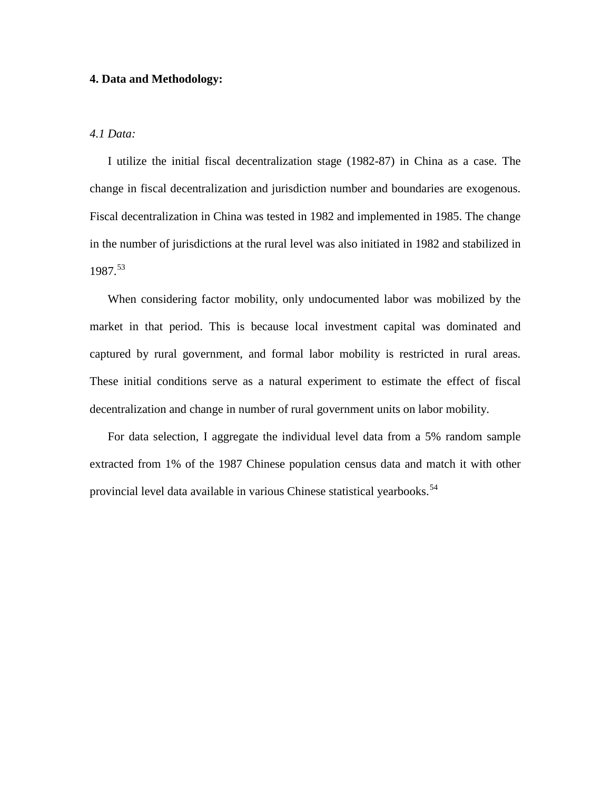#### **4. Data and Methodology:**

#### *4.1 Data:*

I utilize the initial fiscal decentralization stage (1982-87) in China as a case. The change in fiscal decentralization and jurisdiction number and boundaries are exogenous. Fiscal decentralization in China was tested in 1982 and implemented in 1985. The change in the number of jurisdictions at the rural level was also initiated in 1982 and stabilized in 1987. [53](#page-67-9) 

When considering factor mobility, only undocumented labor was mobilized by the market in that period. This is because local investment capital was dominated and captured by rural government, and formal labor mobility is restricted in rural areas. These initial conditions serve as a natural experiment to estimate the effect of fiscal decentralization and change in number of rural government units on labor mobility.

For data selection, I aggregate the individual level data from a 5% random sample extracted from 1% of the 1987 Chinese population census data and match it with other provincial level data available in various Chinese statistical yearbooks.<sup>[54](#page-67-10)</sup>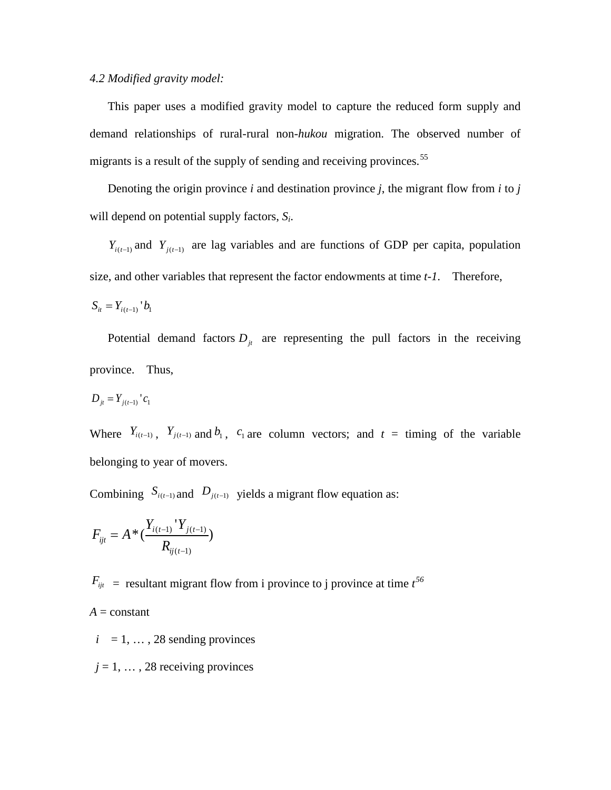#### *4.2 Modified gravity model:*

This paper uses a modified gravity model to capture the reduced form supply and demand relationships of rural-rural non*-hukou* migration. The observed number of migrants is a result of the supply of sending and receiving provinces.<sup>[55](#page-67-11)</sup>

Denoting the origin province *i* and destination province *j*, the migrant flow from *i* to *j* will depend on potential supply factors, *Si*.

 $Y_{i(t-1)}$  and  $Y_{i(t-1)}$  are lag variables and are functions of GDP per capita, population size, and other variables that represent the factor endowments at time *t-1*. Therefore,

$$
S_{it} = Y_{i(t-1)} \, b_1
$$

Potential demand factors  $D_{jt}$  are representing the pull factors in the receiving province. Thus,

$$
D_{jt} = Y_{j(t-1)} \,^{\prime} c_1
$$

Where  $Y_{i(t-1)}$ ,  $Y_{j(t-1)}$  and  $b_1$ ,  $c_1$  are column vectors; and  $t =$  timing of the variable belonging to year of movers.

Combining  $S_{i(t-1)}$  and  $D_{j(t-1)}$  yields a migrant flow equation as:

$$
F_{ijt} = A * (\frac{Y_{i(t-1)} \cdot Y_{j(t-1)}}{R_{ij(t-1)}})
$$

 $F_{ijt}$  = resultant migrant flow from i province to j province at time  $t^{56}$  $t^{56}$  $t^{56}$ 

 $A = constant$ 

 $i = 1, \ldots, 28$  sending provinces

 $j = 1, \ldots, 28$  receiving provinces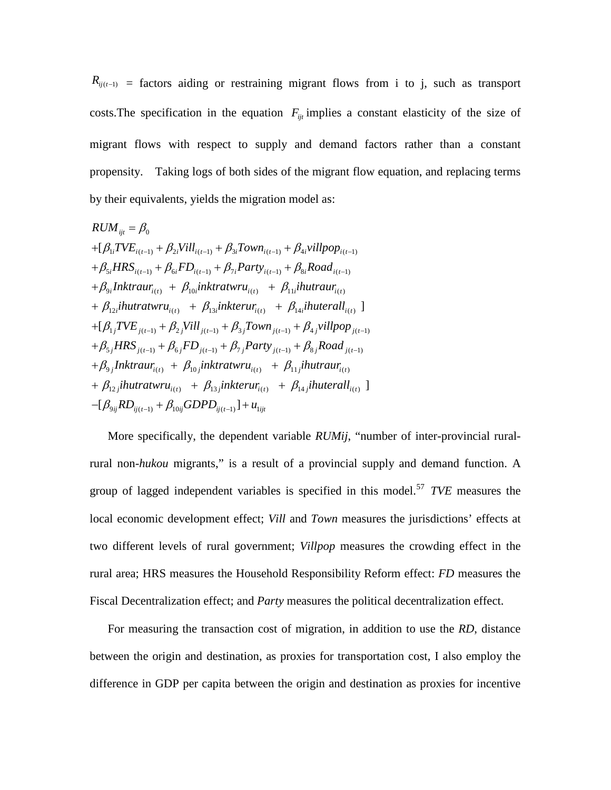$R_{ij(t-1)}$  = factors aiding or restraining migrant flows from i to j, such as transport costs. The specification in the equation  $F_{ijt}$  implies a constant elasticity of the size of migrant flows with respect to supply and demand factors rather than a constant propensity. Taking logs of both sides of the migrant flow equation, and replacing terms by their equivalents, yields the migration model as:

$$
RUM_{ijt} = \beta_0
$$
  
+ $[\beta_{1i}TVE_{i(t-1)} + \beta_{2i}Vill_{i(t-1)} + \beta_{3i}Town_{i(t-1)} + \beta_{4i}villpop_{i(t-1)}$   
+ $\beta_{5i}HRS_{i(t-1)} + \beta_{6i}FD_{i(t-1)} + \beta_{7i}Party_{i(t-1)} + \beta_{8i}Road_{i(t-1)}$   
+ $\beta_{9i}Inttraur_{i(t)} + \beta_{10i}inktratur_{i(t)} + \beta_{11i}ihutraur_{i(t)}$   
+ $\beta_{12i}ihutratur_{i(t)} + \beta_{13i}inkterur_{i(t)} + \beta_{14i}ihuterall_{i(t)}$ ]  
+ $[\beta_{1j}TVE_{j(t-1)} + \beta_{2j}Vill_{j(t-1)} + \beta_{3j}Town_{j(t-1)} + \beta_{4j}villpop_{j(t-1)}$   
+ $\beta_{5j}HRS_{j(t-1)} + \beta_{6j}FD_{j(t-1)} + \beta_{7j}Party_{j(t-1)} + \beta_{8j}Road_{j(t-1)}$   
+ $\beta_{9j}Inktraur_{i(t)} + \beta_{10j}inktratur_{i(t)} + \beta_{11j}ihutraur_{i(t)}$   
+ $\beta_{12j}ihutratur_{i(t)} + \beta_{13j}inkterur_{i(t)} + \beta_{14j}ihuterall_{i(t)}$ ]  
- $[\beta_{9ij}RD_{ij(t-1)} + \beta_{10ij}GDPD_{ij(t-1)}] + u_{1ijt}$ 

More specifically, the dependent variable *RUMij*, "number of inter-provincial ruralrural non*-hukou* migrants," is a result of a provincial supply and demand function. A group of lagged independent variables is specified in this model.[57](#page-67-13) *TVE* measures the local economic development effect; *Vill* and *Town* measures the jurisdictions' effects at two different levels of rural government; *Villpop* measures the crowding effect in the rural area; HRS measures the Household Responsibility Reform effect: *FD* measures the Fiscal Decentralization effect; and *Party* measures the political decentralization effect.

For measuring the transaction cost of migration, in addition to use the *RD*, distance between the origin and destination, as proxies for transportation cost, I also employ the difference in GDP per capita between the origin and destination as proxies for incentive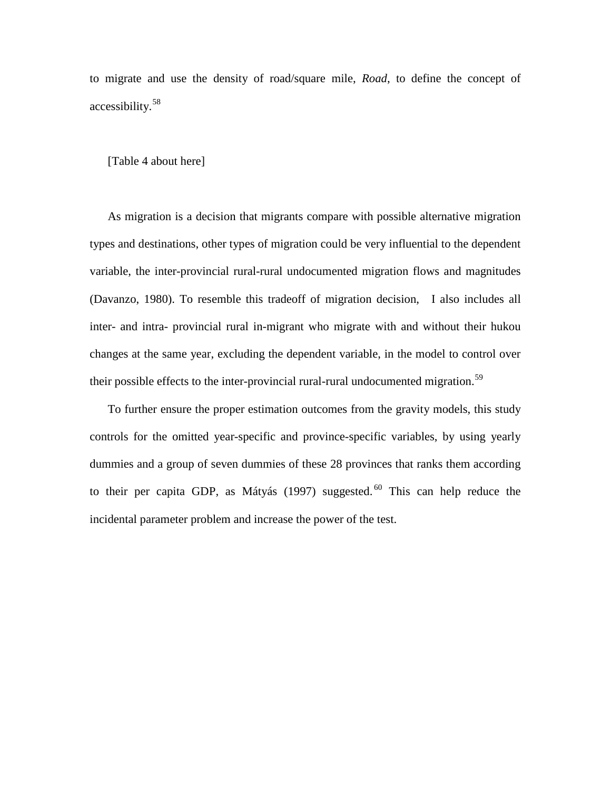to migrate and use the density of road/square mile, *Road*, to define the concept of accessibility.[58](#page-67-14)

[Table 4 about here]

As migration is a decision that migrants compare with possible alternative migration types and destinations, other types of migration could be very influential to the dependent variable, the inter-provincial rural-rural undocumented migration flows and magnitudes (Davanzo, 1980). To resemble this tradeoff of migration decision, I also includes all inter- and intra- provincial rural in-migrant who migrate with and without their hukou changes at the same year, excluding the dependent variable, in the model to control over their possible effects to the inter-provincial rural-rural undocumented migration.<sup>[59](#page-67-15)</sup>

To further ensure the proper estimation outcomes from the gravity models, this study controls for the omitted year-specific and province-specific variables, by using yearly dummies and a group of seven dummies of these 28 provinces that ranks them according to their per capita GDP, as Mátyás (1997) suggested. <sup>[60](#page-67-16)</sup> This can help reduce the incidental parameter problem and increase the power of the test.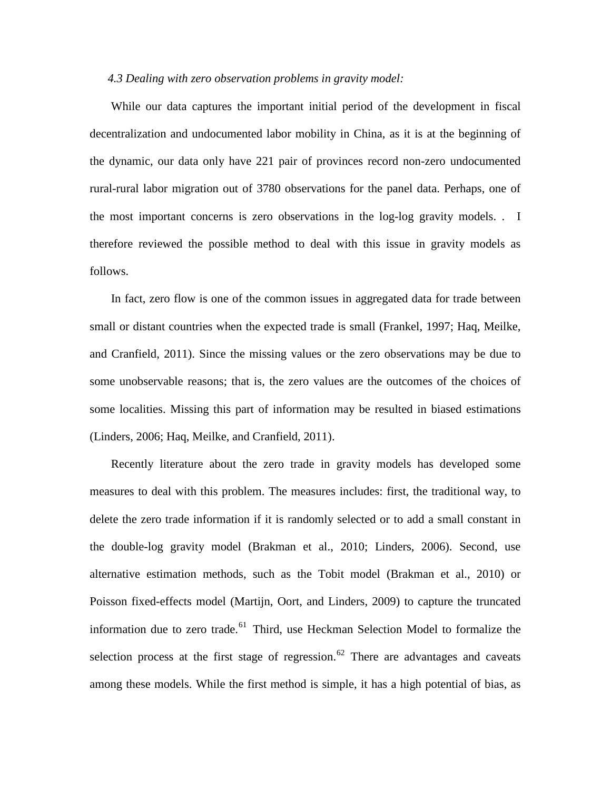#### *4.3 Dealing with zero observation problems in gravity model:*

While our data captures the important initial period of the development in fiscal decentralization and undocumented labor mobility in China, as it is at the beginning of the dynamic, our data only have 221 pair of provinces record non-zero undocumented rural-rural labor migration out of 3780 observations for the panel data. Perhaps, one of the most important concerns is zero observations in the log-log gravity models. . I therefore reviewed the possible method to deal with this issue in gravity models as follows.

In fact, zero flow is one of the common issues in aggregated data for trade between small or distant countries when the expected trade is small (Frankel, 1997; Haq, Meilke, and Cranfield, 2011). Since the missing values or the zero observations may be due to some unobservable reasons; that is, the zero values are the outcomes of the choices of some localities. Missing this part of information may be resulted in biased estimations (Linders, 2006; Haq, Meilke, and Cranfield, 2011).

Recently literature about the zero trade in gravity models has developed some measures to deal with this problem. The measures includes: first, the traditional way, to delete the zero trade information if it is randomly selected or to add a small constant in the double-log gravity model (Brakman et al., 2010; Linders, 2006). Second, use alternative estimation methods, such as the Tobit model (Brakman et al., 2010) or Poisson fixed-effects model (Martijn, Oort, and Linders, 2009) to capture the truncated information due to zero trade.<sup>[61](#page-68-0)</sup> Third, use Heckman Selection Model to formalize the selection process at the first stage of regression.<sup>[62](#page-68-1)</sup> There are advantages and caveats among these models. While the first method is simple, it has a high potential of bias, as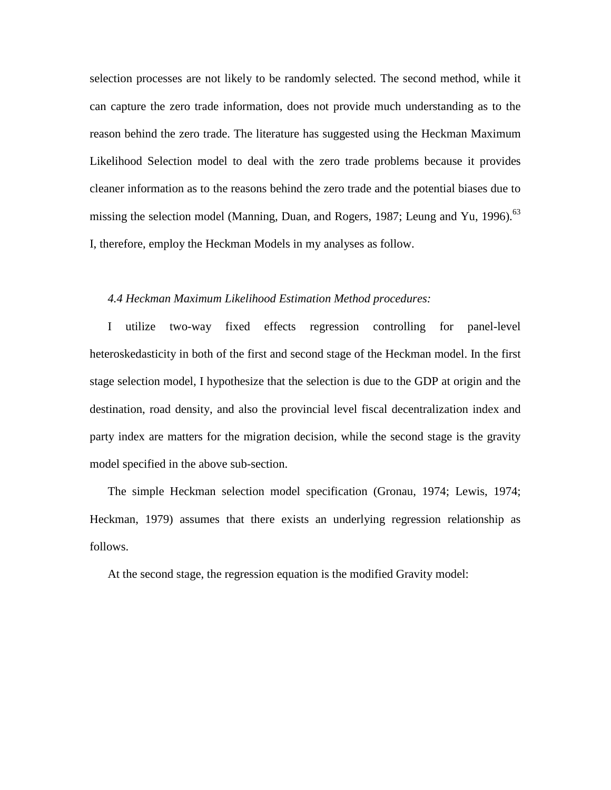selection processes are not likely to be randomly selected. The second method, while it can capture the zero trade information, does not provide much understanding as to the reason behind the zero trade. The literature has suggested using the Heckman Maximum Likelihood Selection model to deal with the zero trade problems because it provides cleaner information as to the reasons behind the zero trade and the potential biases due to missing the selection model (Manning, Duan, and Rogers, 1987; Leung and Yu, 1996).<sup>[63](#page-68-2)</sup> I, therefore, employ the Heckman Models in my analyses as follow.

#### *4.4 Heckman Maximum Likelihood Estimation Method procedures:*

I utilize two-way fixed effects regression controlling for panel-level heteroskedasticity in both of the first and second stage of the Heckman model. In the first stage selection model, I hypothesize that the selection is due to the GDP at origin and the destination, road density, and also the provincial level fiscal decentralization index and party index are matters for the migration decision, while the second stage is the gravity model specified in the above sub-section.

The simple Heckman selection model specification (Gronau, 1974; Lewis, 1974; Heckman, 1979) assumes that there exists an underlying regression relationship as follows.

At the second stage, the regression equation is the modified Gravity model: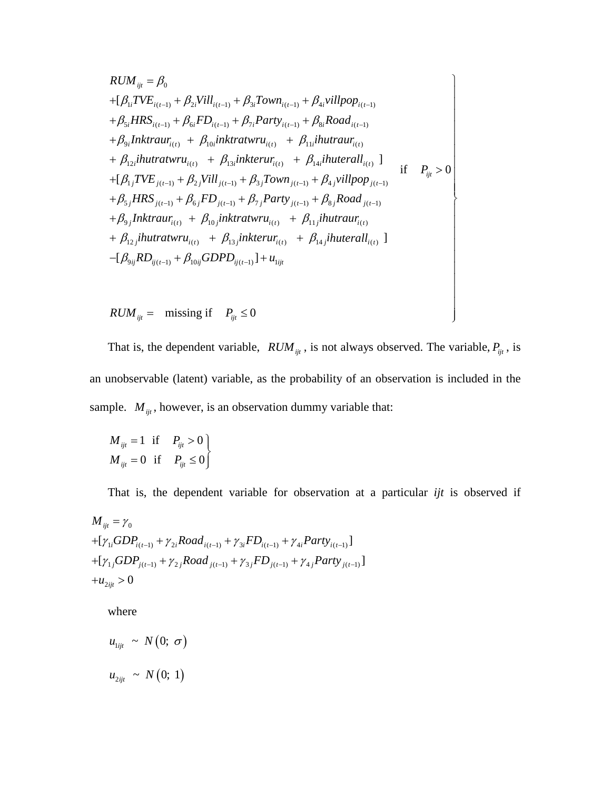$$
RUM_{ijt} = \beta_0
$$
  
+ $[\beta_{1i}TVE_{i(t-1)} + \beta_{2i}Vill_{i(t-1)} + \beta_{3i}Town_{i(t-1)} + \beta_{4i}villpop_{i(t-1)}$   
+ $\beta_{5i}HRS_{i(t-1)} + \beta_{6i}FD_{i(t-1)} + \beta_{7i}Party_{i(t-1)} + \beta_{8i}Road_{i(t-1)}$   
+ $\beta_{9i}Inktraur_{i(t)} + \beta_{10i}inktratwru_{i(t)} + \beta_{11i}ihutraur_{i(t)}$   
+ $\beta_{12i}ihutratwru_{i(t)} + \beta_{13i}inkterur_{i(t)} + \beta_{14i}ihuterall_{i(t)}$ ]  
+ $[\beta_{1j}TVE_{j(t-1)} + \beta_{2j}Vill_{j(t-1)} + \beta_{3j}Town_{j(t-1)} + \beta_{4j}villpop_{j(t-1)}$   
+ $\beta_{5j}HRS_{j(t-1)} + \beta_{6j}FD_{j(t-1)} + \beta_{7j}Party_{j(t-1)} + \beta_{8j}Road_{j(t-1)}$   
+ $\beta_{9j}Inktraur_{i(t)} + \beta_{10j}inktratwru_{i(t)} + \beta_{11j}ihutraur_{i(t)}$   
+ $\beta_{12j}ihutraturu_{i(t)} + \beta_{13j}inkterur_{i(t)} + \beta_{14j}ihuterall_{i(t)}$ ]  
- $[\beta_{9ij}RD_{ij(t-1)} + \beta_{10ij}GDPD_{ij(t-1)}] + u_{ijt}$ 

 $RUM_{ijt} = \text{missing if}$   $P_{ijt} \leq 0$ 

That is, the dependent variable,  $RUM_{ijt}$ , is not always observed. The variable,  $P_{ijt}$ , is an unobservable (latent) variable, as the probability of an observation is included in the sample.  $M_{ijt}$ , however, is an observation dummy variable that:

 $\overline{\phantom{a}}$  $\overline{\phantom{a}}$ 

$$
M_{ijt} = 1 \quad \text{if} \quad P_{ijt} > 0
$$
  

$$
M_{ijt} = 0 \quad \text{if} \quad P_{ijt} \le 0
$$

That is, the dependent variable for observation at a particular *ijt* is observed if

$$
M_{ijt} = \gamma_0
$$
  
+
$$
[\gamma_{1i}GDP_{i(t-1)} + \gamma_{2i} Road_{i(t-1)} + \gamma_{3i} FD_{i(t-1)} + \gamma_{4i} Party_{i(t-1)}]
$$
  
+
$$
[\gamma_{1j}GDP_{j(t-1)} + \gamma_{2j} Road_{j(t-1)} + \gamma_{3j} FD_{j(t-1)} + \gamma_{4j} Party_{j(t-1)}]
$$
  
+
$$
u_{2ijt} > 0
$$

where

$$
u_{1ijt} \sim N(0; \sigma)
$$
  

$$
u_{2ijt} \sim N(0; 1)
$$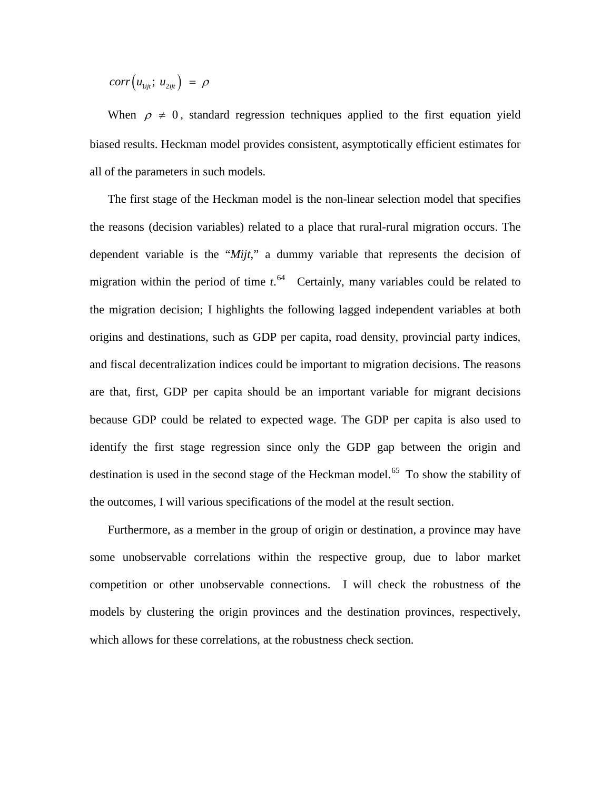$$
corr(u_{1ijt}; u_{2ijt}) = \rho
$$

When  $\rho \neq 0$ , standard regression techniques applied to the first equation yield biased results. Heckman model provides consistent, asymptotically efficient estimates for all of the parameters in such models.

The first stage of the Heckman model is the non-linear selection model that specifies the reasons (decision variables) related to a place that rural-rural migration occurs. The dependent variable is the "*Mijt*," a dummy variable that represents the decision of migration within the period of time  $t$ .<sup>[64](#page-68-3)</sup> Certainly, many variables could be related to the migration decision; I highlights the following lagged independent variables at both origins and destinations, such as GDP per capita, road density, provincial party indices, and fiscal decentralization indices could be important to migration decisions. The reasons are that, first, GDP per capita should be an important variable for migrant decisions because GDP could be related to expected wage. The GDP per capita is also used to identify the first stage regression since only the GDP gap between the origin and destination is used in the second stage of the Heckman model.<sup>[65](#page-68-4)</sup> To show the stability of the outcomes, I will various specifications of the model at the result section.

Furthermore, as a member in the group of origin or destination, a province may have some unobservable correlations within the respective group, due to labor market competition or other unobservable connections. I will check the robustness of the models by clustering the origin provinces and the destination provinces, respectively, which allows for these correlations, at the robustness check section.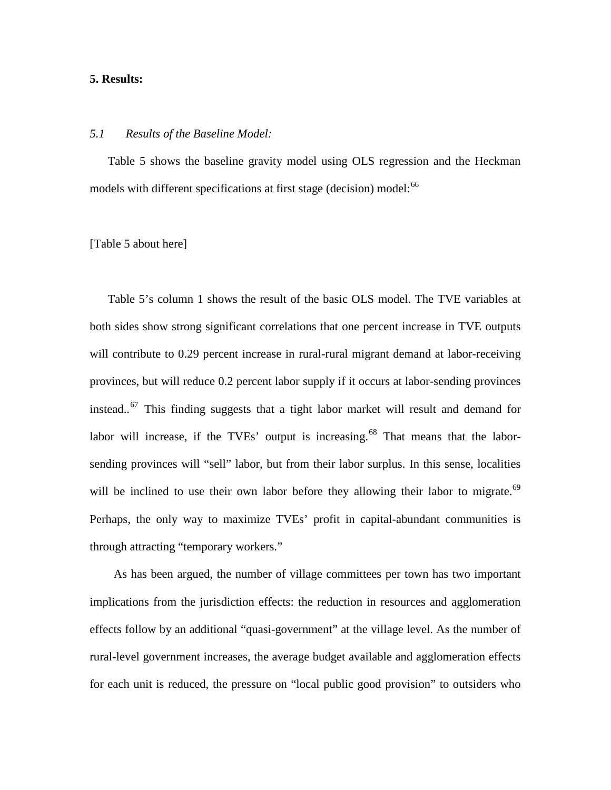#### **5. Results:**

#### *5.1 Results of the Baseline Model:*

Table 5 shows the baseline gravity model using OLS regression and the Heckman models with different specifications at first stage (decision) model:<sup>[66](#page-68-5)</sup>

#### [Table 5 about here]

Table 5's column 1 shows the result of the basic OLS model. The TVE variables at both sides show strong significant correlations that one percent increase in TVE outputs will contribute to 0.29 percent increase in rural-rural migrant demand at labor-receiving provinces, but will reduce 0.2 percent labor supply if it occurs at labor-sending provinces instead.. $67$  This finding suggests that a tight labor market will result and demand for labor will increase, if the TVEs' output is increasing.<sup>[68](#page-68-7)</sup> That means that the laborsending provinces will "sell" labor, but from their labor surplus. In this sense, localities will be inclined to use their own labor before they allowing their labor to migrate.<sup>[69](#page-68-8)</sup> Perhaps, the only way to maximize TVEs' profit in capital-abundant communities is through attracting "temporary workers."

As has been argued, the number of village committees per town has two important implications from the jurisdiction effects: the reduction in resources and agglomeration effects follow by an additional "quasi-government" at the village level. As the number of rural-level government increases, the average budget available and agglomeration effects for each unit is reduced, the pressure on "local public good provision" to outsiders who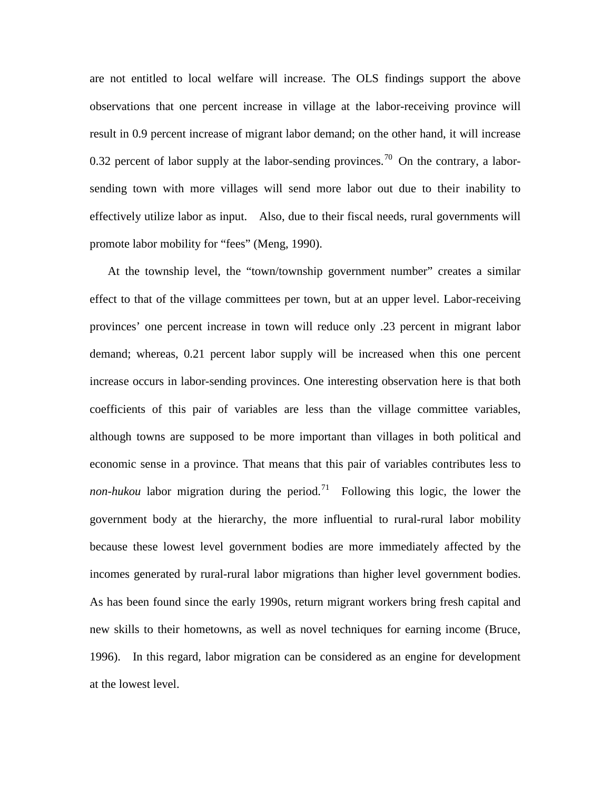are not entitled to local welfare will increase. The OLS findings support the above observations that one percent increase in village at the labor-receiving province will result in 0.9 percent increase of migrant labor demand; on the other hand, it will increase 0.32 percent of labor supply at the labor-sending provinces.<sup>[70](#page-68-9)</sup> On the contrary, a laborsending town with more villages will send more labor out due to their inability to effectively utilize labor as input. Also, due to their fiscal needs, rural governments will promote labor mobility for "fees" (Meng, 1990).

At the township level, the "town/township government number" creates a similar effect to that of the village committees per town, but at an upper level. Labor-receiving provinces' one percent increase in town will reduce only .23 percent in migrant labor demand; whereas, 0.21 percent labor supply will be increased when this one percent increase occurs in labor-sending provinces. One interesting observation here is that both coefficients of this pair of variables are less than the village committee variables, although towns are supposed to be more important than villages in both political and economic sense in a province. That means that this pair of variables contributes less to *non-hukou* labor migration during the period.<sup>[71](#page-68-10)</sup> Following this logic, the lower the government body at the hierarchy, the more influential to rural-rural labor mobility because these lowest level government bodies are more immediately affected by the incomes generated by rural-rural labor migrations than higher level government bodies. As has been found since the early 1990s, return migrant workers bring fresh capital and new skills to their hometowns, as well as novel techniques for earning income (Bruce, 1996). In this regard, labor migration can be considered as an engine for development at the lowest level.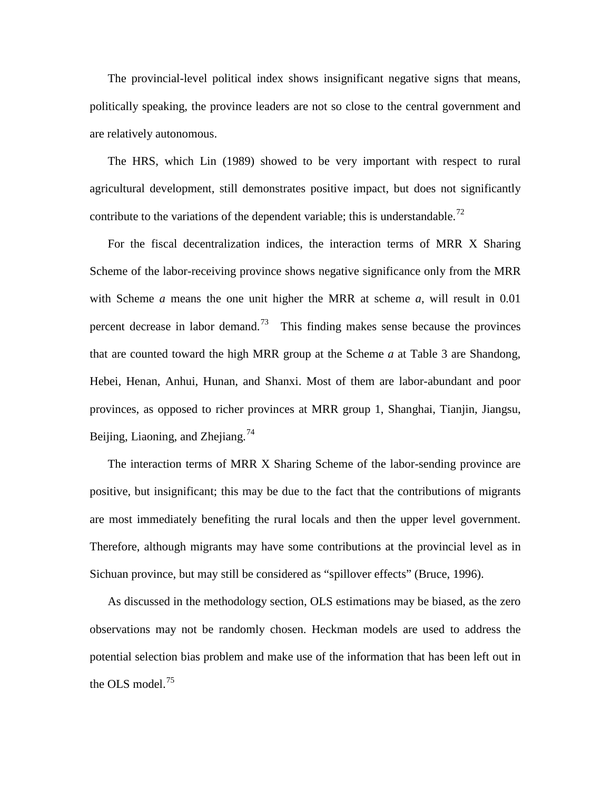The provincial-level political index shows insignificant negative signs that means, politically speaking, the province leaders are not so close to the central government and are relatively autonomous.

The HRS, which Lin (1989) showed to be very important with respect to rural agricultural development, still demonstrates positive impact, but does not significantly contribute to the variations of the dependent variable; this is understandable.<sup>[72](#page-68-11)</sup>

For the fiscal decentralization indices, the interaction terms of MRR X Sharing Scheme of the labor-receiving province shows negative significance only from the MRR with Scheme *a* means the one unit higher the MRR at scheme *a*, will result in 0.01 percent decrease in labor demand.<sup>[73](#page-68-12)</sup> This finding makes sense because the provinces that are counted toward the high MRR group at the Scheme *a* at Table 3 are Shandong, Hebei, Henan, Anhui, Hunan, and Shanxi. Most of them are labor-abundant and poor provinces, as opposed to richer provinces at MRR group 1, Shanghai, Tianjin, Jiangsu, Beijing, Liaoning, and Zhejiang.<sup>[74](#page-68-13)</sup>

The interaction terms of MRR X Sharing Scheme of the labor-sending province are positive, but insignificant; this may be due to the fact that the contributions of migrants are most immediately benefiting the rural locals and then the upper level government. Therefore, although migrants may have some contributions at the provincial level as in Sichuan province, but may still be considered as "spillover effects" (Bruce, 1996).

As discussed in the methodology section, OLS estimations may be biased, as the zero observations may not be randomly chosen. Heckman models are used to address the potential selection bias problem and make use of the information that has been left out in the OLS model. $^{75}$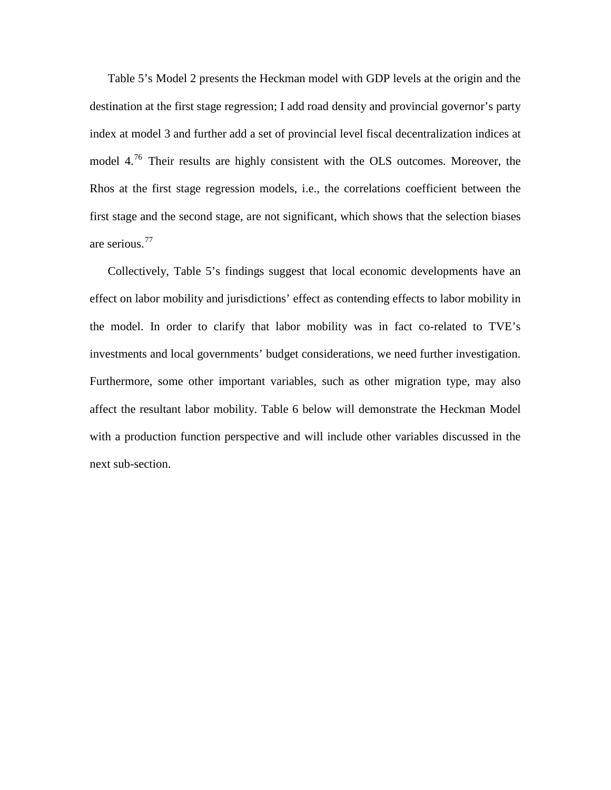Table 5's Model 2 presents the Heckman model with GDP levels at the origin and the destination at the first stage regression; I add road density and provincial governor's party index at model 3 and further add a set of provincial level fiscal decentralization indices at model 4.[76](#page-68-15) Their results are highly consistent with the OLS outcomes. Moreover, the Rhos at the first stage regression models, i.e., the correlations coefficient between the first stage and the second stage, are not significant, which shows that the selection biases are serious.[77](#page-69-0)

Collectively, Table 5's findings suggest that local economic developments have an effect on labor mobility and jurisdictions' effect as contending effects to labor mobility in the model. In order to clarify that labor mobility was in fact co-related to TVE's investments and local governments' budget considerations, we need further investigation. Furthermore, some other important variables, such as other migration type, may also affect the resultant labor mobility. Table 6 below will demonstrate the Heckman Model with a production function perspective and will include other variables discussed in the next sub-section.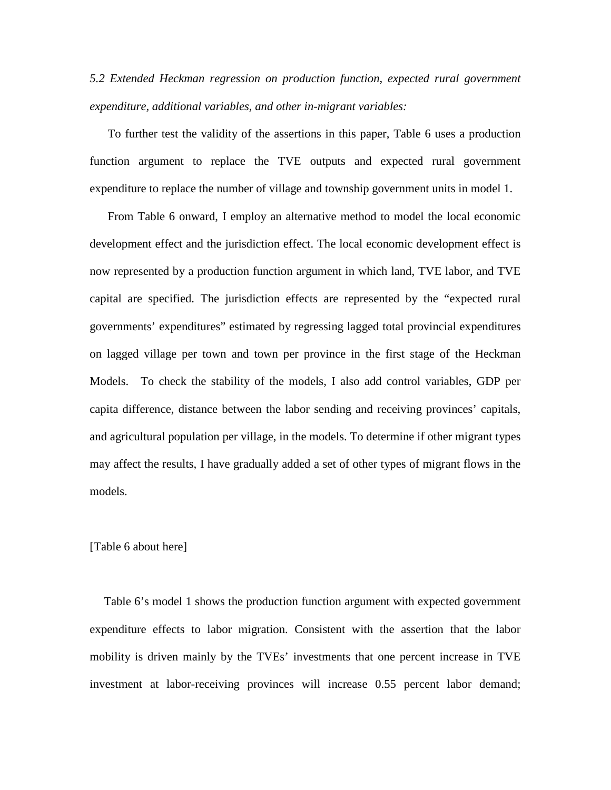*5.2 Extended Heckman regression on production function, expected rural government expenditure, additional variables, and other in-migrant variables:*

To further test the validity of the assertions in this paper, Table 6 uses a production function argument to replace the TVE outputs and expected rural government expenditure to replace the number of village and township government units in model 1.

From Table 6 onward, I employ an alternative method to model the local economic development effect and the jurisdiction effect. The local economic development effect is now represented by a production function argument in which land, TVE labor, and TVE capital are specified. The jurisdiction effects are represented by the "expected rural governments' expenditures" estimated by regressing lagged total provincial expenditures on lagged village per town and town per province in the first stage of the Heckman Models. To check the stability of the models, I also add control variables, GDP per capita difference, distance between the labor sending and receiving provinces' capitals, and agricultural population per village, in the models. To determine if other migrant types may affect the results, I have gradually added a set of other types of migrant flows in the models.

#### [Table 6 about here]

Table 6's model 1 shows the production function argument with expected government expenditure effects to labor migration. Consistent with the assertion that the labor mobility is driven mainly by the TVEs' investments that one percent increase in TVE investment at labor-receiving provinces will increase 0.55 percent labor demand;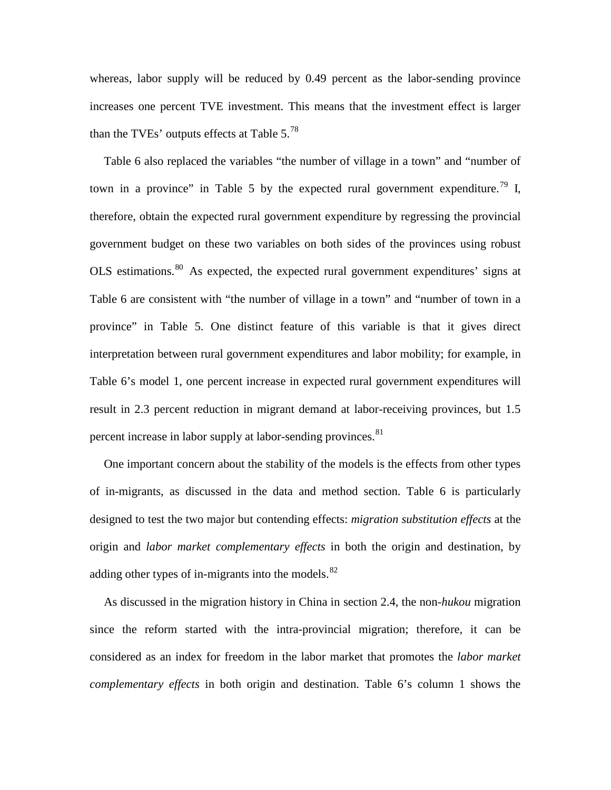whereas, labor supply will be reduced by 0.49 percent as the labor-sending province increases one percent TVE investment. This means that the investment effect is larger than the TVEs' outputs effects at Table  $5.^{78}$  $5.^{78}$  $5.^{78}$ 

Table 6 also replaced the variables "the number of village in a town" and "number of town in a province" in Table 5 by the expected rural government expenditure.<sup>[79](#page-69-2)</sup> I, therefore, obtain the expected rural government expenditure by regressing the provincial government budget on these two variables on both sides of the provinces using robust OLS estimations.[80](#page-69-3) As expected, the expected rural government expenditures' signs at Table 6 are consistent with "the number of village in a town" and "number of town in a province" in Table 5. One distinct feature of this variable is that it gives direct interpretation between rural government expenditures and labor mobility; for example, in Table 6's model 1, one percent increase in expected rural government expenditures will result in 2.3 percent reduction in migrant demand at labor-receiving provinces, but 1.5 percent increase in labor supply at labor-sending provinces.<sup>[81](#page-69-4)</sup>

One important concern about the stability of the models is the effects from other types of in-migrants, as discussed in the data and method section. Table 6 is particularly designed to test the two major but contending effects: *migration substitution effects* at the origin and *labor market complementary effects* in both the origin and destination, by adding other types of in-migrants into the models. $82$ 

As discussed in the migration history in China in section 2.4, the non*-hukou* migration since the reform started with the intra-provincial migration; therefore, it can be considered as an index for freedom in the labor market that promotes the *labor market complementary effects* in both origin and destination. Table 6's column 1 shows the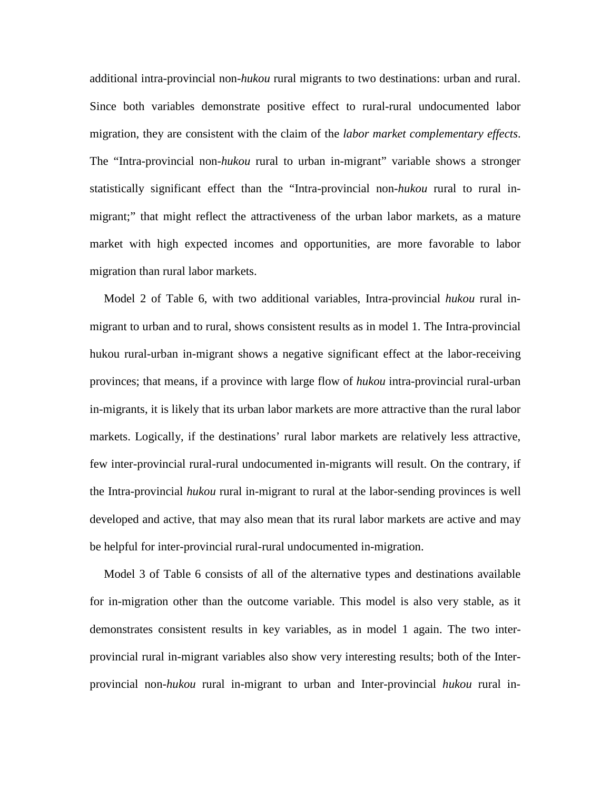additional intra-provincial non*-hukou* rural migrants to two destinations: urban and rural. Since both variables demonstrate positive effect to rural-rural undocumented labor migration, they are consistent with the claim of the *labor market complementary effects*. The "Intra-provincial non*-hukou* rural to urban in-migrant" variable shows a stronger statistically significant effect than the "Intra-provincial non*-hukou* rural to rural inmigrant;" that might reflect the attractiveness of the urban labor markets, as a mature market with high expected incomes and opportunities, are more favorable to labor migration than rural labor markets.

Model 2 of Table 6, with two additional variables, Intra-provincial *hukou* rural inmigrant to urban and to rural, shows consistent results as in model 1. The Intra-provincial hukou rural-urban in-migrant shows a negative significant effect at the labor-receiving provinces; that means, if a province with large flow of *hukou* intra-provincial rural-urban in-migrants, it is likely that its urban labor markets are more attractive than the rural labor markets. Logically, if the destinations' rural labor markets are relatively less attractive, few inter-provincial rural-rural undocumented in-migrants will result. On the contrary, if the Intra-provincial *hukou* rural in-migrant to rural at the labor-sending provinces is well developed and active, that may also mean that its rural labor markets are active and may be helpful for inter-provincial rural-rural undocumented in-migration.

Model 3 of Table 6 consists of all of the alternative types and destinations available for in-migration other than the outcome variable. This model is also very stable, as it demonstrates consistent results in key variables, as in model 1 again. The two interprovincial rural in-migrant variables also show very interesting results; both of the Interprovincial non*-hukou* rural in-migrant to urban and Inter-provincial *hukou* rural in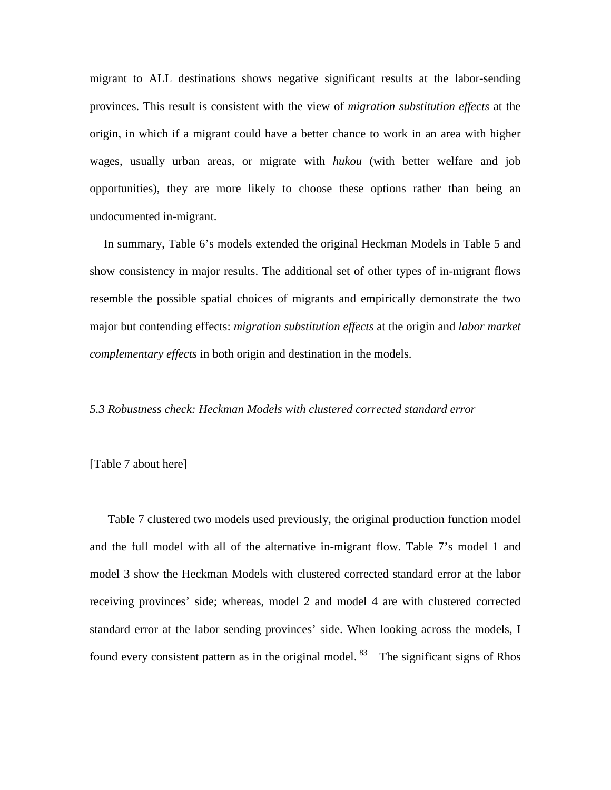migrant to ALL destinations shows negative significant results at the labor-sending provinces. This result is consistent with the view of *migration substitution effects* at the origin, in which if a migrant could have a better chance to work in an area with higher wages, usually urban areas, or migrate with *hukou* (with better welfare and job opportunities), they are more likely to choose these options rather than being an undocumented in-migrant.

In summary, Table 6's models extended the original Heckman Models in Table 5 and show consistency in major results. The additional set of other types of in-migrant flows resemble the possible spatial choices of migrants and empirically demonstrate the two major but contending effects: *migration substitution effects* at the origin and *labor market complementary effects* in both origin and destination in the models.

#### *5.3 Robustness check: Heckman Models with clustered corrected standard error*

#### [Table 7 about here]

Table 7 clustered two models used previously, the original production function model and the full model with all of the alternative in-migrant flow. Table 7's model 1 and model 3 show the Heckman Models with clustered corrected standard error at the labor receiving provinces' side; whereas, model 2 and model 4 are with clustered corrected standard error at the labor sending provinces' side. When looking across the models, I found every consistent pattern as in the original model.  $83$  The significant signs of Rhos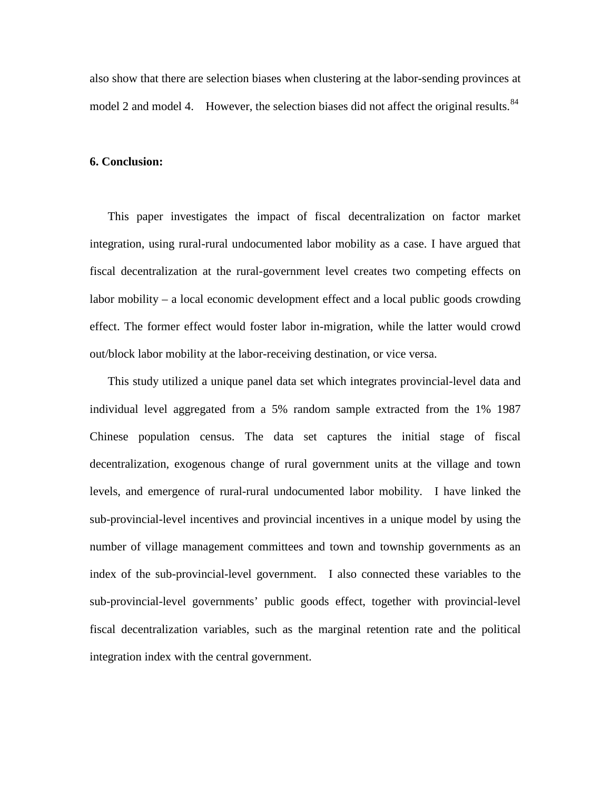also show that there are selection biases when clustering at the labor-sending provinces at model 2 and model 4. However, the selection biases did not affect the original results.  $84$ 

#### **6. Conclusion:**

This paper investigates the impact of fiscal decentralization on factor market integration, using rural-rural undocumented labor mobility as a case. I have argued that fiscal decentralization at the rural-government level creates two competing effects on labor mobility – a local economic development effect and a local public goods crowding effect. The former effect would foster labor in-migration, while the latter would crowd out/block labor mobility at the labor-receiving destination, or vice versa.

This study utilized a unique panel data set which integrates provincial-level data and individual level aggregated from a 5% random sample extracted from the 1% 1987 Chinese population census. The data set captures the initial stage of fiscal decentralization, exogenous change of rural government units at the village and town levels, and emergence of rural-rural undocumented labor mobility. I have linked the sub-provincial-level incentives and provincial incentives in a unique model by using the number of village management committees and town and township governments as an index of the sub-provincial-level government. I also connected these variables to the sub-provincial-level governments' public goods effect, together with provincial-level fiscal decentralization variables, such as the marginal retention rate and the political integration index with the central government.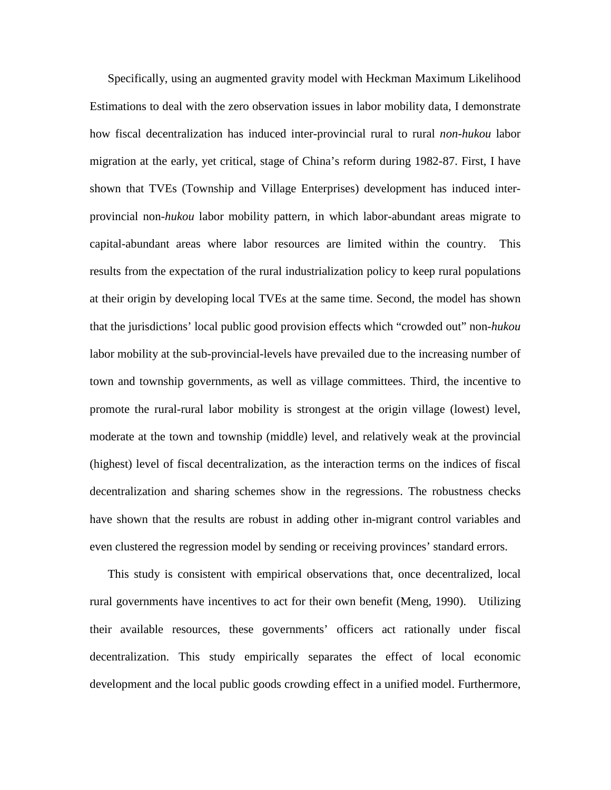Specifically, using an augmented gravity model with Heckman Maximum Likelihood Estimations to deal with the zero observation issues in labor mobility data, I demonstrate how fiscal decentralization has induced inter-provincial rural to rural *non-hukou* labor migration at the early, yet critical, stage of China's reform during 1982-87. First, I have shown that TVEs (Township and Village Enterprises) development has induced interprovincial non*-hukou* labor mobility pattern, in which labor-abundant areas migrate to capital-abundant areas where labor resources are limited within the country. This results from the expectation of the rural industrialization policy to keep rural populations at their origin by developing local TVEs at the same time. Second, the model has shown that the jurisdictions' local public good provision effects which "crowded out" non*-hukou* labor mobility at the sub-provincial-levels have prevailed due to the increasing number of town and township governments, as well as village committees. Third, the incentive to promote the rural-rural labor mobility is strongest at the origin village (lowest) level, moderate at the town and township (middle) level, and relatively weak at the provincial (highest) level of fiscal decentralization, as the interaction terms on the indices of fiscal decentralization and sharing schemes show in the regressions. The robustness checks have shown that the results are robust in adding other in-migrant control variables and even clustered the regression model by sending or receiving provinces' standard errors.

This study is consistent with empirical observations that, once decentralized, local rural governments have incentives to act for their own benefit (Meng, 1990). Utilizing their available resources, these governments' officers act rationally under fiscal decentralization. This study empirically separates the effect of local economic development and the local public goods crowding effect in a unified model. Furthermore,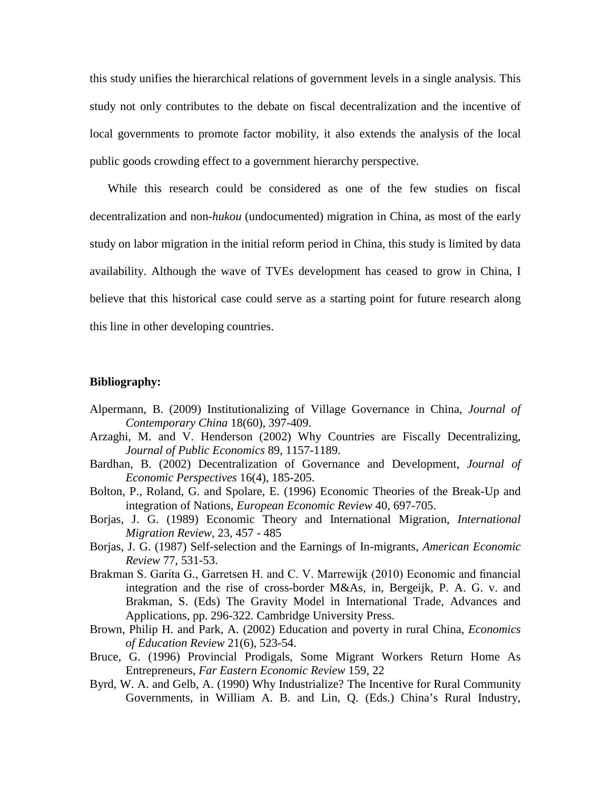this study unifies the hierarchical relations of government levels in a single analysis. This study not only contributes to the debate on fiscal decentralization and the incentive of local governments to promote factor mobility, it also extends the analysis of the local public goods crowding effect to a government hierarchy perspective.

While this research could be considered as one of the few studies on fiscal decentralization and non*-hukou* (undocumented) migration in China, as most of the early study on labor migration in the initial reform period in China, this study is limited by data availability. Although the wave of TVEs development has ceased to grow in China, I believe that this historical case could serve as a starting point for future research along this line in other developing countries.

#### **Bibliography:**

- Alpermann, B. (2009) Institutionalizing of Village Governance in China, *Journal of Contemporary China* 18(60), 397-409.
- Arzaghi, M. and V. Henderson (2002) Why Countries are Fiscally Decentralizing, *Journal of Public Economics* 89, 1157-1189.
- Bardhan, B. (2002) Decentralization of Governance and Development, *Journal of Economic Perspectives* 16(4), 185-205.
- Bolton, P., Roland, G. and Spolare, E. (1996) Economic Theories of the Break-Up and integration of Nations, *European Economic Review* 40, 697-705.
- Borjas, J. G. (1989) Economic Theory and International Migration, *International Migration Review*, 23, 457 - 485
- Borjas, J. G. (1987) Self-selection and the Earnings of In-migrants, *American Economic Review* 77, 531-53.
- Brakman S. Garita G., Garretsen H. and C. V. Marrewijk (2010) Economic and financial integration and the rise of cross-border M&As, in, Bergeijk, P. A. G. v. and Brakman, S. (Eds) The Gravity Model in International Trade, Advances and Applications, pp. 296-322. Cambridge University Press.
- Brown, Philip H. and Park, A. (2002) Education and poverty in rural China, *Economics of Education Review* 21(6), 523-54.
- Bruce, G. (1996) Provincial Prodigals, Some Migrant Workers Return Home As Entrepreneurs, *Far Eastern Economic Review* 159, 22
- Byrd, W. A. and Gelb, A. (1990) Why Industrialize? The Incentive for Rural Community Governments, in William A. B. and Lin, Q. (Eds.) China's Rural Industry,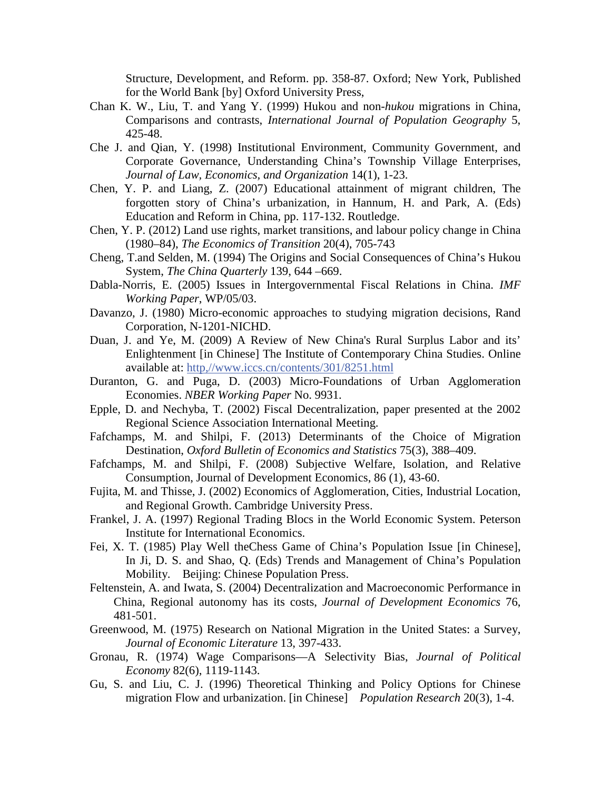Structure, Development, and Reform. pp. 358-87. Oxford; New York, Published for the World Bank [by] Oxford University Press,

- Chan K. W., Liu, T. and Yang Y. (1999) Hukou and non*-hukou* migrations in China, Comparisons and contrasts, *International Journal of Population Geography* 5, 425-48.
- Che J. and Qian, Y. (1998) Institutional Environment, Community Government, and Corporate Governance, Understanding China's Township Village Enterprises, *Journal of Law, Economics, and Organization* 14(1), 1-23.
- Chen, Y. P. and Liang, Z. (2007) Educational attainment of migrant children, The forgotten story of China's urbanization, in Hannum, H. and Park, A. (Eds) Education and Reform in China, pp. 117-132. Routledge.
- Chen, Y. P. (2012) Land use rights, market transitions, and labour policy change in China (1980–84), *The Economics of Transition* 20(4), 705-743
- Cheng, T.and Selden, M. (1994) The Origins and Social Consequences of China's Hukou System, *The China Quarterly* 139, 644 –669.
- Dabla-Norris, E. (2005) Issues in Intergovernmental Fiscal Relations in China. *IMF Working Paper*, WP/05/03.
- Davanzo, J. (1980) Micro-economic approaches to studying migration decisions, Rand Corporation, N-1201-NICHD.
- Duan, J. and Ye, M. (2009) A Review of New China's Rural Surplus Labor and its' Enlightenment [in Chinese] The Institute of Contemporary China Studies. Online available at: [http,//www.iccs.cn/contents/301/8251.html](http://www.iccs.cn/contents/301/8251.html)
- Duranton, G. and Puga, D. (2003) Micro-Foundations of Urban Agglomeration Economies. *NBER Working Paper* No. 9931.
- Epple, D. and Nechyba, T. (2002) Fiscal Decentralization, paper presented at the 2002 Regional Science Association International Meeting.
- Fafchamps, M. and Shilpi, F. (2013) Determinants of the Choice of Migration Destination, *Oxford Bulletin of Economics and Statistics* 75(3), 388–409.
- Fafchamps, M. and Shilpi, F. (2008) Subjective Welfare, Isolation, and Relative Consumption, Journal of Development Economics, 86 (1), 43-60.
- Fujita, M. and Thisse, J. (2002) Economics of Agglomeration, Cities, Industrial Location, and Regional Growth. Cambridge University Press.
- Frankel, J. A. (1997) Regional Trading Blocs in the World Economic System. Peterson Institute for International Economics.
- Fei, X. T. (1985) Play Well theChess Game of China's Population Issue [in Chinese], In Ji, D. S. and Shao, Q. (Eds) Trends and Management of China's Population Mobility. Beijing: Chinese Population Press.
- Feltenstein, A. and Iwata, S. (2004) Decentralization and Macroeconomic Performance in China, Regional autonomy has its costs, *Journal of Development Economics* 76, 481-501.
- Greenwood, M. (1975) Research on National Migration in the United States: a Survey, *Journal of Economic Literature* 13, 397-433.
- Gronau, R. (1974) Wage Comparisons—A Selectivity Bias, *Journal of Political Economy* 82(6), 1119-1143.
- Gu, S. and Liu, C. J. (1996) Theoretical Thinking and Policy Options for Chinese migration Flow and urbanization. [in Chinese] *Population Research* 20(3), 1-4.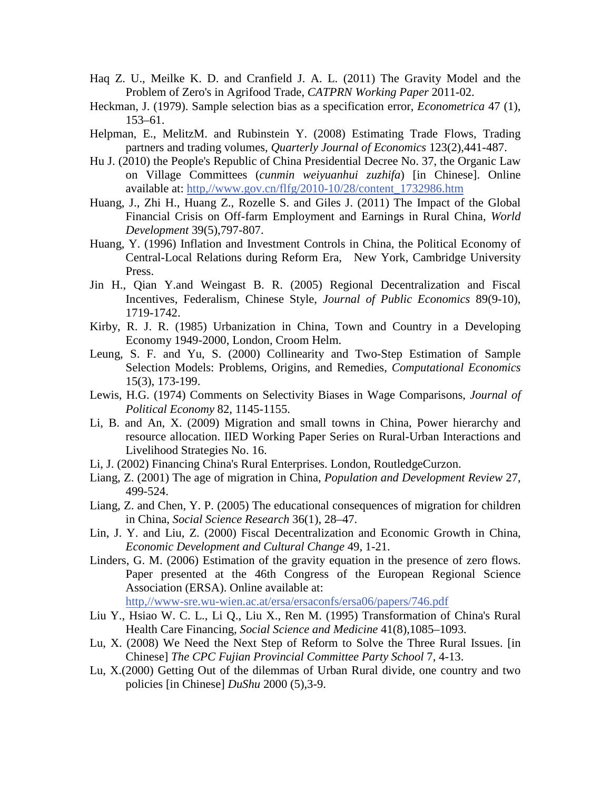- Haq Z. U., Meilke K. D. and Cranfield J. A. L. (2011) The Gravity Model and the Problem of Zero's in Agrifood Trade, *CATPRN Working Paper* 2011-02.
- Heckman, J. (1979). Sample selection bias as a specification error, *Econometrica* 47 (1), 153–61.
- Helpman, E., MelitzM. and Rubinstein Y. (2008) Estimating Trade Flows, Trading partners and trading volumes, *Quarterly Journal of Economics* 123(2),441-487.
- Hu J. (2010) the People's Republic of China Presidential Decree No. 37, the Organic Law on Village Committees (*cunmin weiyuanhui zuzhifa*) [in Chinese]. Online available at: [http,//www.gov.cn/flfg/2010-10/28/content\\_1732986.htm](http://www.gov.cn/flfg/2010-10/28/content_1732986.htm)
- Huang, J., Zhi H., Huang Z., Rozelle S. and Giles J. (2011) The Impact of the Global Financial Crisis on Off-farm Employment and Earnings in Rural China, *World Development* 39(5),797-807.
- Huang, Y. (1996) Inflation and Investment Controls in China, the Political Economy of Central-Local Relations during Reform Era, New York, Cambridge University Press.
- Jin H., Qian Y.and Weingast B. R. (2005) Regional Decentralization and Fiscal Incentives, Federalism, Chinese Style, *Journal of Public Economics* 89(9-10), 1719-1742.
- Kirby, R. J. R. (1985) Urbanization in China, Town and Country in a Developing Economy 1949-2000, London, Croom Helm.
- Leung, S. F. and Yu, S. (2000) Collinearity and Two-Step Estimation of Sample Selection Models: Problems, Origins, and Remedies, *Computational Economics* 15(3), 173-199.
- Lewis, H.G. (1974) Comments on Selectivity Biases in Wage Comparisons, *Journal of Political Economy* 82, 1145-1155.
- Li, B. and An, X. (2009) Migration and small towns in China, Power hierarchy and resource allocation. IIED Working Paper Series on Rural-Urban Interactions and Livelihood Strategies No. 16.
- Li, J. (2002) Financing China's Rural Enterprises. London, RoutledgeCurzon.
- Liang, Z. (2001) The age of migration in China, *Population and Development Review* 27, 499-524.
- Liang, Z. and Chen, Y. P. (2005) The educational consequences of migration for children in China, *Social Science Research* 36(1), 28–47.
- Lin, J. Y. and Liu, Z. (2000) Fiscal Decentralization and Economic Growth in China, *Economic Development and Cultural Change* 49, 1-21.
- Linders, G. M. (2006) Estimation of the gravity equation in the presence of zero flows. Paper presented at the 46th Congress of the European Regional Science Association (ERSA). Online available at:
	- [http,//www-sre.wu-wien.ac.at/ersa/ersaconfs/ersa06/papers/746.pdf](http://www-sre.wu-wien.ac.at/ersa/ersaconfs/ersa06/papers/746.pdf)
- Liu Y., Hsiao W. C. L., Li Q., Liu X., Ren M. (1995) Transformation of China's Rural Health Care Financing, *Social Science and Medicine* 41(8),1085–1093.
- Lu, X. (2008) We Need the Next Step of Reform to Solve the Three Rural Issues. [in Chinese] *The CPC Fujian Provincial Committee Party School* 7, 4-13.
- Lu, X.(2000) Getting Out of the dilemmas of Urban Rural divide, one country and two policies [in Chinese] *DuShu* 2000 (5),3-9.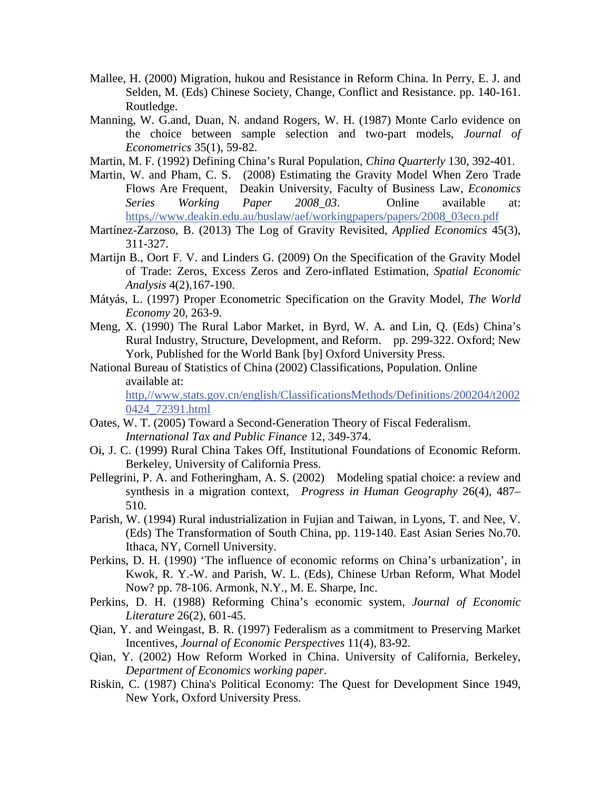- Mallee, H. (2000) Migration, hukou and Resistance in Reform China. In Perry, E. J. and Selden, M. (Eds) Chinese Society, Change, Conflict and Resistance. pp. 140-161. Routledge.
- Manning, W. G.and, Duan, N. andand Rogers, W. H. (1987) Monte Carlo evidence on the choice between sample selection and two-part models, *Journal of Econometrics* 35(1), 59-82.
- Martin, M. F. (1992) Defining China's Rural Population, *China Quarterly* 130, 392-401.
- Martin, W. and Pham, C. S. (2008) Estimating the Gravity Model When Zero Trade Flows Are Frequent, Deakin University, Faculty of Business Law, *Economics Series Working Paper 2008\_03*. Online available at: [https,//www.deakin.edu.au/buslaw/aef/workingpapers/papers/2008\\_03eco.pdf](https://www.deakin.edu.au/buslaw/aef/workingpapers/papers/2008_03eco.pdf)
- Martínez-Zarzoso, B. (2013) The Log of Gravity Revisited, *Applied Economics* 45(3), 311-327.
- Martijn B., Oort F. V. and Linders G. (2009) On the Specification of the Gravity Model of Trade: Zeros, Excess Zeros and Zero-inflated Estimation, *Spatial Economic Analysis* 4(2),167-190.
- Mátyás, L. (1997) Proper Econometric Specification on the Gravity Model, *The World Economy* 20, 263-9.
- Meng, X. (1990) The Rural Labor Market, in Byrd, W. A. and Lin, Q. (Eds) China's Rural Industry, Structure, Development, and Reform. pp. 299-322. Oxford; New York, Published for the World Bank [by] Oxford University Press.
- National Bureau of Statistics of China (2002) Classifications, Population. Online available at:

[http,//www.stats.gov.cn/english/ClassificationsMethods/Definitions/200204/t2002](http://www.stats.gov.cn/english/ClassificationsMethods/Definitions/200204/t20020424_72391.html) [0424\\_72391.html](http://www.stats.gov.cn/english/ClassificationsMethods/Definitions/200204/t20020424_72391.html)

- Oates, W. T. (2005) Toward a Second-Generation Theory of Fiscal Federalism. *International Tax and Public Finance* 12, 349-374.
- Oi, J. C. (1999) Rural China Takes Off, Institutional Foundations of Economic Reform. Berkeley, University of California Press.
- Pellegrini, P. A. and Fotheringham, A. S. (2002) Modeling spatial choice: a review and synthesis in a migration context, *Progress in Human Geography* 26(4), 487– 510.
- Parish, W. (1994) Rural industrialization in Fujian and Taiwan, in Lyons, T. and Nee, V. (Eds) The Transformation of South China, pp. 119-140. East Asian Series No.70. Ithaca, NY, Cornell University.
- Perkins, D. H. (1990) 'The influence of economic reforms on China's urbanization', in Kwok, R. Y.-W. and Parish, W. L. (Eds), Chinese Urban Reform, What Model Now? pp. 78-106. Armonk, N.Y., M. E. Sharpe, Inc.
- Perkins, D. H. (1988) Reforming China's economic system, *Journal of Economic Literature* 26(2), 601-45.
- Qian, Y. and Weingast, B. R. (1997) Federalism as a commitment to Preserving Market Incentives, *Journal of Economic Perspectives* 11(4), 83-92.
- Qian, Y. (2002) How Reform Worked in China. University of California, Berkeley, *Department of Economics working paper.*
- Riskin, C. (1987) China's Political Economy: The Quest for Development Since 1949, New York, Oxford University Press.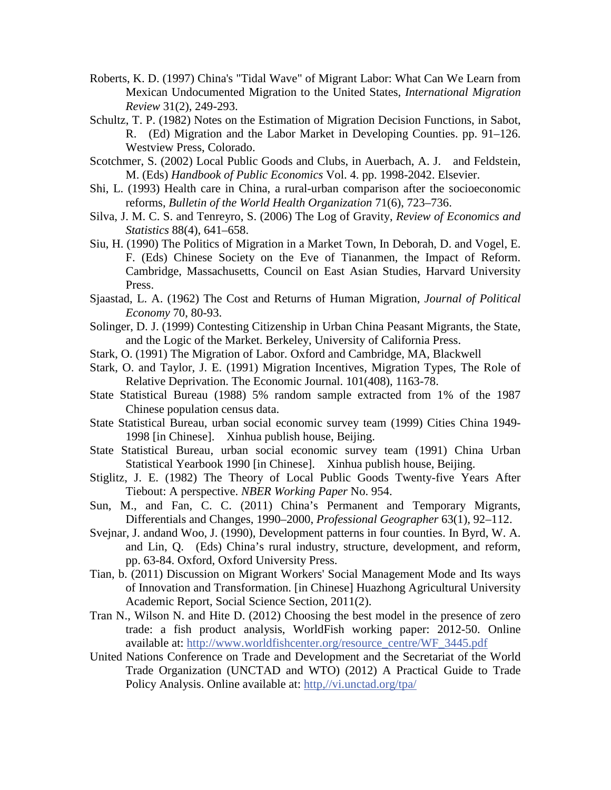- Roberts, K. D. (1997) China's "Tidal Wave" of Migrant Labor: What Can We Learn from Mexican Undocumented Migration to the United States, *International Migration Review* 31(2), 249-293.
- Schultz, T. P. (1982) Notes on the Estimation of Migration Decision Functions, in Sabot, R. (Ed) Migration and the Labor Market in Developing Counties. pp. 91–126. Westview Press, Colorado.
- Scotchmer, S. (2002) Local Public Goods and Clubs, in Auerbach, A. J. and Feldstein, M. (Eds) *Handbook of Public Economics* Vol. 4. pp. 1998-2042. Elsevier.
- Shi, L. (1993) Health care in China, a rural-urban comparison after the socioeconomic reforms, *Bulletin of the World Health Organization* 71(6), 723–736.
- Silva, J. M. C. S. and Tenreyro, S. (2006) The Log of Gravity, *Review of Economics and Statistics* 88(4), 641–658.
- Siu, H. (1990) The Politics of Migration in a Market Town, In Deborah, D. and Vogel, E. F. (Eds) Chinese Society on the Eve of Tiananmen, the Impact of Reform. Cambridge, Massachusetts, Council on East Asian Studies, Harvard University Press.
- Sjaastad, L. A. (1962) The Cost and Returns of Human Migration, *Journal of Political Economy* 70, 80-93.
- Solinger, D. J. (1999) Contesting Citizenship in Urban China Peasant Migrants, the State, and the Logic of the Market. Berkeley, University of California Press.
- Stark, O. (1991) The Migration of Labor. Oxford and Cambridge, MA, Blackwell
- Stark, O. and Taylor, J. E. (1991) Migration Incentives, Migration Types, The Role of Relative Deprivation. The Economic Journal. 101(408), 1163-78.
- State Statistical Bureau (1988) 5% random sample extracted from 1% of the 1987 Chinese population census data.
- State Statistical Bureau, urban social economic survey team (1999) Cities China 1949- 1998 [in Chinese]. Xinhua publish house, Beijing.
- State Statistical Bureau, urban social economic survey team (1991) China Urban Statistical Yearbook 1990 [in Chinese]. Xinhua publish house, Beijing.
- Stiglitz, J. E. (1982) The Theory of Local Public Goods Twenty-five Years After Tiebout: A perspective. *NBER Working Paper* No. 954.
- Sun, M., and Fan, C. C. (2011) China's Permanent and Temporary Migrants, Differentials and Changes, 1990–2000, *Professional Geographer* 63(1), 92–112.
- Svejnar, J. andand Woo, J. (1990), Development patterns in four counties. In Byrd, W. A. and Lin, Q. (Eds) China's rural industry, structure, development, and reform, pp. 63-84. Oxford, Oxford University Press.
- Tian, b. (2011) Discussion on Migrant Workers' Social Management Mode and Its ways of Innovation and Transformation. [in Chinese] Huazhong Agricultural University Academic Report, Social Science Section, 2011(2).
- Tran N., Wilson N. and Hite D. (2012) Choosing the best model in the presence of zero trade: a fish product analysis, WorldFish working paper: 2012-50. Online available at: [http://www.worldfishcenter.org/resource\\_centre/WF\\_3445.pdf](http://www.worldfishcenter.org/resource_centre/WF_3445.pdf)
- United Nations Conference on Trade and Development and the Secretariat of the World Trade Organization (UNCTAD and WTO) (2012) A Practical Guide to Trade Policy Analysis. Online available at: [http,//vi.unctad.org/tpa/](http://vi.unctad.org/tpa/)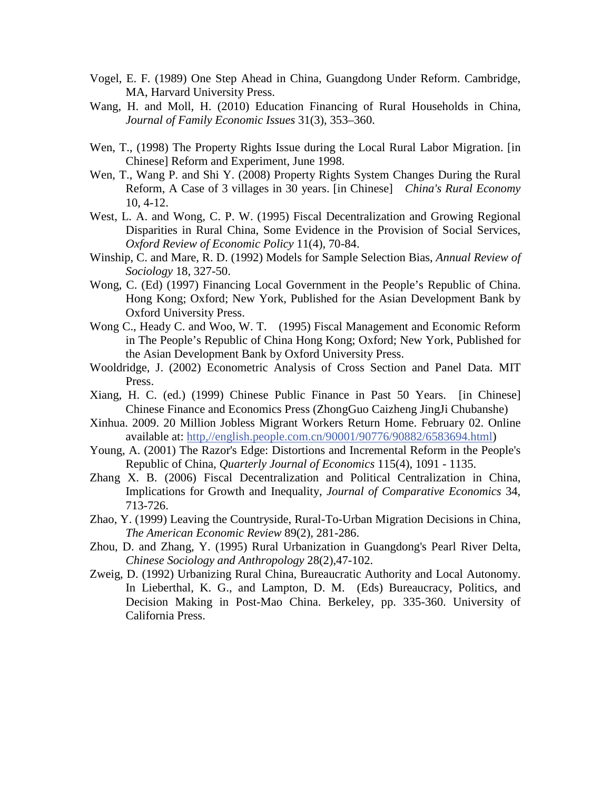- Vogel, E. F. (1989) One Step Ahead in China, Guangdong Under Reform. Cambridge, MA, Harvard University Press.
- Wang, H. and Moll, H. (2010) Education Financing of Rural Households in China, *Journal of Family Economic Issues* 31(3), 353–360.
- Wen, T., (1998) The Property Rights Issue during the Local Rural Labor Migration. [in Chinese] Reform and Experiment, June 1998.
- Wen, T., Wang P. and Shi Y. (2008) Property Rights System Changes During the Rural Reform, A Case of 3 villages in 30 years. [in Chinese] *China's Rural Economy* 10, 4-12.
- West, L. A. and Wong, C. P. W. (1995) Fiscal Decentralization and Growing Regional Disparities in Rural China, Some Evidence in the Provision of Social Services, *Oxford Review of Economic Policy* 11(4), 70-84.
- Winship, C. and Mare, R. D. (1992) Models for Sample Selection Bias, *Annual Review of Sociology* 18, 327-50.
- Wong, C. (Ed) (1997) Financing Local Government in the People's Republic of China. Hong Kong; Oxford; New York, Published for the Asian Development Bank by Oxford University Press.
- Wong C., Heady C. and Woo, W. T. (1995) Fiscal Management and Economic Reform in The People's Republic of China Hong Kong; Oxford; New York, Published for the Asian Development Bank by Oxford University Press.
- Wooldridge, J. (2002) Econometric Analysis of Cross Section and Panel Data. MIT Press.
- Xiang, H. C. (ed.) (1999) Chinese Public Finance in Past 50 Years. [in Chinese] Chinese Finance and Economics Press (ZhongGuo Caizheng JingJi Chubanshe)
- Xinhua. 2009. 20 Million Jobless Migrant Workers Return Home. February 02. Online available at: [http,//english.people.com.cn/90001/90776/90882/6583694.html\)](http://english.people.com.cn/90001/90776/90882/6583694.html)
- Young, A. (2001) The Razor's Edge: Distortions and Incremental Reform in the People's Republic of China, *Quarterly Journal of Economics* 115(4), 1091 - 1135.
- Zhang X. B. (2006) Fiscal Decentralization and Political Centralization in China, Implications for Growth and Inequality, *Journal of Comparative Economics* 34, 713-726.
- Zhao, Y. (1999) Leaving the Countryside, Rural-To-Urban Migration Decisions in China, *The American Economic Review* 89(2), 281-286.
- Zhou, D. and Zhang, Y. (1995) Rural Urbanization in Guangdong's Pearl River Delta, *Chinese Sociology and Anthropology* 28(2),47-102.
- Zweig, D. (1992) Urbanizing Rural China, Bureaucratic Authority and Local Autonomy. In Lieberthal, K. G., and Lampton, D. M. (Eds) Bureaucracy, Politics, and Decision Making in Post-Mao China. Berkeley, pp. 335-360. University of California Press.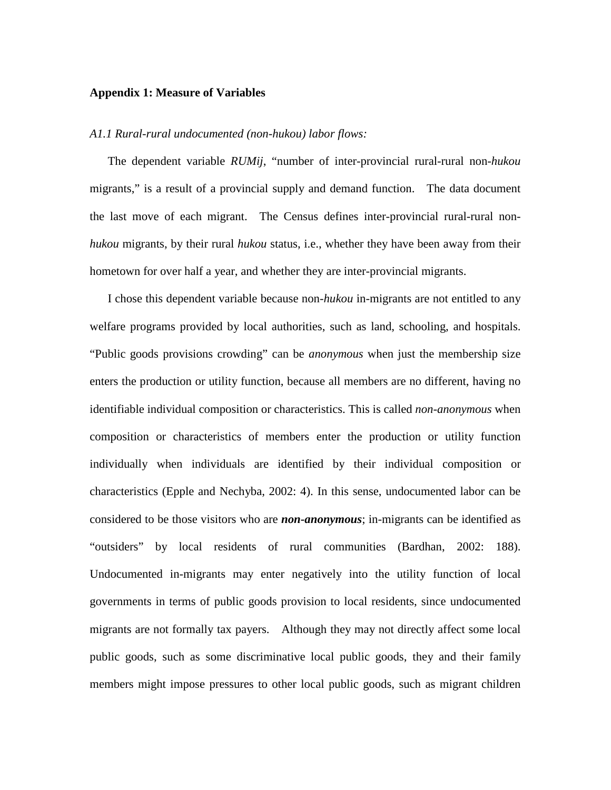#### **Appendix 1: Measure of Variables**

#### *A1.1 Rural-rural undocumented (non-hukou) labor flows:*

The dependent variable *RUMij*, "number of inter-provincial rural-rural non*-hukou* migrants," is a result of a provincial supply and demand function. The data document the last move of each migrant. The Census defines inter-provincial rural-rural non*hukou* migrants, by their rural *hukou* status, i.e., whether they have been away from their hometown for over half a year, and whether they are inter-provincial migrants.

I chose this dependent variable because non*-hukou* in-migrants are not entitled to any welfare programs provided by local authorities, such as land, schooling, and hospitals. "Public goods provisions crowding" can be *anonymous* when just the membership size enters the production or utility function, because all members are no different, having no identifiable individual composition or characteristics. This is called *non-anonymous* when composition or characteristics of members enter the production or utility function individually when individuals are identified by their individual composition or characteristics (Epple and Nechyba, 2002: 4). In this sense, undocumented labor can be considered to be those visitors who are *non-anonymous*; in-migrants can be identified as "outsiders" by local residents of rural communities (Bardhan, 2002: 188). Undocumented in-migrants may enter negatively into the utility function of local governments in terms of public goods provision to local residents, since undocumented migrants are not formally tax payers. Although they may not directly affect some local public goods, such as some discriminative local public goods, they and their family members might impose pressures to other local public goods, such as migrant children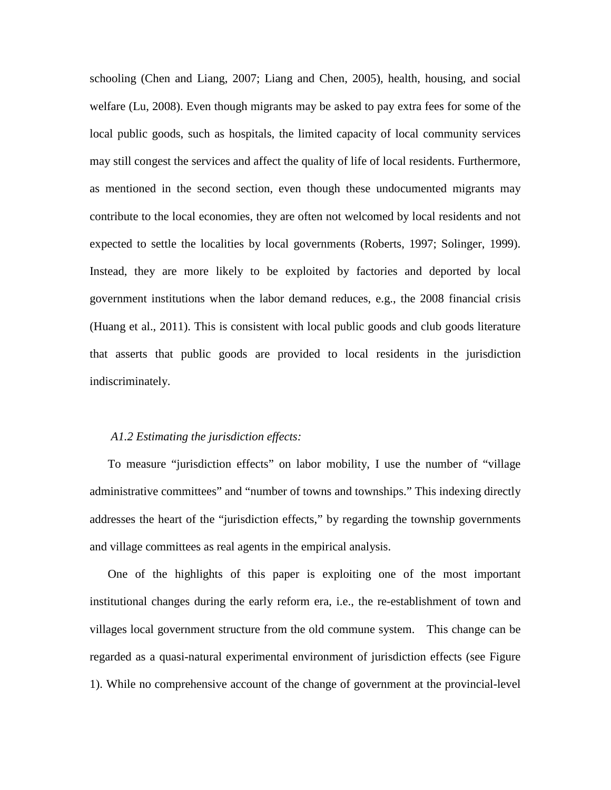schooling (Chen and Liang, 2007; Liang and Chen, 2005), health, housing, and social welfare (Lu, 2008). Even though migrants may be asked to pay extra fees for some of the local public goods, such as hospitals, the limited capacity of local community services may still congest the services and affect the quality of life of local residents. Furthermore, as mentioned in the second section, even though these undocumented migrants may contribute to the local economies, they are often not welcomed by local residents and not expected to settle the localities by local governments (Roberts, 1997; Solinger, 1999). Instead, they are more likely to be exploited by factories and deported by local government institutions when the labor demand reduces, e.g., the 2008 financial crisis (Huang et al., 2011). This is consistent with local public goods and club goods literature that asserts that public goods are provided to local residents in the jurisdiction indiscriminately.

#### *A1.2 Estimating the jurisdiction effects:*

To measure "jurisdiction effects" on labor mobility, I use the number of "village administrative committees" and "number of towns and townships." This indexing directly addresses the heart of the "jurisdiction effects," by regarding the township governments and village committees as real agents in the empirical analysis.

One of the highlights of this paper is exploiting one of the most important institutional changes during the early reform era, i.e., the re-establishment of town and villages local government structure from the old commune system. This change can be regarded as a quasi-natural experimental environment of jurisdiction effects (see Figure 1). While no comprehensive account of the change of government at the provincial-level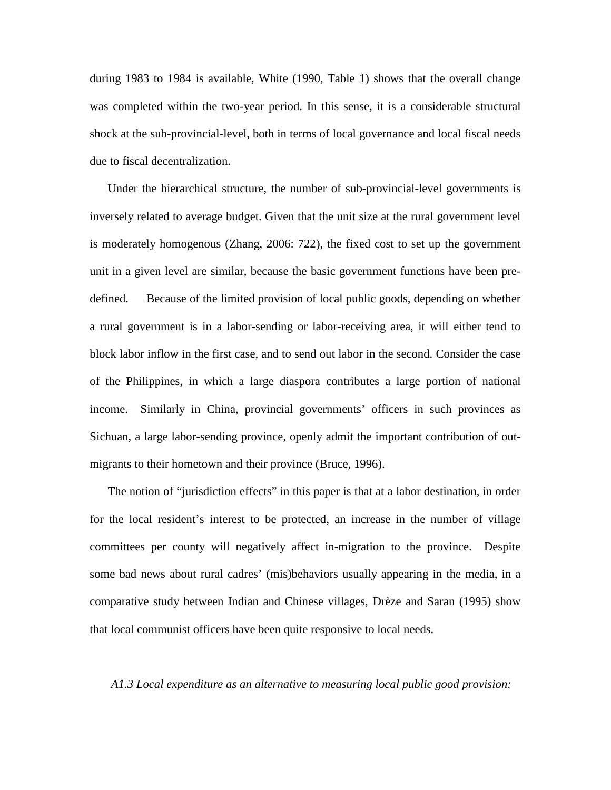during 1983 to 1984 is available, White (1990, Table 1) shows that the overall change was completed within the two-year period. In this sense, it is a considerable structural shock at the sub-provincial-level, both in terms of local governance and local fiscal needs due to fiscal decentralization.

Under the hierarchical structure, the number of sub-provincial-level governments is inversely related to average budget. Given that the unit size at the rural government level is moderately homogenous (Zhang, 2006: 722), the fixed cost to set up the government unit in a given level are similar, because the basic government functions have been predefined. Because of the limited provision of local public goods, depending on whether a rural government is in a labor-sending or labor-receiving area, it will either tend to block labor inflow in the first case, and to send out labor in the second. Consider the case of the Philippines, in which a large diaspora contributes a large portion of national income. Similarly in China, provincial governments' officers in such provinces as Sichuan, a large labor-sending province, openly admit the important contribution of outmigrants to their hometown and their province (Bruce, 1996).

The notion of "jurisdiction effects" in this paper is that at a labor destination, in order for the local resident's interest to be protected, an increase in the number of village committees per county will negatively affect in-migration to the province. Despite some bad news about rural cadres' (mis)behaviors usually appearing in the media, in a comparative study between Indian and Chinese villages, Drèze and Saran (1995) show that local communist officers have been quite responsive to local needs.

#### *A1.3 Local expenditure as an alternative to measuring local public good provision:*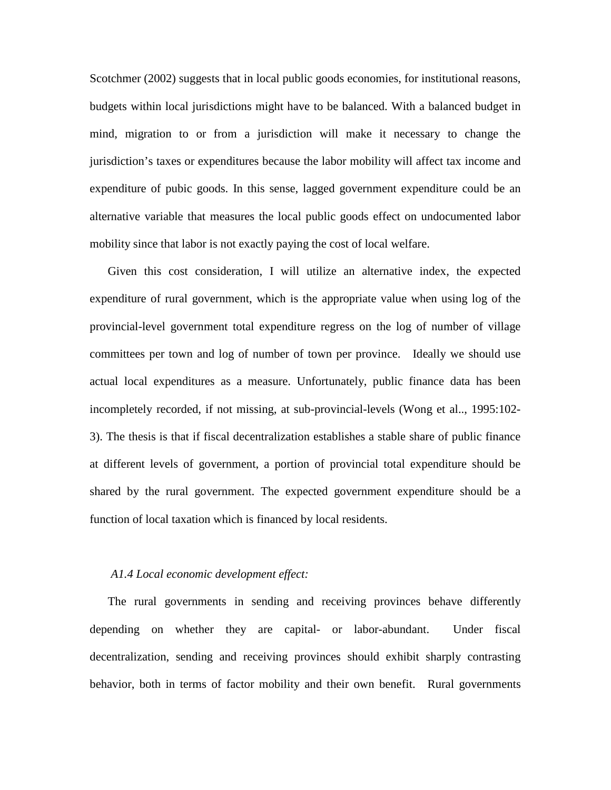Scotchmer (2002) suggests that in local public goods economies, for institutional reasons, budgets within local jurisdictions might have to be balanced. With a balanced budget in mind, migration to or from a jurisdiction will make it necessary to change the jurisdiction's taxes or expenditures because the labor mobility will affect tax income and expenditure of pubic goods. In this sense, lagged government expenditure could be an alternative variable that measures the local public goods effect on undocumented labor mobility since that labor is not exactly paying the cost of local welfare.

Given this cost consideration, I will utilize an alternative index, the expected expenditure of rural government, which is the appropriate value when using log of the provincial-level government total expenditure regress on the log of number of village committees per town and log of number of town per province. Ideally we should use actual local expenditures as a measure. Unfortunately, public finance data has been incompletely recorded, if not missing, at sub-provincial-levels (Wong et al.., 1995:102- 3). The thesis is that if fiscal decentralization establishes a stable share of public finance at different levels of government, a portion of provincial total expenditure should be shared by the rural government. The expected government expenditure should be a function of local taxation which is financed by local residents.

#### *A1.4 Local economic development effect:*

The rural governments in sending and receiving provinces behave differently depending on whether they are capital- or labor-abundant. Under fiscal decentralization, sending and receiving provinces should exhibit sharply contrasting behavior, both in terms of factor mobility and their own benefit. Rural governments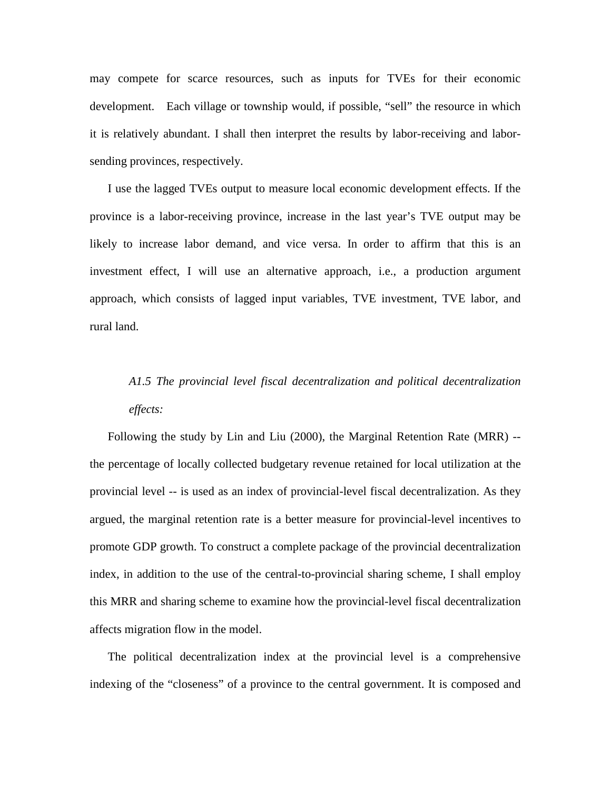may compete for scarce resources, such as inputs for TVEs for their economic development. Each village or township would, if possible, "sell" the resource in which it is relatively abundant. I shall then interpret the results by labor-receiving and laborsending provinces, respectively.

I use the lagged TVEs output to measure local economic development effects. If the province is a labor-receiving province, increase in the last year's TVE output may be likely to increase labor demand, and vice versa. In order to affirm that this is an investment effect, I will use an alternative approach, i.e., a production argument approach, which consists of lagged input variables, TVE investment, TVE labor, and rural land.

# *A1.5 The provincial level fiscal decentralization and political decentralization effects:*

Following the study by Lin and Liu (2000), the Marginal Retention Rate (MRR) - the percentage of locally collected budgetary revenue retained for local utilization at the provincial level -- is used as an index of provincial-level fiscal decentralization. As they argued, the marginal retention rate is a better measure for provincial-level incentives to promote GDP growth. To construct a complete package of the provincial decentralization index, in addition to the use of the central-to-provincial sharing scheme, I shall employ this MRR and sharing scheme to examine how the provincial-level fiscal decentralization affects migration flow in the model.

The political decentralization index at the provincial level is a comprehensive indexing of the "closeness" of a province to the central government. It is composed and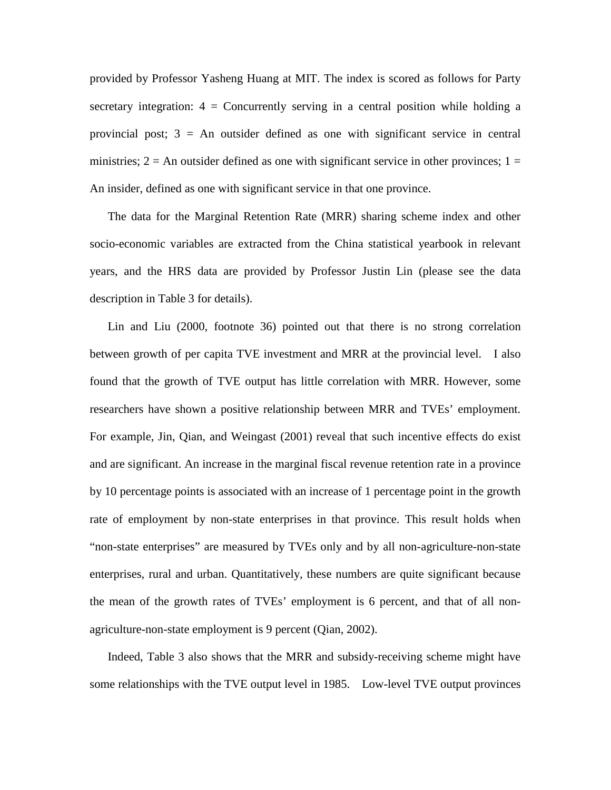provided by Professor Yasheng Huang at MIT. The index is scored as follows for Party secretary integration:  $4 =$  Concurrently serving in a central position while holding a provincial post;  $3 = An$  outsider defined as one with significant service in central ministries;  $2 = An$  outsider defined as one with significant service in other provinces;  $1 =$ An insider, defined as one with significant service in that one province.

The data for the Marginal Retention Rate (MRR) sharing scheme index and other socio-economic variables are extracted from the China statistical yearbook in relevant years, and the HRS data are provided by Professor Justin Lin (please see the data description in Table 3 for details).

Lin and Liu (2000, footnote 36) pointed out that there is no strong correlation between growth of per capita TVE investment and MRR at the provincial level. I also found that the growth of TVE output has little correlation with MRR. However, some researchers have shown a positive relationship between MRR and TVEs' employment. For example, Jin, Qian, and Weingast (2001) reveal that such incentive effects do exist and are significant. An increase in the marginal fiscal revenue retention rate in a province by 10 percentage points is associated with an increase of 1 percentage point in the growth rate of employment by non-state enterprises in that province. This result holds when "non-state enterprises" are measured by TVEs only and by all non-agriculture-non-state enterprises, rural and urban. Quantitatively, these numbers are quite significant because the mean of the growth rates of TVEs' employment is 6 percent, and that of all nonagriculture-non-state employment is 9 percent (Qian, 2002).

Indeed, Table 3 also shows that the MRR and subsidy-receiving scheme might have some relationships with the TVE output level in 1985. Low-level TVE output provinces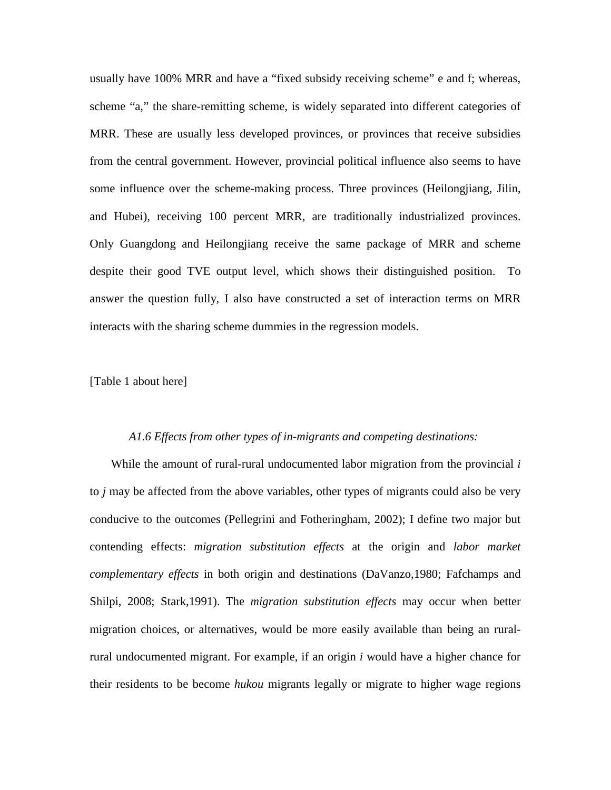usually have 100% MRR and have a "fixed subsidy receiving scheme" e and f; whereas, scheme "a," the share-remitting scheme, is widely separated into different categories of MRR. These are usually less developed provinces, or provinces that receive subsidies from the central government. However, provincial political influence also seems to have some influence over the scheme-making process. Three provinces (Heilongjiang, Jilin, and Hubei), receiving 100 percent MRR, are traditionally industrialized provinces. Only Guangdong and Heilongjiang receive the same package of MRR and scheme despite their good TVE output level, which shows their distinguished position. To answer the question fully, I also have constructed a set of interaction terms on MRR interacts with the sharing scheme dummies in the regression models.

[Table 1 about here]

#### *A1.6 Effects from other types of in-migrants and competing destinations:*

While the amount of rural-rural undocumented labor migration from the provincial *i* to *j* may be affected from the above variables, other types of migrants could also be very conducive to the outcomes (Pellegrini and Fotheringham, 2002); I define two major but contending effects: *migration substitution effects* at the origin and *labor market complementary effects* in both origin and destinations (DaVanzo,1980; Fafchamps and Shilpi, 2008; Stark,1991). The *migration substitution effects* may occur when better migration choices, or alternatives, would be more easily available than being an ruralrural undocumented migrant. For example, if an origin *i* would have a higher chance for their residents to be become *hukou* migrants legally or migrate to higher wage regions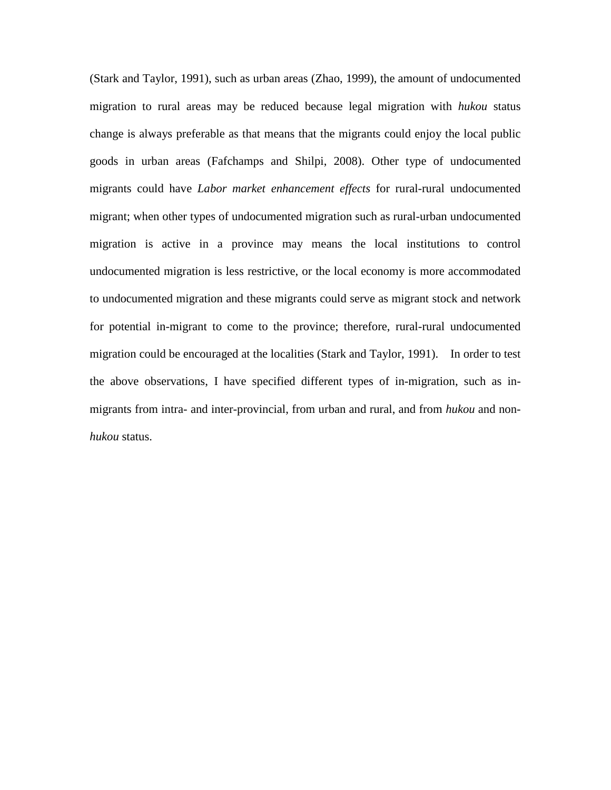(Stark and Taylor, 1991), such as urban areas (Zhao, 1999), the amount of undocumented migration to rural areas may be reduced because legal migration with *hukou* status change is always preferable as that means that the migrants could enjoy the local public goods in urban areas (Fafchamps and Shilpi, 2008). Other type of undocumented migrants could have *Labor market enhancement effects* for rural-rural undocumented migrant; when other types of undocumented migration such as rural-urban undocumented migration is active in a province may means the local institutions to control undocumented migration is less restrictive, or the local economy is more accommodated to undocumented migration and these migrants could serve as migrant stock and network for potential in-migrant to come to the province; therefore, rural-rural undocumented migration could be encouraged at the localities (Stark and Taylor, 1991). In order to test the above observations, I have specified different types of in-migration, such as inmigrants from intra- and inter-provincial, from urban and rural, and from *hukou* and non*hukou* status.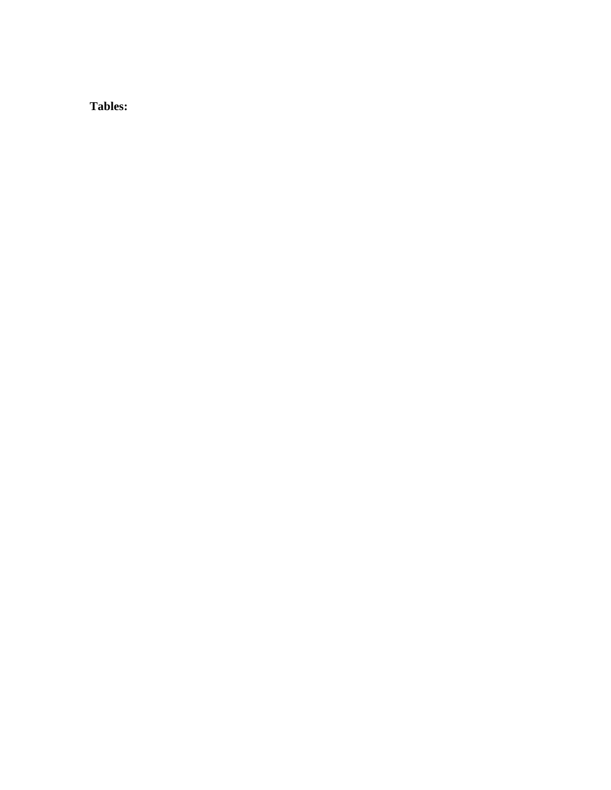**Tables:**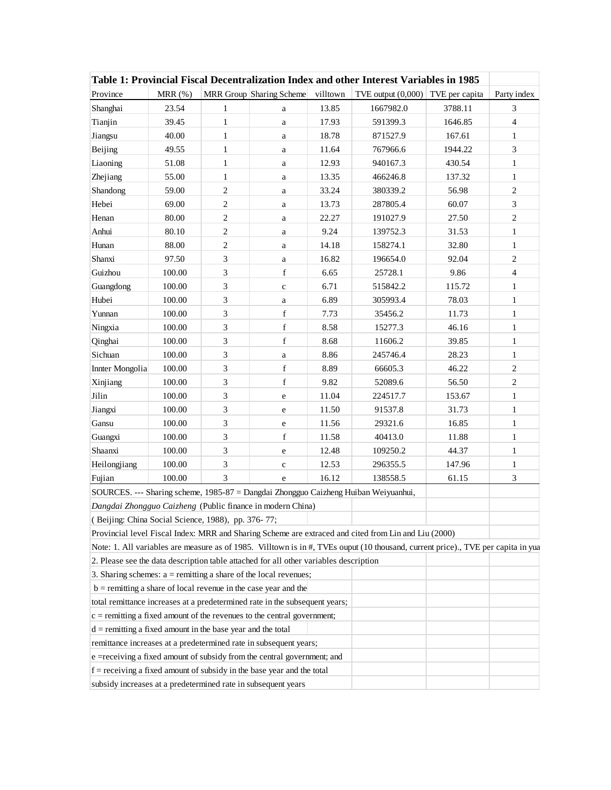| Table 1: Provincial Fiscal Decentralization Index and other Interest Variables in 1985 |        |                         |                          |          |                                                                                                                                  |                |                |  |
|----------------------------------------------------------------------------------------|--------|-------------------------|--------------------------|----------|----------------------------------------------------------------------------------------------------------------------------------|----------------|----------------|--|
| Province                                                                               | MRR(%) |                         | MRR Group Sharing Scheme | villtown | TVE output $(0,000)$                                                                                                             | TVE per capita | Party index    |  |
| Shanghai                                                                               | 23.54  | 1                       | a                        | 13.85    | 1667982.0                                                                                                                        | 3788.11        | 3              |  |
| Tianjin                                                                                | 39.45  | $\mathbf{1}$            | a                        | 17.93    | 591399.3                                                                                                                         | 1646.85        | $\overline{4}$ |  |
| Jiangsu                                                                                | 40.00  | $\mathbf{1}$            | a                        | 18.78    | 871527.9                                                                                                                         | 167.61         | $\mathbf{1}$   |  |
| Beijing                                                                                | 49.55  | $\mathbf{1}$            | a                        | 11.64    | 767966.6                                                                                                                         | 1944.22        | 3              |  |
| Liaoning                                                                               | 51.08  | $\mathbf{1}$            | a                        | 12.93    | 940167.3                                                                                                                         | 430.54         | $\mathbf{1}$   |  |
| Zhejiang                                                                               | 55.00  | $\mathbf{1}$            | a                        | 13.35    | 466246.8                                                                                                                         | 137.32         | $\mathbf{1}$   |  |
| Shandong                                                                               | 59.00  | 2                       | a                        | 33.24    | 380339.2                                                                                                                         | 56.98          | $\mathfrak{2}$ |  |
| Hebei                                                                                  | 69.00  | 2                       | a                        | 13.73    | 287805.4                                                                                                                         | 60.07          | 3              |  |
| Henan                                                                                  | 80.00  | $\overline{c}$          | a                        | 22.27    | 191027.9                                                                                                                         | 27.50          | $\overline{2}$ |  |
| Anhui                                                                                  | 80.10  | $\overline{c}$          | a                        | 9.24     | 139752.3                                                                                                                         | 31.53          | $\mathbf{1}$   |  |
| Hunan                                                                                  | 88.00  | $\overline{\mathbf{c}}$ | a                        | 14.18    | 158274.1                                                                                                                         | 32.80          | $\mathbf{1}$   |  |
| Shanxi                                                                                 | 97.50  | 3                       | a                        | 16.82    | 196654.0                                                                                                                         | 92.04          | $\mathfrak{2}$ |  |
| Guizhou                                                                                | 100.00 | 3                       | $\mathbf f$              | 6.65     | 25728.1                                                                                                                          | 9.86           | $\overline{4}$ |  |
| Guangdong                                                                              | 100.00 | 3                       | $\mathbf c$              | 6.71     | 515842.2                                                                                                                         | 115.72         | $\mathbf{1}$   |  |
| Hubei                                                                                  | 100.00 | 3                       | a                        | 6.89     | 305993.4                                                                                                                         | 78.03          | 1              |  |
| Yunnan                                                                                 | 100.00 | 3                       | $\mathbf f$              | 7.73     | 35456.2                                                                                                                          | 11.73          | $\mathbf{1}$   |  |
| Ningxia                                                                                | 100.00 | 3                       | $\mathbf f$              | 8.58     | 15277.3                                                                                                                          | 46.16          | $\mathbf{1}$   |  |
| Qinghai                                                                                | 100.00 | 3                       | $\mathbf f$              | 8.68     | 11606.2                                                                                                                          | 39.85          | $\mathbf{1}$   |  |
| Sichuan                                                                                | 100.00 | 3                       | a                        | 8.86     | 245746.4                                                                                                                         | 28.23          | $\mathbf{1}$   |  |
| Innter Mongolia                                                                        | 100.00 | 3                       | $\mathbf f$              | 8.89     | 66605.3                                                                                                                          | 46.22          | $\overline{2}$ |  |
| Xinjiang                                                                               | 100.00 | 3                       | $\mathbf f$              | 9.82     | 52089.6                                                                                                                          | 56.50          | $\mathfrak{2}$ |  |
| Jilin                                                                                  | 100.00 | 3                       | e                        | 11.04    | 224517.7                                                                                                                         | 153.67         | $\mathbf{1}$   |  |
| Jiangxi                                                                                | 100.00 | 3                       | e                        | 11.50    | 91537.8                                                                                                                          | 31.73          | $\mathbf{1}$   |  |
| Gansu                                                                                  | 100.00 | 3                       | e                        | 11.56    | 29321.6                                                                                                                          | 16.85          | $\mathbf{1}$   |  |
| Guangxi                                                                                | 100.00 | 3                       | $\mathbf f$              | 11.58    | 40413.0                                                                                                                          | 11.88          | $\mathbf{1}$   |  |
| Shaanxi                                                                                | 100.00 | 3                       | $\rm e$                  | 12.48    | 109250.2                                                                                                                         | 44.37          | $\mathbf{1}$   |  |
| Heilongjiang                                                                           | 100.00 | 3                       | $\mathbf c$              | 12.53    | 296355.5                                                                                                                         | 147.96         | $\mathbf{1}$   |  |
| Fujian                                                                                 | 100.00 | 3                       | e                        | 16.12    | 138558.5                                                                                                                         | 61.15          | 3              |  |
|                                                                                        |        |                         |                          |          | SOURCES. --- Sharing scheme, 1985-87 = Dangdai Zhongguo Caizheng Huiban Weiyuanhui,                                              |                |                |  |
| Dangdai Zhongguo Caizheng (Public finance in modern China)                             |        |                         |                          |          |                                                                                                                                  |                |                |  |
| (Beijing: China Social Science, 1988), pp. 376-77;                                     |        |                         |                          |          |                                                                                                                                  |                |                |  |
|                                                                                        |        |                         |                          |          | Provincial level Fiscal Index: MRR and Sharing Scheme are extraced and cited from Lin and Liu (2000)                             |                |                |  |
|                                                                                        |        |                         |                          |          | Note: 1. All variables are measure as of 1985. Villtown is in #, TVEs ouput (10 thousand, current price)., TVE per capita in yua |                |                |  |
| 2. Please see the data description table attached for all other variables description  |        |                         |                          |          |                                                                                                                                  |                |                |  |
| 3. Sharing schemes: $a =$ remitting a share of the local revenues;                     |        |                         |                          |          |                                                                                                                                  |                |                |  |
| $b =$ remitting a share of local revenue in the case year and the                      |        |                         |                          |          |                                                                                                                                  |                |                |  |
| total remittance increases at a predetermined rate in the subsequent years;            |        |                         |                          |          |                                                                                                                                  |                |                |  |
| $c =$ remitting a fixed amount of the revenues to the central government;              |        |                         |                          |          |                                                                                                                                  |                |                |  |
| $d =$ remitting a fixed amount in the base year and the total                          |        |                         |                          |          |                                                                                                                                  |                |                |  |
| remittance increases at a predetermined rate in subsequent years;                      |        |                         |                          |          |                                                                                                                                  |                |                |  |
| e =receiving a fixed amount of subsidy from the central government; and                |        |                         |                          |          |                                                                                                                                  |                |                |  |
| $f =$ receiving a fixed amount of subsidy in the base year and the total               |        |                         |                          |          |                                                                                                                                  |                |                |  |
| subsidy increases at a predetermined rate in subsequent years                          |        |                         |                          |          |                                                                                                                                  |                |                |  |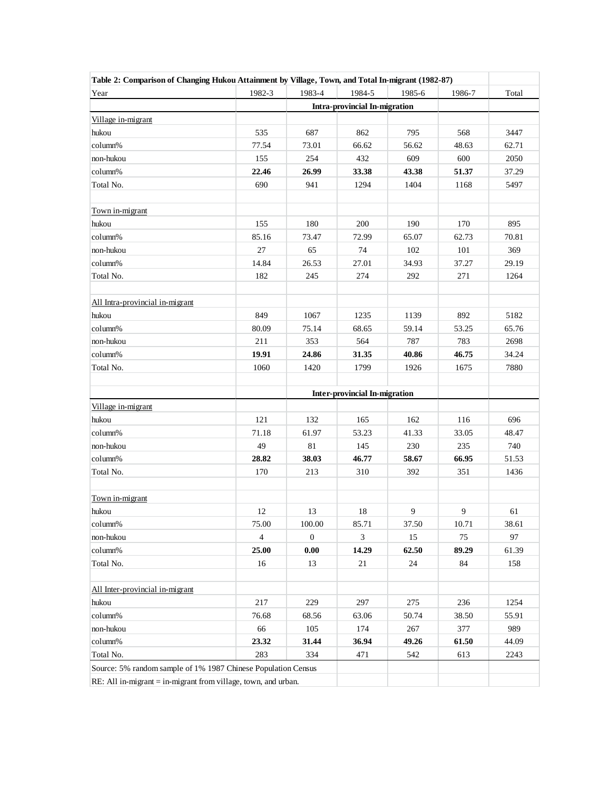| Table 2: Comparison of Changing Hukou Attainment by Village, Town, and Total In-migrant (1982-87) |                |              |                               |                |        |       |
|---------------------------------------------------------------------------------------------------|----------------|--------------|-------------------------------|----------------|--------|-------|
| Year                                                                                              | 1982-3         | 1983-4       | 1984-5                        | 1985-6         | 1986-7 | Total |
|                                                                                                   |                |              | Intra-provincial In-migration |                |        |       |
| Village in-migrant                                                                                |                |              |                               |                |        |       |
| hukou                                                                                             | 535            | 687          | 862                           | 795            | 568    | 3447  |
| column%                                                                                           | 77.54          | 73.01        | 66.62                         | 56.62          | 48.63  | 62.71 |
| non-hukou                                                                                         | 155            | 254          | 432                           | 609            | 600    | 2050  |
| column%                                                                                           | 22.46          | 26.99        | 33.38                         | 43.38          | 51.37  | 37.29 |
| Total No.                                                                                         | 690            | 941          | 1294                          | 1404           | 1168   | 5497  |
|                                                                                                   |                |              |                               |                |        |       |
| Town in-migrant                                                                                   |                |              |                               |                |        |       |
| hukou                                                                                             | 155            | 180          | 200                           | 190            | 170    | 895   |
| column%                                                                                           | 85.16          | 73.47        | 72.99                         | 65.07          | 62.73  | 70.81 |
| non-hukou                                                                                         | 27             | 65           | 74                            | 102            | 101    | 369   |
| column%                                                                                           | 14.84          | 26.53        | 27.01                         | 34.93          | 37.27  | 29.19 |
| Total No.                                                                                         | 182            | 245          | 274                           | 292            | 271    | 1264  |
| All Intra-provincial in-migrant                                                                   |                |              |                               |                |        |       |
| hukou                                                                                             | 849            | 1067         | 1235                          | 1139           | 892    | 5182  |
| column%                                                                                           | 80.09          | 75.14        | 68.65                         | 59.14          | 53.25  | 65.76 |
| non-hukou                                                                                         | 211            | 353          | 564                           | 787            | 783    | 2698  |
| column%                                                                                           | 19.91          | 24.86        | 31.35                         | 40.86          | 46.75  | 34.24 |
| Total No.                                                                                         | 1060           | 1420         | 1799                          | 1926           | 1675   | 7880  |
|                                                                                                   |                |              |                               |                |        |       |
|                                                                                                   |                |              | Inter-provincial In-migration |                |        |       |
| Village in-migrant                                                                                |                |              |                               |                |        |       |
| hukou                                                                                             | 121            | 132          | 165                           | 162            | 116    | 696   |
| column%                                                                                           | 71.18          | 61.97        | 53.23                         | 41.33          | 33.05  | 48.47 |
| non-hukou                                                                                         | 49             | 81           | 145                           | 230            | 235    | 740   |
| column%                                                                                           | 28.82          | 38.03        | 46.77                         | 58.67          | 66.95  | 51.53 |
| Total No.                                                                                         | 170            | 213          | 310                           | 392            | 351    | 1436  |
|                                                                                                   |                |              |                               |                |        |       |
| Town in-migrant                                                                                   |                |              |                               |                |        |       |
| hukou                                                                                             | 12             | 13           | 18                            | $\overline{9}$ | 9      | 61    |
| column%                                                                                           | 75.00          | 100.00       | 85.71                         | 37.50          | 10.71  | 38.61 |
| non-hukou                                                                                         | $\overline{4}$ | $\mathbf{0}$ | 3                             | 15             | 75     | 97    |
| column%                                                                                           | 25.00          | 0.00         | 14.29                         | 62.50          | 89.29  | 61.39 |
| Total No.                                                                                         | 16             | 13           | 21                            | 24             | 84     | 158   |
|                                                                                                   |                |              |                               |                |        |       |
| All Inter-provincial in-migrant                                                                   |                |              |                               |                |        |       |
| hukou                                                                                             | 217            | 229          | 297                           | 275            | 236    | 1254  |
| column%                                                                                           | 76.68          | 68.56        | 63.06                         | 50.74          | 38.50  | 55.91 |
| non-hukou                                                                                         | 66             | 105          | 174                           | 267            | 377    | 989   |
| column%                                                                                           | 23.32          | 31.44        | 36.94                         | 49.26          | 61.50  | 44.09 |
| Total No.                                                                                         | 283            | 334          | 471                           | 542            | 613    | 2243  |
| Source: 5% random sample of 1% 1987 Chinese Population Census                                     |                |              |                               |                |        |       |
| RE: All in-migrant $=$ in-migrant from village, town, and urban.                                  |                |              |                               |                |        |       |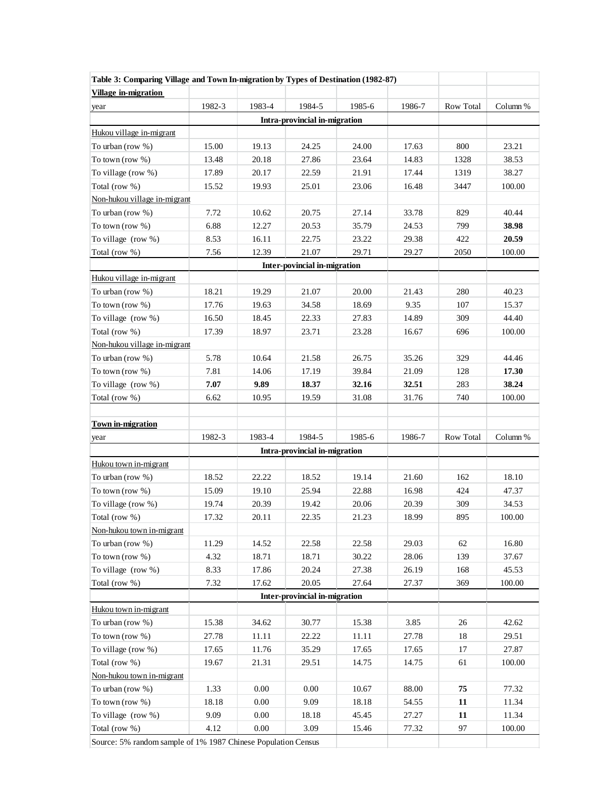| Table 3: Comparing Village and Town In-migration by Types of Destination (1982-87) |        |          |                               |        |        |           |          |  |  |
|------------------------------------------------------------------------------------|--------|----------|-------------------------------|--------|--------|-----------|----------|--|--|
| <b>Village in-migration</b>                                                        |        |          |                               |        |        |           |          |  |  |
| year                                                                               | 1982-3 | 1983-4   | 1984-5                        | 1985-6 | 1986-7 | Row Total | Column % |  |  |
|                                                                                    |        |          | Intra-provincial in-migration |        |        |           |          |  |  |
| Hukou village in-migrant                                                           |        |          |                               |        |        |           |          |  |  |
| To urban (row $%$ )                                                                | 15.00  | 19.13    | 24.25                         | 24.00  | 17.63  | 800       | 23.21    |  |  |
| To town (row $%$ )                                                                 | 13.48  | 20.18    | 27.86                         | 23.64  | 14.83  | 1328      | 38.53    |  |  |
| To village (row %)                                                                 | 17.89  | 20.17    | 22.59                         | 21.91  | 17.44  | 1319      | 38.27    |  |  |
| Total (row %)                                                                      | 15.52  | 19.93    | 25.01                         | 23.06  | 16.48  | 3447      | 100.00   |  |  |
| Non-hukou village in-migrant                                                       |        |          |                               |        |        |           |          |  |  |
| To urban (row $%$ )                                                                | 7.72   | 10.62    | 20.75                         | 27.14  | 33.78  | 829       | 40.44    |  |  |
| To town (row $%$ )                                                                 | 6.88   | 12.27    | 20.53                         | 35.79  | 24.53  | 799       | 38.98    |  |  |
| To village (row %)                                                                 | 8.53   | 16.11    | 22.75                         | 23.22  | 29.38  | 422       | 20.59    |  |  |
| Total (row %)                                                                      | 7.56   | 12.39    | 21.07                         | 29.71  | 29.27  | 2050      | 100.00   |  |  |
|                                                                                    |        |          | Inter-povincial in-migration  |        |        |           |          |  |  |
| Hukou village in-migrant                                                           |        |          |                               |        |        |           |          |  |  |
| To urban (row $%$ )                                                                | 18.21  | 19.29    | 21.07                         | 20.00  | 21.43  | 280       | 40.23    |  |  |
| To town (row $%$ )                                                                 | 17.76  | 19.63    | 34.58                         | 18.69  | 9.35   | 107       | 15.37    |  |  |
| To village $(row %)$                                                               | 16.50  | 18.45    | 22.33                         | 27.83  | 14.89  | 309       | 44.40    |  |  |
| Total (row %)                                                                      | 17.39  | 18.97    | 23.71                         | 23.28  | 16.67  | 696       | 100.00   |  |  |
| Non-hukou village in-migrant                                                       |        |          |                               |        |        |           |          |  |  |
| To urban (row $%$ )                                                                | 5.78   | 10.64    | 21.58                         | 26.75  | 35.26  | 329       | 44.46    |  |  |
| To town (row $%$ )                                                                 | 7.81   | 14.06    | 17.19                         | 39.84  | 21.09  | 128       | 17.30    |  |  |
| To village $(row %)$                                                               | 7.07   | 9.89     | 18.37                         | 32.16  | 32.51  | 283       | 38.24    |  |  |
| Total (row %)                                                                      | 6.62   | 10.95    | 19.59                         | 31.08  | 31.76  | 740       | 100.00   |  |  |
|                                                                                    |        |          |                               |        |        |           |          |  |  |
| <b>Town in-migration</b>                                                           |        |          |                               |        |        |           |          |  |  |
| year                                                                               | 1982-3 | 1983-4   | 1984-5                        | 1985-6 | 1986-7 | Row Total | Column % |  |  |
|                                                                                    |        |          | Intra-provincial in-migration |        |        |           |          |  |  |
| Hukou town in-migrant                                                              |        |          |                               |        |        |           |          |  |  |
| To urban (row %)                                                                   | 18.52  | 22.22    | 18.52                         | 19.14  | 21.60  | 162       | 18.10    |  |  |
| To town (row $%$ )                                                                 | 15.09  | 19.10    | 25.94                         | 22.88  | 16.98  | 424       | 47.37    |  |  |
| To village (row %)                                                                 | 19.74  | 20.39    | 19.42                         | 20.06  | 20.39  | 309       | 34.53    |  |  |
| Total (row %)                                                                      | 17.32  | 20.11    | 22.35                         | 21.23  | 18.99  | 895       | 100.00   |  |  |
| Non-hukou town in-migrant                                                          |        |          |                               |        |        |           |          |  |  |
| To urban (row %)                                                                   | 11.29  | 14.52    | 22.58                         | 22.58  | 29.03  | 62        | 16.80    |  |  |
| To town (row $%$ )                                                                 | 4.32   | 18.71    | 18.71                         | 30.22  | 28.06  | 139       | 37.67    |  |  |
| To village (row %)                                                                 | 8.33   | 17.86    | 20.24                         | 27.38  | 26.19  | 168       | 45.53    |  |  |
| Total (row %)                                                                      | 7.32   | 17.62    | 20.05                         | 27.64  | 27.37  | 369       | 100.00   |  |  |
|                                                                                    |        |          | Inter-provincial in-migration |        |        |           |          |  |  |
| Hukou town in-migrant                                                              |        |          |                               |        |        |           |          |  |  |
| To urban (row %)                                                                   | 15.38  | 34.62    | 30.77                         | 15.38  | 3.85   | 26        | 42.62    |  |  |
| To town (row %)                                                                    | 27.78  | 11.11    | 22.22                         | 11.11  | 27.78  | 18        | 29.51    |  |  |
| To village (row %)                                                                 | 17.65  | 11.76    | 35.29                         | 17.65  | 17.65  | 17        | 27.87    |  |  |
| Total (row %)                                                                      | 19.67  | 21.31    | 29.51                         | 14.75  | 14.75  | 61        | 100.00   |  |  |
| Non-hukou town in-migrant                                                          |        |          |                               |        |        |           |          |  |  |
| To urban (row $%$ )                                                                | 1.33   | 0.00     | 0.00                          | 10.67  | 88.00  | 75        | 77.32    |  |  |
| To town (row $%$ )                                                                 | 18.18  | $0.00\,$ | 9.09                          | 18.18  | 54.55  | 11        | 11.34    |  |  |
| To village (row %)                                                                 | 9.09   | $0.00\,$ | 18.18                         | 45.45  | 27.27  | 11        | 11.34    |  |  |
| Total (row %)                                                                      | 4.12   | $0.00\,$ | 3.09                          | 15.46  | 77.32  | 97        | 100.00   |  |  |
| Source: 5% random sample of 1% 1987 Chinese Population Census                      |        |          |                               |        |        |           |          |  |  |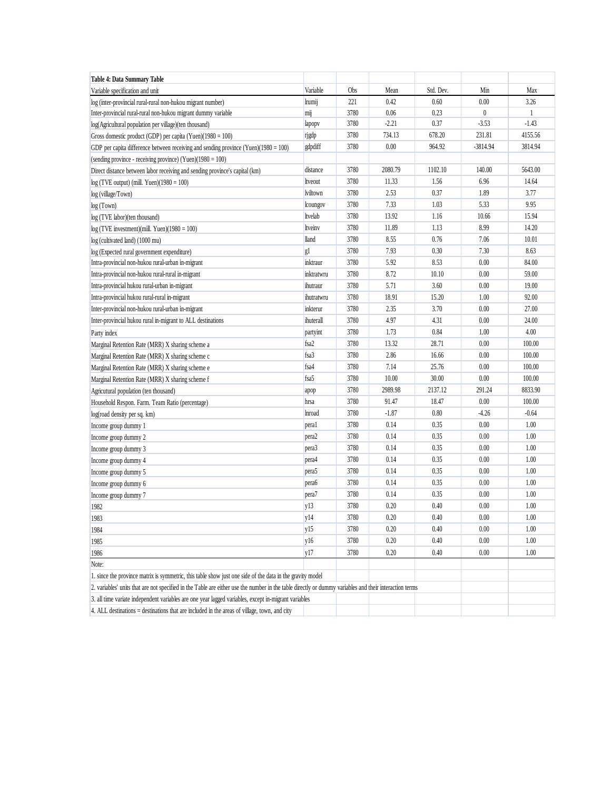| Table 4: Data Summary Table                                                                                                                            |                   |      |          |           |              |              |  |
|--------------------------------------------------------------------------------------------------------------------------------------------------------|-------------------|------|----------|-----------|--------------|--------------|--|
| Variable specification and unit                                                                                                                        | Variable          | Obs  | Mean     | Std. Dev. | Min          | Max          |  |
| log (inter-provincial rural-rural non-hukou migrant number)                                                                                            | lrumij            | 221  | 0.42     | 0.60      | 0.00         | 3.26         |  |
| Inter-provincial rural-rural non-hukou migrant dummy variable                                                                                          | mij               | 3780 | 0.06     | 0.23      | $\mathbf{0}$ | $\mathbf{1}$ |  |
| log(Agricultural population per village)(ten thousand)                                                                                                 | lapopy            | 3780 | $-2.21$  | 0.37      | $-3.53$      | $-1.43$      |  |
| Gross domestic product (GDP) per capita (Yuen) $(1980 = 100)$                                                                                          | rjgdp             | 3780 | 734.13   | 678.20    | 231.81       | 4155.56      |  |
| GDP per capita difference between receiving and sending province (Yuen) $(1980 = 100)$                                                                 | gdpdiff           | 3780 | 0.00     | 964.92    | -3814.94     | 3814.94      |  |
| (sending province - receiving province) (Yuen) $(1980 = 100)$                                                                                          |                   |      |          |           |              |              |  |
| Direct distance between labor receiving and sending province's capital (km)                                                                            | distance          | 3780 | 2080.79  | 1102.10   | 140.00       | 5643.00      |  |
| $log(TVE output)$ (mill. Yuen)(1980 = 100)                                                                                                             | ltveout           | 3780 | 11.33    | 1.56      | 6.96         | 14.64        |  |
| log (village/Town)                                                                                                                                     | lviltown          | 3780 | 2.53     | 0.37      | 1.89         | 3.77         |  |
| log (Town)                                                                                                                                             | lcoungov          | 3780 | 7.33     | 1.03      | 5.33         | 9.95         |  |
| log (TVE labor)(ten thousand)                                                                                                                          | ltvelab           | 3780 | 13.92    | 1.16      | 10.66        | 15.94        |  |
| $log(TVE$ investment)(mill. Yuen)(1980 = 100)                                                                                                          | ltveinv           | 3780 | 11.89    | 1.13      | 8.99         | 14.20        |  |
| log (cultivated land) (1000 mu)                                                                                                                        | lland             | 3780 | 8.55     | 0.76      | 7.06         | 10.01        |  |
| log (Expected rural government expenditure)                                                                                                            | g1                | 3780 | 7.93     | 0.30      | 7.30         | 8.63         |  |
| Intra-provincial non-hukou rural-urban in-migrant                                                                                                      | inktraur          | 3780 | 5.92     | 8.53      | 0.00         | 84.00        |  |
| Intra-provincial non-hukou rural-rural in-migrant                                                                                                      | inktratwru        | 3780 | 8.72     | 10.10     | 0.00         | 59.00        |  |
| Intra-provincial hukou rural-urban in-migrant                                                                                                          | ihutraur          | 3780 | 5.71     | 3.60      | 0.00         | 19.00        |  |
| Intra-provincial hukou rural-rural in-migrant                                                                                                          | ihutratwru        | 3780 | 18.91    | 15.20     | 1.00         | 92.00        |  |
| Inter-provincial non-hukou rural-urban in-migrant                                                                                                      | inkterur          | 3780 | 2.35     | 3.70      | 0.00         | 27.00        |  |
| Inter-provincial hukou rural in-migrant to ALL destinations                                                                                            | ihuterall         | 3780 | 4.97     | 4.31      | 0.00         | 24.00        |  |
| Party index                                                                                                                                            | partyint          | 3780 | 1.73     | 0.84      | 1.00         | 4.00         |  |
| Marginal Retention Rate (MRR) X sharing scheme a                                                                                                       | fsa2              | 3780 | 13.32    | 28.71     | 0.00         | 100.00       |  |
| Marginal Retention Rate (MRR) X sharing scheme c                                                                                                       | fsa3              | 3780 | 2.86     | 16.66     | 0.00         | 100.00       |  |
| Marginal Retention Rate (MRR) X sharing scheme e                                                                                                       | fsa4              | 3780 | 7.14     | 25.76     | 0.00         | 100.00       |  |
| Marginal Retention Rate (MRR) X sharing scheme f                                                                                                       | fsa5              | 3780 | 10.00    | 30.00     | 0.00         | 100.00       |  |
| Agricutural population (ten thousand)                                                                                                                  | apop              | 3780 | 2989.98  | 2137.12   | 291.24       | 8833.90      |  |
| Household Respon. Farm. Team Ratio (percentage)                                                                                                        | hrsa              | 3780 | 91.47    | 18.47     | 0.00         | 100.00       |  |
| log(road density per sq. km)                                                                                                                           | <b>Inroad</b>     | 3780 | $-1.87$  | 0.80      | $-4.26$      | $-0.64$      |  |
| Income group dummy 1                                                                                                                                   | peral             | 3780 | 0.14     | 0.35      | 0.00         | 1.00         |  |
| Income group dummy 2                                                                                                                                   | pera <sub>2</sub> | 3780 | 0.14     | 0.35      | 0.00         | 1.00         |  |
| Income group dummy 3                                                                                                                                   | pera <sub>3</sub> | 3780 | 0.14     | 0.35      | 0.00         | 1.00         |  |
| Income group dummy 4                                                                                                                                   | pera4             | 3780 | 0.14     | 0.35      | 0.00         | 1.00         |  |
| Income group dummy 5                                                                                                                                   | pera5             | 3780 | 0.14     | 0.35      | 0.00         | 1.00         |  |
| Income group dummy 6                                                                                                                                   | pera6             | 3780 | 0.14     | 0.35      | 0.00         | 1.00         |  |
| Income group dummy 7                                                                                                                                   | pera7             | 3780 | 0.14     | 0.35      | 0.00         | 1.00         |  |
| 1982                                                                                                                                                   | y13               | 3780 | 0.20     | 0.40      | 0.00         | 1.00         |  |
| 1983                                                                                                                                                   | y14               | 3780 | $0.20\,$ | 0.40      | $0.00\,$     | $1.00\,$     |  |
| 1984                                                                                                                                                   | y15               | 3780 | 0.20     | 0.40      | 0.00         | 1.00         |  |
| 1985                                                                                                                                                   | y16               | 3780 | 0.20     | 0.40      | 0.00         | 1.00         |  |
| 1986                                                                                                                                                   | y17               | 3780 | 0.20     | 0.40      | 0.00         | 1.00         |  |
| Note:                                                                                                                                                  |                   |      |          |           |              |              |  |
| 1. since the province matrix is symmetric, this table show just one side of the data in the gravity model                                              |                   |      |          |           |              |              |  |
| 2. variables' units that are not specified in the Table are either use the number in the table directly or dummy variables and their interaction terms |                   |      |          |           |              |              |  |
| 3. all time variate independent variables are one year lagged variables, except in-migrant variables                                                   |                   |      |          |           |              |              |  |
| 4. ALL destinations = destinations that are included in the areas of village, town, and city                                                           |                   |      |          |           |              |              |  |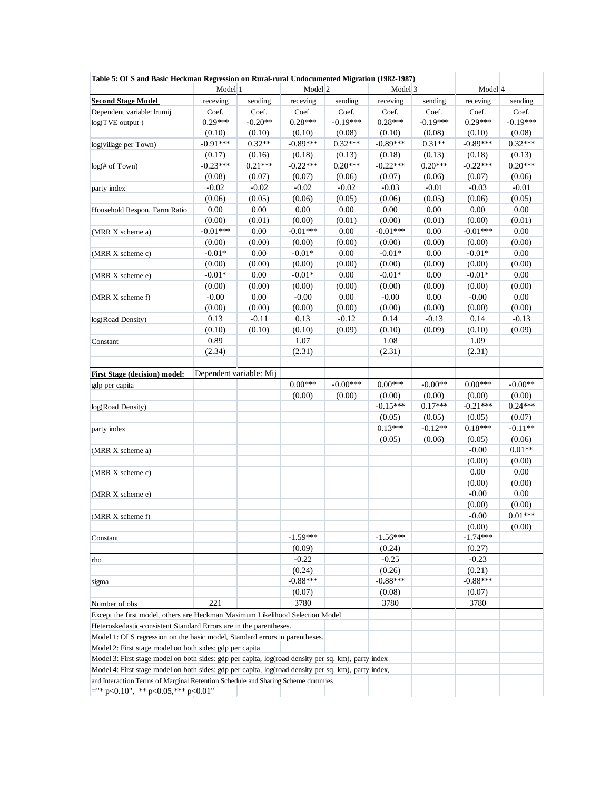| Table 5: OLS and Basic Heckman Regression on Rural-rural Undocumented Migration (1982-1987)                              |                         |           |                    |            |            |            |            |            |
|--------------------------------------------------------------------------------------------------------------------------|-------------------------|-----------|--------------------|------------|------------|------------|------------|------------|
|                                                                                                                          | Model 1                 |           | Model <sup>2</sup> |            | Model 3    |            |            | Model 4    |
| <b>Second Stage Model</b>                                                                                                | receving                | sending   | receving           | sending    | receving   | sending    | receving   | sending    |
| Dependent variable: lrumij                                                                                               | Coef.                   | Coef.     | Coef.              | Coef.      | Coef.      | Coef.      | Coef.      | Coef.      |
| $log(TVE$ output)                                                                                                        | $0.29***$               | $-0.20**$ | $0.28***$          | $-0.19***$ | $0.28***$  | $-0.19***$ | $0.29***$  | $-0.19***$ |
|                                                                                                                          | (0.10)                  | (0.10)    | (0.10)             | (0.08)     | (0.10)     | (0.08)     | (0.10)     | (0.08)     |
| log(village per Town)                                                                                                    | $-0.91***$              | $0.32**$  | $-0.89***$         | $0.32***$  | $-0.89***$ | $0.31**$   | $-0.89***$ | $0.32***$  |
|                                                                                                                          | (0.17)                  | (0.16)    | (0.18)             | (0.13)     | (0.18)     | (0.13)     | (0.18)     | (0.13)     |
| $log(f)$ of Town)                                                                                                        | $-0.23***$              | $0.21***$ | $-0.22***$         | $0.20***$  | $-0.22***$ | $0.20***$  | $-0.22***$ | $0.20***$  |
|                                                                                                                          | (0.08)                  | (0.07)    | (0.07)             | (0.06)     | (0.07)     | (0.06)     | (0.07)     | (0.06)     |
| party index                                                                                                              | $-0.02$                 | $-0.02$   | $-0.02$            | $-0.02$    | $-0.03$    | $-0.01$    | $-0.03$    | $-0.01$    |
|                                                                                                                          | (0.06)                  | (0.05)    | (0.06)             | (0.05)     | (0.06)     | (0.05)     | (0.06)     | (0.05)     |
| Household Respon. Farm Ratio                                                                                             | $0.00\,$                | $0.00\,$  | $0.00\,$           | $0.00\,$   | $0.00\,$   | 0.00       | $0.00\,$   | $0.00\,$   |
|                                                                                                                          | (0.00)                  | (0.01)    | (0.00)             | (0.01)     | (0.00)     | (0.01)     | (0.00)     | (0.01)     |
| (MRR X scheme a)                                                                                                         | $-0.01***$              | $0.00\,$  | $-0.01***$         | 0.00       | $-0.01***$ | 0.00       | $-0.01***$ | $0.00\,$   |
|                                                                                                                          | (0.00)                  | (0.00)    | (0.00)             | (0.00)     | (0.00)     | (0.00)     | (0.00)     | (0.00)     |
| (MRR X scheme c)                                                                                                         | $-0.01*$                | $0.00\,$  | $-0.01*$           | $0.00\,$   | $-0.01*$   | 0.00       | $-0.01*$   | $0.00\,$   |
|                                                                                                                          | (0.00)                  | (0.00)    | (0.00)             | (0.00)     | (0.00)     | (0.00)     | (0.00)     | (0.00)     |
| (MRR X scheme e)                                                                                                         | $-0.01*$                | $0.00\,$  | $-0.01*$           | $0.00\,$   | $-0.01*$   | 0.00       | $-0.01*$   | $0.00\,$   |
|                                                                                                                          | (0.00)                  | (0.00)    | (0.00)             | (0.00)     | (0.00)     | (0.00)     | (0.00)     | (0.00)     |
| (MRR X scheme f)                                                                                                         | $-0.00$                 | $0.00\,$  | $-0.00$            | 0.00       | $-0.00$    | 0.00       | $-0.00$    | $0.00\,$   |
|                                                                                                                          | (0.00)                  | (0.00)    | (0.00)             | (0.00)     | (0.00)     | (0.00)     | (0.00)     | (0.00)     |
| log(Road Density)                                                                                                        | 0.13                    | $-0.11$   | 0.13               | $-0.12$    | 0.14       | $-0.13$    | 0.14       | $-0.13$    |
|                                                                                                                          | (0.10)                  | (0.10)    | (0.10)             | (0.09)     | (0.10)     | (0.09)     | (0.10)     | (0.09)     |
| Constant                                                                                                                 | 0.89                    |           | 1.07               |            | 1.08       |            | 1.09       |            |
|                                                                                                                          | (2.34)                  |           | (2.31)             |            | (2.31)     |            | (2.31)     |            |
| <b>First Stage (decision) model:</b>                                                                                     | Dependent variable: Mij |           |                    |            |            |            |            |            |
| gdp per capita                                                                                                           |                         |           | $0.00***$          | $-0.00***$ | $0.00***$  | $-0.00**$  | $0.00***$  | $-0.00**$  |
|                                                                                                                          |                         |           | (0.00)             | (0.00)     | (0.00)     | (0.00)     | (0.00)     | (0.00)     |
| log(Road Density)                                                                                                        |                         |           |                    |            | $-0.15***$ | $0.17***$  | $-0.21***$ | $0.24***$  |
|                                                                                                                          |                         |           |                    |            | (0.05)     | (0.05)     | (0.05)     | (0.07)     |
| party index                                                                                                              |                         |           |                    |            | $0.13***$  | $-0.12**$  | $0.18***$  | $-0.11**$  |
|                                                                                                                          |                         |           |                    |            | (0.05)     | (0.06)     | (0.05)     | (0.06)     |
| (MRR X scheme a)                                                                                                         |                         |           |                    |            |            |            | $-0.00$    | $0.01**$   |
|                                                                                                                          |                         |           |                    |            |            |            | (0.00)     | (0.00)     |
| (MRR X scheme c)                                                                                                         |                         |           |                    |            |            |            | $0.00\,$   | $0.00\,$   |
|                                                                                                                          |                         |           |                    |            |            |            | (0.00)     | (0.00)     |
| (MRR X scheme e)                                                                                                         |                         |           |                    |            |            |            | $-0.00$    | $0.00\,$   |
|                                                                                                                          |                         |           |                    |            |            |            | (0.00)     | (0.00)     |
| (MRR X scheme f)                                                                                                         |                         |           |                    |            |            |            | $-0.00$    | $0.01***$  |
|                                                                                                                          |                         |           |                    |            |            |            | (0.00)     | (0.00)     |
| Constant                                                                                                                 |                         |           | $-1.59***$         |            | $-1.56***$ |            | $-1.74***$ |            |
|                                                                                                                          |                         |           | (0.09)             |            | (0.24)     |            | (0.27)     |            |
| rho                                                                                                                      |                         |           | $-0.22$            |            | $-0.25$    |            | $-0.23$    |            |
|                                                                                                                          |                         |           | (0.24)             |            | (0.26)     |            | (0.21)     |            |
| sigma                                                                                                                    |                         |           | $-0.88***$         |            | $-0.88***$ |            | $-0.88***$ |            |
|                                                                                                                          |                         |           | (0.07)             |            | (0.08)     |            | (0.07)     |            |
| Number of obs                                                                                                            | 221                     |           | 3780               |            | 3780       |            | 3780       |            |
| Except the first model, others are Heckman Maximum Likelihood Selection Model                                            |                         |           |                    |            |            |            |            |            |
| Heteroskedastic-consistent Standard Errors are in the parentheses.                                                       |                         |           |                    |            |            |            |            |            |
| Model 1: OLS regression on the basic model, Standard errors in parentheses.                                              |                         |           |                    |            |            |            |            |            |
| Model 2: First stage model on both sides: gdp per capita                                                                 |                         |           |                    |            |            |            |            |            |
| Model 3: First stage model on both sides: gdp per capita, log(road density per sq. km), party index                      |                         |           |                    |            |            |            |            |            |
| Model 4: First stage model on both sides: gdp per capita, log(road density per sq. km), party index,                     |                         |           |                    |            |            |            |            |            |
| and Interaction Terms of Marginal Retention Schedule and Sharing Scheme dummies<br>$=$ "* p<0.10", ** p<0.05,*** p<0.01" |                         |           |                    |            |            |            |            |            |
|                                                                                                                          |                         |           |                    |            |            |            |            |            |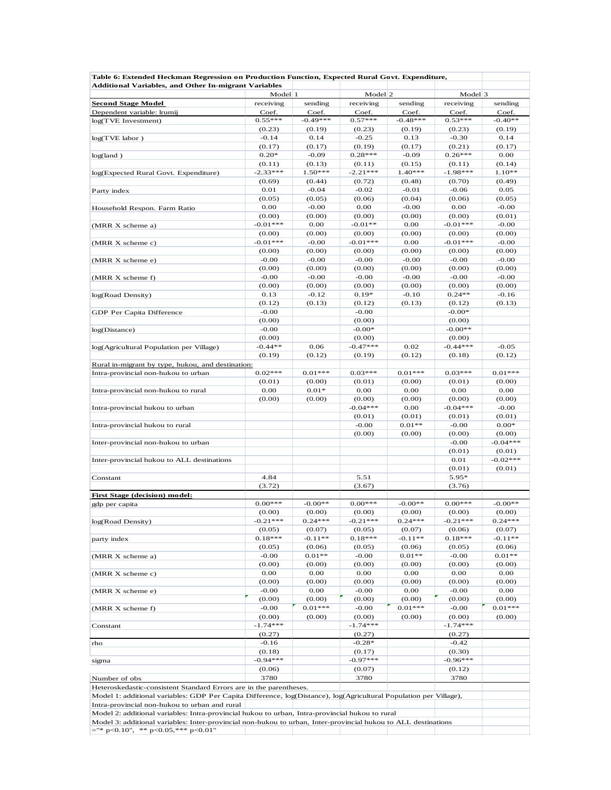| Table 6: Extended Heckman Regression on Production Function, Expected Rural Govt. Expenditure,                                                                                                                    |                    |                   |                     |                   |                     |                   |
|-------------------------------------------------------------------------------------------------------------------------------------------------------------------------------------------------------------------|--------------------|-------------------|---------------------|-------------------|---------------------|-------------------|
| <b>Additional Variables, and Other In-migrant Variables</b>                                                                                                                                                       | Model 1<br>Model 2 |                   |                     |                   | Model 3             |                   |
| <b>Second Stage Model</b>                                                                                                                                                                                         | receiving          | sending           | receiving           | sending           | receiving           | sending           |
| Dependent variable: lrumij                                                                                                                                                                                        | Coef.              | Coef.             | Coef.               | Coef.             | Coef.               | Coef.             |
| log(TVE Investment)                                                                                                                                                                                               | $0.55***$          | $-0.49***$        | $0.57***$           | $-0.48***$        | $0.53***$           | $-0.40**$         |
|                                                                                                                                                                                                                   | (0.23)             | (0.19)            | (0.23)              | (0.19)            | (0.23)              | (0.19)            |
| $log(TVE$ labor)                                                                                                                                                                                                  | $-0.14$            | 0.14              | $-0.25$             | 0.13              | $-0.30$             | 0.14              |
| log(land)                                                                                                                                                                                                         | (0.17)<br>$0.20*$  | (0.17)<br>$-0.09$ | (0.19)<br>$0.28***$ | (0.17)<br>$-0.09$ | (0.21)<br>$0.26***$ | (0.17)<br>0.00    |
|                                                                                                                                                                                                                   | (0.11)             | (0.13)            | (0.11)              | (0.15)            | (0.11)              | (0.14)            |
| log(Expected Rural Govt. Expenditure)                                                                                                                                                                             | $-2.33***$         | $1.50***$         | $-2.21***$          | $1.40***$         | $-1.98***$          | $1.10**$          |
|                                                                                                                                                                                                                   | (0.69)             | (0.44)            | (0.72)              | (0.48)            | (0.70)              | (0.49)            |
| Party index                                                                                                                                                                                                       | 0.01               | $-0.04$           | $-0.02$             | $-0.01$           | $-0.06$             | 0.05              |
|                                                                                                                                                                                                                   | (0.05)             | (0.05)            | (0.06)              | (0.04)            | (0.06)              | (0.05)            |
| Household Respon. Farm Ratio                                                                                                                                                                                      | 0.00               | $-0.00$           | 0.00                | $-0.00$           | 0.00                | $-0.00$           |
|                                                                                                                                                                                                                   | (0.00)             | (0.00)            | (0.00)              | (0.00)            | (0.00)              | (0.01)            |
| (MRR X scheme a)                                                                                                                                                                                                  | $-0.01***$         | 0.00              | $-0.01**$           | 0.00              | $-0.01***$          | $-0.00$           |
|                                                                                                                                                                                                                   | (0.00)             | (0.00)            | (0.00)              | (0.00)            | (0.00)              | (0.00)            |
| (MRR X scheme c)                                                                                                                                                                                                  | $-0.01***$         | $-0.00$           | $-0.01***$          | 0.00              | $-0.01***$          | $-0.00$           |
|                                                                                                                                                                                                                   | (0.00)<br>$-0.00$  | (0.00)<br>$-0.00$ | (0.00)<br>$-0.00$   | (0.00)<br>$-0.00$ | (0.00)<br>$-0.00$   | (0.00)<br>$-0.00$ |
| (MRR X scheme e)                                                                                                                                                                                                  | (0.00)             | (0.00)            | (0.00)              | (0.00)            | (0.00)              | (0.00)            |
| (MRR X scheme f)                                                                                                                                                                                                  | $-0.00$            | $-0.00$           | $-0.00$             | $-0.00$           | $-0.00$             | $-0.00$           |
|                                                                                                                                                                                                                   | (0.00)             | (0.00)            | (0.00)              | (0.00)            | (0.00)              | (0.00)            |
| log(Road Density)                                                                                                                                                                                                 | 0.13               | $-0.12$           | $0.19*$             | $-0.10$           | $0.24**$            | $-0.16$           |
|                                                                                                                                                                                                                   | (0.12)             | (0.13)            | (0.12)              | (0.13)            | (0.12)              | (0.13)            |
| GDP Per Capita Difference                                                                                                                                                                                         | $-0.00$            |                   | $-0.00$             |                   | $-0.00*$            |                   |
|                                                                                                                                                                                                                   | (0.00)             |                   | (0.00)              |                   | (0.00)              |                   |
| log(Distance)                                                                                                                                                                                                     | $-0.00$            |                   | $-0.00*$            |                   | $-0.00**$           |                   |
|                                                                                                                                                                                                                   | (0.00)             |                   | (0.00)              |                   | (0.00)              |                   |
| log(Agricultural Population per Village)                                                                                                                                                                          | $-0.44**$          | 0.06              | $-0.47***$          | 0.02              | $-0.44***$          | $-0.05$           |
|                                                                                                                                                                                                                   | (0.19)             | (0.12)            | (0.19)              | (0.12)            | (0.18)              | (0.12)            |
| Rural in-migrant by type, hukou, and destination:                                                                                                                                                                 | $0.02***$          | $0.01***$         | $0.03***$           | $0.01***$         | $0.03***$           | $0.01***$         |
| Intra-provincial non-hukou to urban                                                                                                                                                                               | (0.01)             | (0.00)            | (0.01)              | (0.00)            | (0.01)              | (0.00)            |
| Intra-provincial non-hukou to rural                                                                                                                                                                               | 0.00               | $0.01*$           | 0.00                | 0.00              | 0.00                | 0.00              |
|                                                                                                                                                                                                                   | (0.00)             | (0.00)            | (0.00)              | (0.00)            | (0.00)              | (0.00)            |
| Intra-provincial hukou to urban                                                                                                                                                                                   |                    |                   | $-0.04***$          | 0.00              | $-0.04***$          | $-0.00$           |
|                                                                                                                                                                                                                   |                    |                   | (0.01)              | (0.01)            | (0.01)              | (0.01)            |
| Intra-provincial hukou to rural                                                                                                                                                                                   |                    |                   | $-0.00$             | $0.01**$          | $-0.00$             | $0.00*$           |
|                                                                                                                                                                                                                   |                    |                   | (0.00)              | (0.00)            | (0.00)              | (0.00)            |
| Inter-provincial non-hukou to urban                                                                                                                                                                               |                    |                   |                     |                   | $-0.00$             | $-0.04***$        |
|                                                                                                                                                                                                                   |                    |                   |                     |                   | (0.01)              | (0.01)            |
| Inter-provincial hukou to ALL destinations                                                                                                                                                                        |                    |                   |                     |                   | 0.01                | $-0.02***$        |
|                                                                                                                                                                                                                   |                    |                   |                     |                   | (0.01)              | (0.01)            |
| Constant                                                                                                                                                                                                          | 4.84               |                   | 5.51<br>(3.67)      |                   | 5.95*               |                   |
| <b>First Stage (decision) model:</b>                                                                                                                                                                              | (3.72)             |                   |                     |                   | (3.76)              |                   |
| gdp per capita                                                                                                                                                                                                    | $0.00***$          | $-0.00**$         | $0.00***$           | $-0.00**$         | $0.00***$           | $-0.00**$         |
|                                                                                                                                                                                                                   | (0.00)             | (0.00)            | (0.00)              | (0.00)            | (0.00)              | (0.00)            |
| log(Road Density)                                                                                                                                                                                                 | $-0.21***$         | $0.24***$         | $-0.21***$          | $0.24***$         | $-0.21***$          | $0.24***$         |
|                                                                                                                                                                                                                   | (0.05)             | (0.07)            | (0.05)              | (0.07)            | (0.06)              | (0.07)            |
| party index                                                                                                                                                                                                       | $0.18***$          | $-0.11**$         | $0.18***$           | $-0.11**$         | $0.18***$           | $-0.11**$         |
|                                                                                                                                                                                                                   | (0.05)             | (0.06)            | (0.05)              | (0.06)            | (0.05)              | (0.06)            |
| (MRR X scheme a)                                                                                                                                                                                                  | $-0.00$            | $0.01**$          | $-0.00$             | $0.01**$          | $-0.00$             | $0.01**$          |
|                                                                                                                                                                                                                   | (0.00)             | (0.00)            | (0.00)              | (0.00)            | (0.00)              | (0.00)            |
| (MRR X scheme c)                                                                                                                                                                                                  | 0.00               | 0.00              | 0.00                | 0.00              | 0.00                | 0.00              |
|                                                                                                                                                                                                                   | (0.00)             | (0.00)            | (0.00)<br>$-0.00$   | (0.00)            | (0.00)              | (0.00)            |
| (MRR X scheme e)                                                                                                                                                                                                  | $-0.00$<br>(0.00)  | 0.00<br>(0.00)    | (0.00)              | 0.00<br>(0.00)    | $-0.00$<br>(0.00)   | 0.00<br>(0.00)    |
| (MRR X scheme f)                                                                                                                                                                                                  | $-0.00$            | $0.01***$         | $-0.00$             | $0.01***$         | $-0.00$             | $0.01***$         |
|                                                                                                                                                                                                                   | (0.00)             | (0.00)            | (0.00)              | (0.00)            | (0.00)              | (0.00)            |
| Constant                                                                                                                                                                                                          | $-1.74***$         |                   | $-1.74***$          |                   | $-1.74***$          |                   |
|                                                                                                                                                                                                                   | (0.27)             |                   | (0.27)              |                   | (0.27)              |                   |
| rho                                                                                                                                                                                                               | $-0.16$            |                   | $-0.28*$            |                   | $-0.42$             |                   |
|                                                                                                                                                                                                                   | (0.18)             |                   | (0.17)              |                   | (0.30)              |                   |
| sigma                                                                                                                                                                                                             | $-0.94***$         |                   | $-0.97***$          |                   | $-0.96***$          |                   |
|                                                                                                                                                                                                                   | (0.06)             |                   | (0.07)              |                   | (0.12)              |                   |
| Number of obs                                                                                                                                                                                                     | 3780               |                   | 3780                |                   | 3780                |                   |
| Heteroskedastic-consistent Standard Errors are in the parentheses.                                                                                                                                                |                    |                   |                     |                   |                     |                   |
| Model 1: additional variables: GDP Per Capita Difference, log(Distance), log(Agricultural Population per Village),                                                                                                |                    |                   |                     |                   |                     |                   |
| Intra-provincial non-hukou to urban and rural                                                                                                                                                                     |                    |                   |                     |                   |                     |                   |
| Model 2: additional variables: Intra-provincial hukou to urban, Intra-provincial hukou to rural<br>Model 3: additional variables: Inter-provincial non-hukou to urban, Inter-provincial hukou to ALL destinations |                    |                   |                     |                   |                     |                   |
| $=$ "* p<0.10", ** p<0.05,*** p<0.01"                                                                                                                                                                             |                    |                   |                     |                   |                     |                   |
|                                                                                                                                                                                                                   |                    |                   |                     |                   |                     |                   |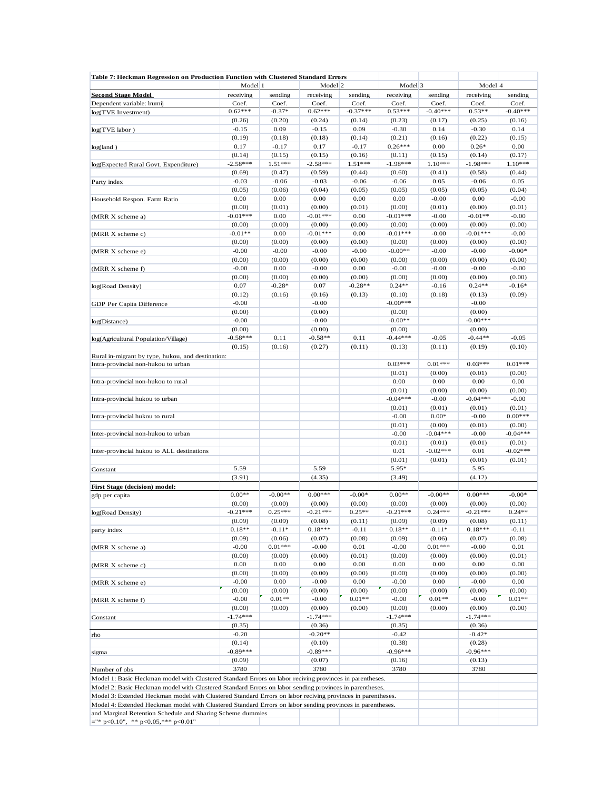| Table 7: Heckman Regression on Production Function with Clustered Standard Errors                          | Model 1    |           | Model <sub>2</sub> |            | Model 3              |                   | Model 4              |                     |
|------------------------------------------------------------------------------------------------------------|------------|-----------|--------------------|------------|----------------------|-------------------|----------------------|---------------------|
| <b>Second Stage Model</b>                                                                                  | receiving  | sending   | receiving          | sending    | receiving            | sending           | receiving            | sending             |
| Dependent variable: Irumij                                                                                 | Coef.      | Coef.     | Coef.              | Coef.      | Coef.                | Coef.             | Coef.                | Coef.               |
| log(TVE Investment)                                                                                        | $0.62***$  | $-0.37*$  | $0.62***$          | $-0.37***$ | $0.53***$            | $-0.40***$        | $0.53**$             | $-0.40***$          |
|                                                                                                            | (0.26)     | (0.20)    | (0.24)             | (0.14)     | (0.23)               | (0.17)            | (0.25)               | (0.16)              |
| log(TVE labor)                                                                                             | $-0.15$    | 0.09      | $-0.15$            | 0.09       | $-0.30$              | 0.14              | $-0.30$              | 0.14                |
|                                                                                                            | (0.19)     | (0.18)    | (0.18)             | (0.14)     | (0.21)               | (0.16)            | (0.22)               | (0.15)              |
| log(land)                                                                                                  | 0.17       | $-0.17$   | 0.17               | $-0.17$    | $0.26***$            | 0.00              | $0.26*$              | 0.00                |
|                                                                                                            | (0.14)     | (0.15)    | (0.15)             | (0.16)     | (0.11)               | (0.15)            | (0.14)               | (0.17)              |
| log(Expected Rural Govt. Expenditure)                                                                      | $-2.58***$ | 1.51***   | $-2.58***$         | $1.51***$  | $-1.98***$           | $1.10***$         | $-1.98***$           | $1.10***$           |
|                                                                                                            | (0.69)     | (0.47)    | (0.59)             | (0.44)     | (0.60)               | (0.41)            | (0.58)               | (0.44)              |
| Party index                                                                                                | $-0.03$    | $-0.06$   | $-0.03$            | $-0.06$    | $-0.06$              | 0.05              | $-0.06$              | 0.05                |
|                                                                                                            | (0.05)     | (0.06)    | (0.04)             | (0.05)     | (0.05)               | (0.05)            | (0.05)               | (0.04)              |
| Household Respon. Farm Ratio                                                                               | 0.00       | 0.00      | 0.00               | 0.00       | 0.00                 | $-0.00$           | 0.00                 | $-0.00$             |
|                                                                                                            | (0.00)     | (0.01)    | (0.00)             | (0.01)     | (0.00)               | (0.01)            | (0.00)               | (0.01)              |
| (MRR X scheme a)                                                                                           | $-0.01***$ | 0.00      | $-0.01***$         | 0.00       | $-0.01***$           | $-0.00$           | $-0.01**$            | $-0.00$             |
|                                                                                                            | (0.00)     | (0.00)    | (0.00)             | (0.00)     | (0.00)               | (0.00)            | (0.00)               | (0.00)              |
| (MRR X scheme c)                                                                                           | $-0.01**$  | 0.00      | $-0.01***$         | 0.00       | $-0.01***$           | $-0.00$           | $-0.01***$           | $-0.00$             |
|                                                                                                            | (0.00)     | (0.00)    | (0.00)             | (0.00)     | (0.00)               | (0.00)            | (0.00)               | (0.00)              |
| (MRR X scheme e)                                                                                           | $-0.00$    | $-0.00$   | $-0.00$            | $-0.00$    | $-0.00**$            | $-0.00$           | $-0.00$              | $-0.00*$            |
|                                                                                                            | (0.00)     | (0.00)    | (0.00)             | (0.00)     | (0.00)               | (0.00)            | (0.00)               | (0.00)              |
| (MRR X scheme f)                                                                                           | $-0.00$    | 0.00      | $-0.00$            | 0.00       | $-0.00$              | $-0.00$           | $-0.00$              | $-0.00$             |
|                                                                                                            | (0.00)     | (0.00)    | (0.00)             | (0.00)     | (0.00)               | (0.00)            | (0.00)               | (0.00)              |
| log(Road Density)                                                                                          | 0.07       | $-0.28*$  | 0.07               | $-0.28**$  | $0.24**$             | $-0.16$           | $0.24**$             | $-0.16*$            |
|                                                                                                            | (0.12)     | (0.16)    | (0.16)             | (0.13)     | (0.10)               | (0.18)            | (0.13)               | (0.09)              |
| GDP Per Capita Difference                                                                                  | $-0.00$    |           | $-0.00$            |            | $-0.00***$           |                   | $-0.00$              |                     |
|                                                                                                            | (0.00)     |           | (0.00)             |            | (0.00)               |                   | (0.00)               |                     |
| log(Distance)                                                                                              | $-0.00$    |           | $-0.00$            |            | $-0.00**$            |                   | $-0.00***$           |                     |
|                                                                                                            | (0.00)     |           | (0.00)             |            | (0.00)               |                   | (0.00)               |                     |
| log(Agricultural Population/Village)                                                                       | $-0.58***$ | 0.11      | $-0.58**$          | 0.11       | $-0.44***$           | $-0.05$           | $-0.44**$            | $-0.05$             |
|                                                                                                            | (0.15)     | (0.16)    | (0.27)             | (0.11)     | (0.13)               | (0.11)            | (0.19)               | (0.10)              |
| Rural in-migrant by type, hukou, and destination:                                                          |            |           |                    |            |                      |                   |                      |                     |
| Intra-provincial non-hukou to urban                                                                        |            |           |                    |            | $0.03***$            | $0.01***$         | $0.03***$            | $0.01***$           |
|                                                                                                            |            |           |                    |            | (0.01)               | (0.00)            | (0.01)               | (0.00)              |
| Intra-provincial non-hukou to rural                                                                        |            |           |                    |            | 0.00                 | 0.00              | 0.00                 | 0.00                |
|                                                                                                            |            |           |                    |            | (0.01)<br>$-0.04***$ | (0.00)            | (0.00)<br>$-0.04***$ | (0.00)<br>$-0.00$   |
| Intra-provincial hukou to urban                                                                            |            |           |                    |            |                      | $-0.00$           |                      |                     |
| Intra-provincial hukou to rural                                                                            |            |           |                    |            | (0.01)<br>$-0.00$    | (0.01)<br>$0.00*$ | (0.01)<br>$-0.00$    | (0.01)<br>$0.00***$ |
|                                                                                                            |            |           |                    |            | (0.01)               | (0.00)            | (0.01)               | (0.00)              |
| Inter-provincial non-hukou to urban                                                                        |            |           |                    |            | $-0.00$              | $-0.04***$        | $-0.00$              | $-0.04***$          |
|                                                                                                            |            |           |                    |            | (0.01)               | (0.01)            | (0.01)               | (0.01)              |
| Inter-provincial hukou to ALL destinations                                                                 |            |           |                    |            | 0.01                 | $-0.02***$        | 0.01                 | $-0.02***$          |
|                                                                                                            |            |           |                    |            | (0.01)               | (0.01)            | (0.01)               | (0.01)              |
| Constant                                                                                                   | 5.59       |           | 5.59               |            | 5.95*                |                   | 5.95                 |                     |
|                                                                                                            | (3.91)     |           | (4.35)             |            | (3.49)               |                   | (4.12)               |                     |
| First Stage (decision) model:                                                                              |            |           |                    |            |                      |                   |                      |                     |
| gdp per capita                                                                                             | $0.00**$   | $-0.00**$ | $0.00***$          | $-0.00*$   | $0.00**$             | $-0.00**$         | $0.00***$            | $-0.00*$            |
|                                                                                                            | (0.00)     | (0.00)    | (0.00)             | (0.00)     | (0.00)               | (0.00)            | (0.00)               | (0.00)              |
| log(Road Density)                                                                                          | $-0.21***$ | $0.25***$ | $-0.21***$         | $0.25**$   | $-0.21***$           | $0.24***$         | $-0.21***$           | $0.24**$            |
|                                                                                                            | (0.09)     | (0.09)    | (0.08)             | (0.11)     | (0.09)               | (0.09)            | (0.08)               | (0.11)              |
| party index                                                                                                | $0.18**$   | $-0.11*$  | $0.18***$          | $-0.11$    | $0.18**$             | $-0.11*$          | $0.18***$            | $-0.11$             |
|                                                                                                            | (0.09)     | (0.06)    | (0.07)             | (0.08)     | (0.09)               | (0.06)            | (0.07)               | (0.08)              |
| (MRR X scheme a)                                                                                           | $-0.00$    | $0.01***$ | $-0.00$            | 0.01       | $-0.00$              | $0.01***$         | $-0.00$              | 0.01                |
|                                                                                                            | (0.00)     | (0.00)    | (0.00)             | (0.01)     | (0.00)               | (0.00)            | (0.00)               | (0.01)              |
| (MRR X scheme c)                                                                                           | 0.00       | 0.00      | 0.00               | 0.00       | 0.00                 | 0.00              | 0.00                 | 0.00                |
|                                                                                                            | (0.00)     | (0.00)    | (0.00)             | (0.00)     | (0.00)               | (0.00)            | (0.00)               | (0.00)              |
| (MRR X scheme e)                                                                                           | $-0.00$    | 0.00      | $-0.00$            | 0.00       | $-0.00$              | 0.00              | $-0.00$              | $0.00\,$            |
|                                                                                                            | (0.00)     | (0.00)    | (0.00)             | (0.00)     | (0.00)               | (0.00)            | (0.00)               | (0.00)              |
| (MRR X scheme f)                                                                                           | $-0.00$    | $0.01**$  | $-0.00$            | $0.01**$   | $-0.00$              | $0.01**$          | $-0.00$              | $0.01**$            |
|                                                                                                            | (0.00)     | (0.00)    | (0.00)             | (0.00)     | (0.00)               | (0.00)            | (0.00)               | (0.00)              |
| Constant                                                                                                   | $-1.74***$ |           | $-1.74***$         |            | $-1.74***$           |                   | $-1.74***$           |                     |
|                                                                                                            | (0.35)     |           | (0.36)             |            | (0.35)               |                   | (0.36)               |                     |
| rho                                                                                                        | $-0.20$    |           | $-0.20**$          |            | $-0.42$              |                   | $-0.42*$             |                     |
|                                                                                                            | (0.14)     |           | (0.10)             |            | (0.38)               |                   | (0.28)               |                     |
| sigma                                                                                                      | $-0.89***$ |           | $-0.89***$         |            | $-0.96***$           |                   | $-0.96***$           |                     |
|                                                                                                            | (0.09)     |           | (0.07)             |            | (0.16)               |                   | (0.13)               |                     |
| Number of obs                                                                                              | 3780       |           | 3780               |            | 3780                 |                   | 3780                 |                     |
| Model 1: Basic Heckman model with Clustered Standard Errors on labor reciving provinces in parentheses.    |            |           |                    |            |                      |                   |                      |                     |
| Model 2: Basic Heckman model with Clustered Standard Errors on labor sending provinces in parentheses.     |            |           |                    |            |                      |                   |                      |                     |
| Model 3: Extended Heckman model with Clustered Standard Errors on labor reciving provinces in parentheses. |            |           |                    |            |                      |                   |                      |                     |
| Model 4: Extended Heckman model with Clustered Standard Errors on labor sending provinces in parentheses.  |            |           |                    |            |                      |                   |                      |                     |
| and Marginal Retention Schedule and Sharing Scheme dummies                                                 |            |           |                    |            |                      |                   |                      |                     |
| $=$ "* p<0.10", ** p<0.05,*** p<0.01"                                                                      |            |           |                    |            |                      |                   |                      |                     |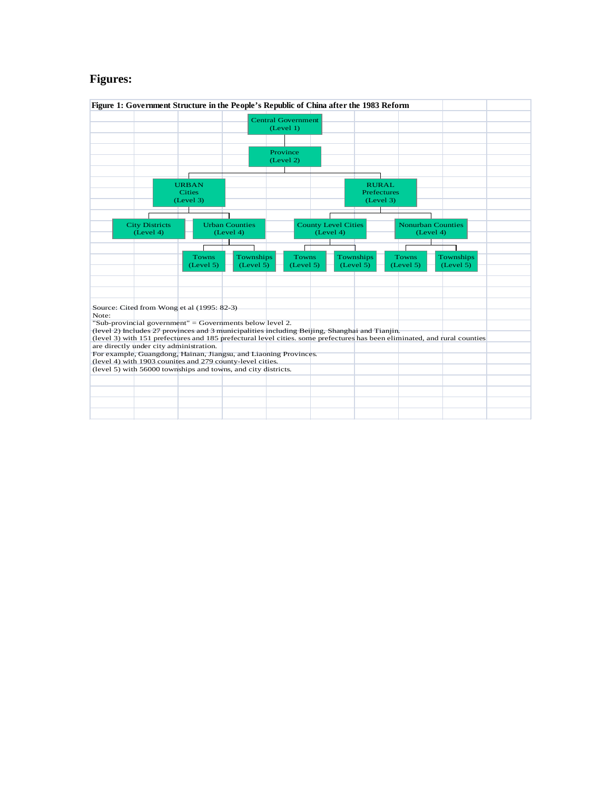### **Figures:**

|       |                                         | Figure 1: Government Structure in the People's Republic of China after the 1983 Reform                                        |                       |                           |                            |           |                    |              |                                                                                                                           |  |
|-------|-----------------------------------------|-------------------------------------------------------------------------------------------------------------------------------|-----------------------|---------------------------|----------------------------|-----------|--------------------|--------------|---------------------------------------------------------------------------------------------------------------------------|--|
|       |                                         |                                                                                                                               |                       | <b>Central Government</b> |                            |           |                    |              |                                                                                                                           |  |
|       |                                         |                                                                                                                               |                       | (Level 1)                 |                            |           |                    |              |                                                                                                                           |  |
|       |                                         |                                                                                                                               |                       |                           |                            |           |                    |              |                                                                                                                           |  |
|       |                                         |                                                                                                                               |                       |                           |                            |           |                    |              |                                                                                                                           |  |
|       |                                         |                                                                                                                               |                       | Province<br>(Level 2)     |                            |           |                    |              |                                                                                                                           |  |
|       |                                         |                                                                                                                               |                       |                           |                            |           |                    |              |                                                                                                                           |  |
|       |                                         |                                                                                                                               |                       |                           |                            |           |                    |              |                                                                                                                           |  |
|       |                                         | <b>URBAN</b>                                                                                                                  |                       |                           |                            |           | <b>RURAL</b>       |              |                                                                                                                           |  |
|       |                                         | <b>Cities</b>                                                                                                                 |                       |                           |                            |           | <b>Prefectures</b> |              |                                                                                                                           |  |
|       |                                         | (Level 3)                                                                                                                     |                       |                           |                            |           | (Level 3)          |              |                                                                                                                           |  |
|       |                                         |                                                                                                                               |                       |                           |                            |           |                    |              |                                                                                                                           |  |
|       | <b>City Districts</b>                   |                                                                                                                               | <b>Urban Counties</b> |                           | <b>County Level Cities</b> |           |                    |              | <b>Nonurban Counties</b>                                                                                                  |  |
|       | (Level 4)                               |                                                                                                                               | (Level 4)             |                           |                            | (Level 4) |                    |              | (Level 4)                                                                                                                 |  |
|       |                                         |                                                                                                                               |                       |                           |                            |           |                    |              |                                                                                                                           |  |
|       |                                         | <b>Towns</b>                                                                                                                  | Townships             |                           | <b>Towns</b>               |           | Townships          | <b>Towns</b> | Townships                                                                                                                 |  |
|       |                                         | (Level 5)                                                                                                                     | (Level 5)             |                           | (Level 5)                  |           | (Level 5)          | (Level 5)    | (Level 5)                                                                                                                 |  |
|       |                                         |                                                                                                                               |                       |                           |                            |           |                    |              |                                                                                                                           |  |
|       |                                         |                                                                                                                               |                       |                           |                            |           |                    |              |                                                                                                                           |  |
|       |                                         |                                                                                                                               |                       |                           |                            |           |                    |              |                                                                                                                           |  |
|       |                                         |                                                                                                                               |                       |                           |                            |           |                    |              |                                                                                                                           |  |
| Note: |                                         | Source: Cited from Wong et al (1995: 82-3)                                                                                    |                       |                           |                            |           |                    |              |                                                                                                                           |  |
|       |                                         | "Sub-provincial government" = Governments below level 2.                                                                      |                       |                           |                            |           |                    |              |                                                                                                                           |  |
|       |                                         | (level 2) Includes 27 provinces and 3 municipalities including Beijing, Shanghai and Tianjin.                                 |                       |                           |                            |           |                    |              |                                                                                                                           |  |
|       |                                         |                                                                                                                               |                       |                           |                            |           |                    |              | (level 3) with 151 prefectures and 185 prefectural level cities, some prefectures has been eliminated, and rural counties |  |
|       | are directly under city administration. |                                                                                                                               |                       |                           |                            |           |                    |              |                                                                                                                           |  |
|       |                                         | For example, Guangdong, Hainan, Jiangsu, and Liaoning Provinces.<br>(level 4) with 1903 counites and 279 county-level cities. |                       |                           |                            |           |                    |              |                                                                                                                           |  |
|       |                                         | (level 5) with 56000 townships and towns, and city districts.                                                                 |                       |                           |                            |           |                    |              |                                                                                                                           |  |
|       |                                         |                                                                                                                               |                       |                           |                            |           |                    |              |                                                                                                                           |  |
|       |                                         |                                                                                                                               |                       |                           |                            |           |                    |              |                                                                                                                           |  |
|       |                                         |                                                                                                                               |                       |                           |                            |           |                    |              |                                                                                                                           |  |
|       |                                         |                                                                                                                               |                       |                           |                            |           |                    |              |                                                                                                                           |  |
|       |                                         |                                                                                                                               |                       |                           |                            |           |                    |              |                                                                                                                           |  |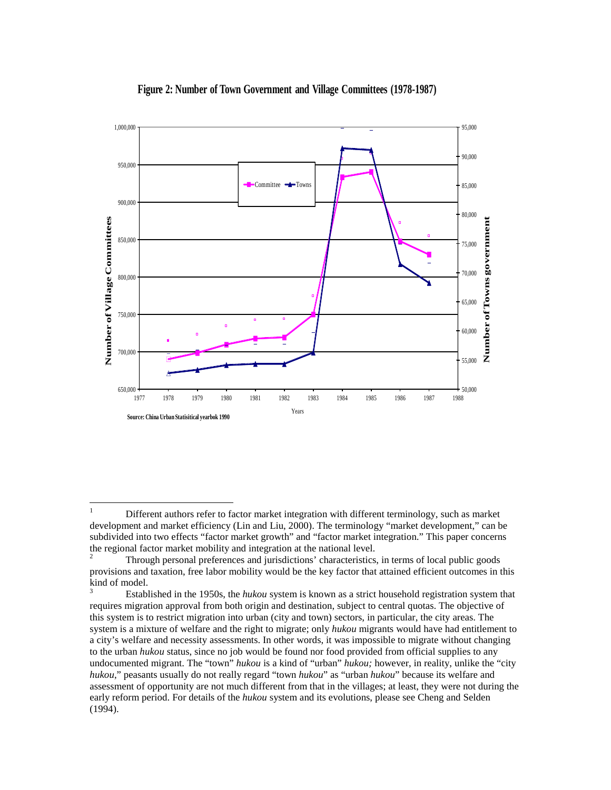

#### **Figure 2: Number of Town Government and Village Committees (1978-1987)**

<span id="page-62-0"></span><sup>&</sup>lt;sup>1</sup> Different authors refer to factor market integration with different terminology, such as market development and market efficiency (Lin and Liu, 2000). The terminology "market development," can be subdivided into two effects "factor market growth" and "factor market integration." This paper concerns the regional factor market mobility and integration at the national level.

<span id="page-62-1"></span><sup>2</sup> Through personal preferences and jurisdictions' characteristics, in terms of local public goods provisions and taxation, free labor mobility would be the key factor that attained efficient outcomes in this kind of model.

<span id="page-62-2"></span><sup>3</sup> Established in the 1950s, the *hukou* system is known as a strict household registration system that requires migration approval from both origin and destination, subject to central quotas. The objective of this system is to restrict migration into urban (city and town) sectors, in particular, the city areas. The system is a mixture of welfare and the right to migrate; only *hukou* migrants would have had entitlement to a city's welfare and necessity assessments. In other words, it was impossible to migrate without changing to the urban *hukou* status, since no job would be found nor food provided from official supplies to any undocumented migrant. The "town" *hukou* is a kind of "urban" *hukou;* however, in reality, unlike the "city *hukou*," peasants usually do not really regard "town *hukou*" as "urban *hukou*" because its welfare and assessment of opportunity are not much different from that in the villages; at least, they were not during the early reform period. For details of the *hukou* system and its evolutions, please see Cheng and Selden (1994).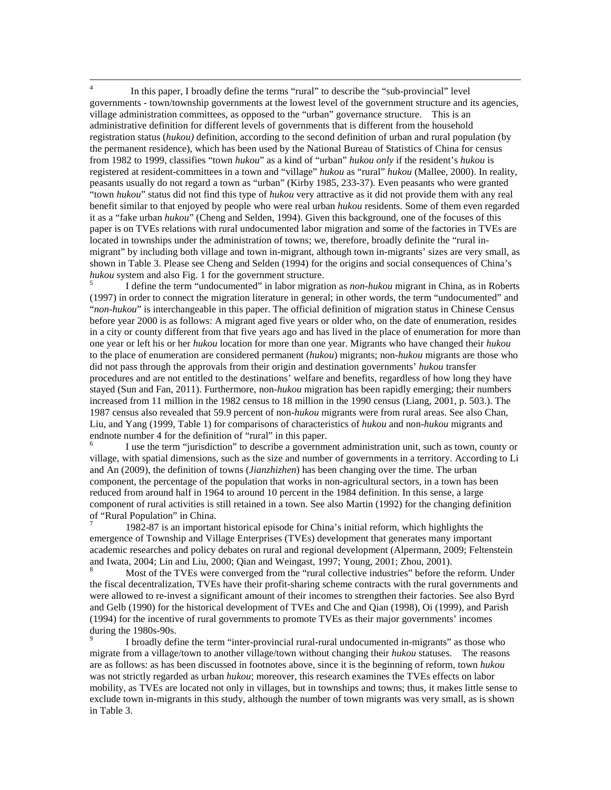<span id="page-63-0"></span><sup>4</sup> In this paper, I broadly define the terms "rural" to describe the "sub-provincial" level governments - town/township governments at the lowest level of the government structure and its agencies, village administration committees, as opposed to the "urban" governance structure. This is an administrative definition for different levels of governments that is different from the household registration status (*hukou)* definition, according to the second definition of urban and rural population (by the permanent residence), which has been used by the National Bureau of Statistics of China for census from 1982 to 1999, classifies "town *hukou*" as a kind of "urban" *hukou only* if the resident's *hukou* is registered at resident-committees in a town and "village" *hukou* as "rural" *hukou* (Mallee, 2000). In reality, peasants usually do not regard a town as "urban" (Kirby 1985, 233-37). Even peasants who were granted "town *hukou*" status did not find this type of *hukou* very attractive as it did not provide them with any real benefit similar to that enjoyed by people who were real urban *hukou* residents. Some of them even regarded it as a "fake urban *hukou*" (Cheng and Selden, 1994). Given this background, one of the focuses of this paper is on TVEs relations with rural undocumented labor migration and some of the factories in TVEs are located in townships under the administration of towns; we, therefore, broadly definite the "rural inmigrant" by including both village and town in-migrant, although town in-migrants' sizes are very small, as shown in Table 3. Please see Cheng and Selden (1994) for the origins and social consequences of China's *hukou* system and also Fig. 1 for the government structure.<br><sup>5</sup> I define the term "undocumented" in labor migration as *non-hukou* migrant in China, as in Roberts

<span id="page-63-1"></span>(1997) in order to connect the migration literature in general; in other words, the term "undocumented" and "*non-hukou*" is interchangeable in this paper. The official definition of migration status in Chinese Census before year 2000 is as follows: A migrant aged five years or older who, on the date of enumeration, resides in a city or county different from that five years ago and has lived in the place of enumeration for more than one year or left his or her *hukou* location for more than one year. Migrants who have changed their *hukou* to the place of enumeration are considered permanent (*hukou*) migrants; non-*hukou* migrants are those who did not pass through the approvals from their origin and destination governments' *hukou* transfer procedures and are not entitled to the destinations' welfare and benefits, regardless of how long they have stayed (Sun and Fan, 2011). Furthermore, non-*hukou* migration has been rapidly emerging; their numbers increased from 11 million in the 1982 census to 18 million in the 1990 census (Liang, 2001, p. 503.). The 1987 census also revealed that 59.9 percent of non-*hukou* migrants were from rural areas. See also Chan, Liu, and Yang (1999, Table 1) for comparisons of characteristics of *hukou* and non-*hukou* migrants and endnote number 4 for the definition of "rural" in this paper.

<span id="page-63-2"></span>I use the term "jurisdiction" to describe a government administration unit, such as town, county or village, with spatial dimensions, such as the size and number of governments in a territory. According to Li and An (2009), the definition of towns (*Jianzhizhen*) has been changing over the time. The urban component, the percentage of the population that works in non-agricultural sectors, in a town has been reduced from around half in 1964 to around 10 percent in the 1984 definition. In this sense, a large component of rural activities is still retained in a town. See also Martin (1992) for the changing definition of "Rural Population" in China.<br><sup>7</sup> 1982-87 is an important historical episode for China's initial reform, which highlights the

<span id="page-63-3"></span>emergence of Township and Village Enterprises (TVEs) development that generates many important academic researches and policy debates on rural and regional development (Alpermann, 2009; Feltenstein and Iwata, 2004; Lin and Liu, 2000; Qian and Weingast, 1997; Young, 2001; Zhou, 2001).<br><sup>8</sup> Most of the TVEs were converged from the "rural collective industries" before the reform. Under

<span id="page-63-4"></span>the fiscal decentralization, TVEs have their profit-sharing scheme contracts with the rural governments and were allowed to re-invest a significant amount of their incomes to strengthen their factories. See also Byrd and Gelb (1990) for the historical development of TVEs and Che and Qian (1998), Oi (1999), and Parish (1994) for the incentive of rural governments to promote TVEs as their major governments' incomes during the 1980s-90s.<br><sup>9</sup> I broadly define the term "inter-provincial rural-rural undocumented in-migrants" as those who

<span id="page-63-5"></span>migrate from a village/town to another village/town without changing their *hukou* statuses. The reasons are as follows: as has been discussed in footnotes above, since it is the beginning of reform, town *hukou* was not strictly regarded as urban *hukou*; moreover, this research examines the TVEs effects on labor mobility, as TVEs are located not only in villages, but in townships and towns; thus, it makes little sense to exclude town in-migrants in this study, although the number of town migrants was very small, as is shown in Table 3.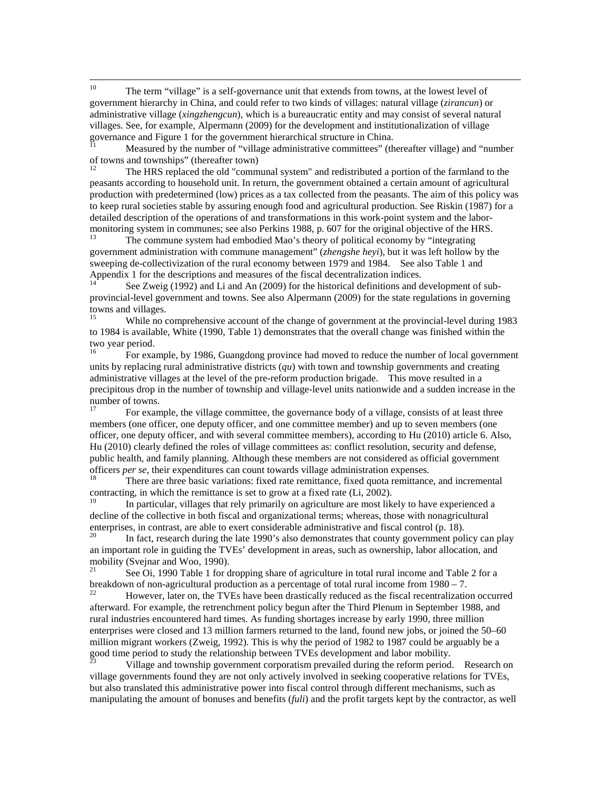<span id="page-64-0"></span><sup>10</sup> The term "village" is a self-governance unit that extends from towns, at the lowest level of government hierarchy in China, and could refer to two kinds of villages: natural village (*zirancun*) or administrative village (*xingzhengcun*), which is a bureaucratic entity and may consist of several natural villages. See, for example, Alpermann (2009) for the development and institutionalization of village governance and Figure 1 for the government hierarchical structure in China.

<span id="page-64-1"></span>Measured by the number of "village administrative committees" (thereafter village) and "number of towns and townships" (thereafter town)<br><sup>12</sup> The HRS replaced the old "communal system" and redistributed a portion of the farmland to the

<span id="page-64-2"></span>peasants according to household unit. In return, the government obtained a certain amount of agricultural production with predetermined (low) prices as a tax collected from the peasants. The aim of this policy was to keep rural societies stable by assuring enough food and agricultural production. See Riskin (1987) for a detailed description of the operations of and transformations in this work-point system and the labormonitoring system in communes; see also Perkins 1988, p. 607 for the original objective of the HRS.<br><sup>13</sup> The commune system had embodied Mao's theory of political economy by "integrating"

<span id="page-64-3"></span>government administration with commune management" (*zhengshe heyi*), but it was left hollow by the sweeping de-collectivization of the rural economy between 1979 and 1984. See also Table 1 and Appendix 1 for the descriptions and measures of the fiscal decentralization indices.

<span id="page-64-4"></span>See Zweig (1992) and Li and An (2009) for the historical definitions and development of subprovincial-level government and towns. See also Alpermann (2009) for the state regulations in governing towns and villages.

<span id="page-64-5"></span><sup>15</sup> While no comprehensive account of the change of government at the provincial-level during 1983 to 1984 is available, White (1990, Table 1) demonstrates that the overall change was finished within the two year period.

<span id="page-64-6"></span><sup>16</sup> For example, by 1986, Guangdong province had moved to reduce the number of local government units by replacing rural administrative districts (*qu*) with town and township governments and creating administrative villages at the level of the pre-reform production brigade. This move resulted in a precipitous drop in the number of township and village-level units nationwide and a sudden increase in the number of towns.

<span id="page-64-7"></span><sup>17</sup> For example, the village committee, the governance body of a village, consists of at least three members (one officer, one deputy officer, and one committee member) and up to seven members (one officer, one deputy officer, and with several committee members), according to Hu (2010) article 6. Also, Hu (2010) clearly defined the roles of village committees as: conflict resolution, security and defense, public health, and family planning. Although these members are not considered as official government officers *per se*, their expenditures can count towards village administration expenses.<br><sup>18</sup> There are three basic variations: fixed rate remittance, fixed quota remittance, and incremental

<span id="page-64-8"></span>contracting, in which the remittance is set to grow at a fixed rate (Li, 2002).

<span id="page-64-9"></span>In particular, villages that rely primarily on agriculture are most likely to have experienced a decline of the collective in both fiscal and organizational terms; whereas, those with nonagricultural enterprises, in contrast, are able to exert considerable administrative and fiscal control (p. 18).<br>
In fact, research during the late 1990's also demonstrates that county government policy can play

<span id="page-64-10"></span>an important role in guiding the TVEs' development in areas, such as ownership, labor allocation, and mobility (Svejnar and Woo, 1990).<br><sup>21</sup> See Oi, 1990 Table 1 for dropping share of agriculture in total rural income and Table 2 for a

<span id="page-64-11"></span>breakdown of non-agricultural production as a percentage of total rural income from 1980 – 7.<br><sup>22</sup> However, later on, the TVEs have been drastically reduced as the fiscal recentralization occurred

<span id="page-64-12"></span>afterward. For example, the retrenchment policy begun after the Third Plenum in September 1988, and rural industries encountered hard times. As funding shortages increase by early 1990, three million enterprises were closed and 13 million farmers returned to the land, found new jobs, or joined the 50–60 million migrant workers (Zweig, 1992). This is why the period of 1982 to 1987 could be arguably be a good time period to study the relationship between TVEs development and labor mobility.<br><sup>23</sup> Village and township government corporatism prevailed during the reform period. Research on

<span id="page-64-13"></span>village governments found they are not only actively involved in seeking cooperative relations for TVEs, but also translated this administrative power into fiscal control through different mechanisms, such as manipulating the amount of bonuses and benefits (*fuli*) and the profit targets kept by the contractor, as well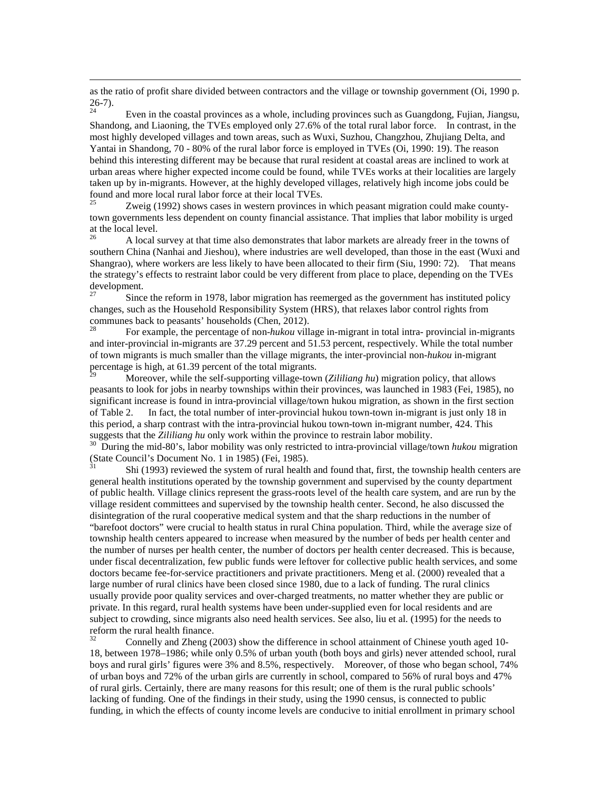as the ratio of profit share divided between contractors and the village or township government (Oi, 1990 p. 26-7).<br><sup>24</sup> Even in the coastal provinces as a whole, including provinces such as Guangdong, Fujian, Jiangsu,

 $\overline{a}$ 

<span id="page-65-0"></span>Shandong, and Liaoning, the TVEs employed only 27.6% of the total rural labor force. In contrast, in the most highly developed villages and town areas, such as Wuxi, Suzhou, Changzhou, Zhujiang Delta, and Yantai in Shandong, 70 - 80% of the rural labor force is employed in TVEs (Oi, 1990: 19). The reason behind this interesting different may be because that rural resident at coastal areas are inclined to work at urban areas where higher expected income could be found, while TVEs works at their localities are largely taken up by in-migrants. However, at the highly developed villages, relatively high income jobs could be found and more local rural labor force at their local TVEs.<br><sup>25</sup> Zweig (1992) shows cases in western provinces in

<span id="page-65-1"></span>Zweig (1992) shows cases in western provinces in which peasant migration could make countytown governments less dependent on county financial assistance. That implies that labor mobility is urged at the local level.

<span id="page-65-2"></span><sup>26</sup> A local survey at that time also demonstrates that labor markets are already freer in the towns of southern China (Nanhai and Jieshou), where industries are well developed, than those in the east (Wuxi and Shangrao), where workers are less likely to have been allocated to their firm (Siu, 1990: 72). That means the strategy's effects to restraint labor could be very different from place to place, depending on the TVEs development.

<span id="page-65-3"></span><sup>27</sup> Since the reform in 1978, labor migration has reemerged as the government has instituted policy changes, such as the Household Responsibility System (HRS), that relaxes labor control rights from communes back to peasants' households (Chen, 2012).

<span id="page-65-4"></span><sup>28</sup> For example, the percentage of non-*hukou* village in-migrant in total intra- provincial in-migrants and inter-provincial in-migrants are 37.29 percent and 51.53 percent, respectively. While the total number of town migrants is much smaller than the village migrants, the inter-provincial non-*hukou* in-migrant percentage is high, at 61.39 percent of the total migrants.

<span id="page-65-5"></span><sup>29</sup> Moreover, while the self-supporting village-town (*Zililiang hu*) migration policy, that allows peasants to look for jobs in nearby townships within their provinces, was launched in 1983 (Fei, 1985), no significant increase is found in intra-provincial village/town hukou migration, as shown in the first section of Table 2. In fact, the total number of inter-provincial hukou town-town in-migrant is just only 18 in this period, a sharp contrast with the intra-provincial hukou town-town in-migrant number, 424. This suggests that the *Zililiang hu* only work within the province to restrain labor mobility.

<span id="page-65-6"></span><sup>30</sup> During the mid-80's, labor mobility was only restricted to intra-provincial village/town *hukou* migration (State Council's Document No. 1 in 1985) (Fei, 1985).

<span id="page-65-7"></span><sup>31</sup> Shi (1993) reviewed the system of rural health and found that, first, the township health centers are general health institutions operated by the township government and supervised by the county department of public health. Village clinics represent the grass-roots level of the health care system, and are run by the village resident committees and supervised by the township health center. Second, he also discussed the disintegration of the rural cooperative medical system and that the sharp reductions in the number of "barefoot doctors" were crucial to health status in rural China population. Third, while the average size of township health centers appeared to increase when measured by the number of beds per health center and the number of nurses per health center, the number of doctors per health center decreased. This is because, under fiscal decentralization, few public funds were leftover for collective public health services, and some doctors became fee-for-service practitioners and private practitioners. Meng et al. (2000) revealed that a large number of rural clinics have been closed since 1980, due to a lack of funding. The rural clinics usually provide poor quality services and over-charged treatments, no matter whether they are public or private. In this regard, rural health systems have been under-supplied even for local residents and are subject to crowding, since migrants also need health services. See also, liu et al. (1995) for the needs to reform the rural health finance.

<span id="page-65-8"></span><sup>32</sup> Connelly and Zheng (2003) show the difference in school attainment of Chinese youth aged 10- 18, between 1978–1986; while only 0.5% of urban youth (both boys and girls) never attended school, rural boys and rural girls' figures were 3% and 8.5%, respectively. Moreover, of those who began school, 74% of urban boys and 72% of the urban girls are currently in school, compared to 56% of rural boys and 47% of rural girls. Certainly, there are many reasons for this result; one of them is the rural public schools' lacking of funding. One of the findings in their study, using the 1990 census, is connected to public funding, in which the effects of county income levels are conducive to initial enrollment in primary school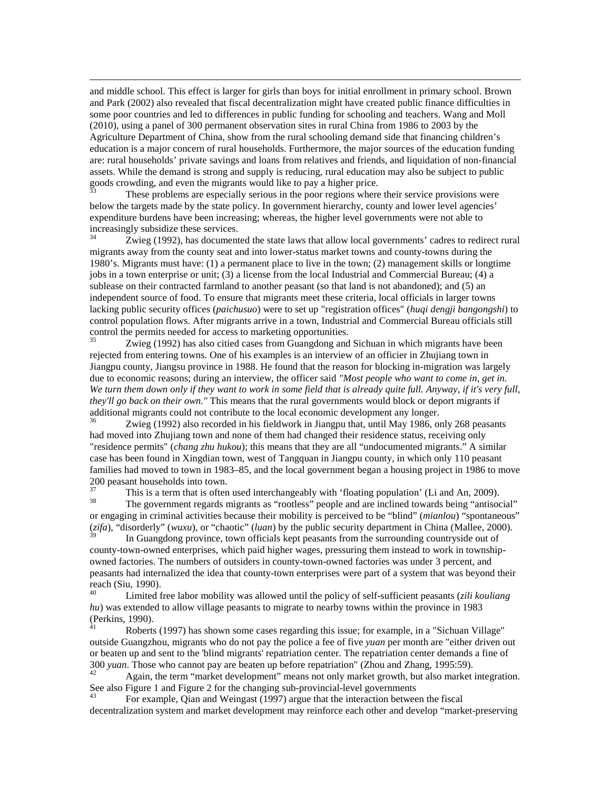and middle school. This effect is larger for girls than boys for initial enrollment in primary school. Brown and Park (2002) also revealed that fiscal decentralization might have created public finance difficulties in some poor countries and led to differences in public funding for schooling and teachers. Wang and Moll (2010), using a panel of 300 permanent observation sites in rural China from 1986 to 2003 by the Agriculture Department of China, show from the rural schooling demand side that financing children's education is a major concern of rural households. Furthermore, the major sources of the education funding are: rural households' private savings and loans from relatives and friends, and liquidation of non-financial assets. While the demand is strong and supply is reducing, rural education may also be subject to public goods crowding, and even the migrants would like to pay a higher price.

 $\overline{a}$ 

<span id="page-66-0"></span>These problems are especially serious in the poor regions where their service provisions were below the targets made by the state policy. In government hierarchy, county and lower level agencies' expenditure burdens have been increasing; whereas, the higher level governments were not able to increasingly subsidize these services.

<span id="page-66-1"></span>Zwieg (1992), has documented the state laws that allow local governments' cadres to redirect rural migrants away from the county seat and into lower-status market towns and county-towns during the 1980's. Migrants must have: (1) a permanent place to live in the town; (2) management skills or longtime jobs in a town enterprise or unit; (3) a license from the local Industrial and Commercial Bureau; (4) a sublease on their contracted farmland to another peasant (so that land is not abandoned); and (5) an independent source of food. To ensure that migrants meet these criteria, local officials in larger towns lacking public security offices (*paichusuo*) were to set up "registration offices" (*huqi dengji bangongshi*) to control population flows. After migrants arrive in a town, Industrial and Commercial Bureau officials still control the permits needed for access to marketing opportunities.<br><sup>35</sup><br>Zwieg (1002) has also gitted gases from Guangdong and

<span id="page-66-2"></span>Zwieg (1992) has also citied cases from Guangdong and Sichuan in which migrants have been rejected from entering towns. One of his examples is an interview of an officier in Zhujiang town in Jiangpu county, Jiangsu province in 1988. He found that the reason for blocking in-migration was largely due to economic reasons; during an interview, the officer said *"Most people who want to come in, get in. We turn them down only if they want to work in some field that is already quite full. Anyway, if it's very full, they'll go back on their own."* This means that the rural governments would block or deport migrants if additional migrants could not contribute to the local economic development any longer.

<span id="page-66-3"></span>Zwieg (1992) also recorded in his fieldwork in Jiangpu that, until May 1986, only 268 peasants had moved into Zhujiang town and none of them had changed their residence status, receiving only "residence permits" (*chang zhu hukou*); this means that they are all "undocumented migrants." A similar case has been found in Xingdian town, west of Tangquan in Jiangpu county, in which only 110 peasant families had moved to town in 1983–85, and the local government began a housing project in 1986 to move  $200$  peasant households into town.

<span id="page-66-5"></span><span id="page-66-4"></span> $37$  This is a term that is often used interchangeably with 'floating population' (Li and An, 2009).<br><sup>38</sup> The government regards migrants as "rootless" people and are inclined towards being "antisocial" or engaging in criminal activities because their mobility is perceived to be "blind" (*mianlou*) "spontaneous" (*zifa*), "disorderly" (*wuxu*), or "chaotic" (*luan*) by the public security department in China (Mallee, 2000).

<span id="page-66-6"></span>In Guangdong province, town officials kept peasants from the surrounding countryside out of county-town-owned enterprises, which paid higher wages, pressuring them instead to work in townshipowned factories. The numbers of outsiders in county-town-owned factories was under 3 percent, and peasants had internalized the idea that county-town enterprises were part of a system that was beyond their reach (Siu, 1990).

<span id="page-66-7"></span><sup>40</sup> Limited free labor mobility was allowed until the policy of self-sufficient peasants (*zili kouliang hu*) was extended to allow village peasants to migrate to nearby towns within the province in 1983 (Perkins, 1990).

<span id="page-66-8"></span>Roberts (1997) has shown some cases regarding this issue; for example, in a "Sichuan Village" outside Guangzhou, migrants who do not pay the police a fee of five *yuan* per month are "either driven out or beaten up and sent to the 'blind migrants' repatriation center. The repatriation center demands a fine of 300 yuan. Those who cannot pay are beaten up before repatriation" (Zhou and Zhang, 1995:59).<br><sup>42</sup> Again, the term "market development" means not only market growth, but also market integration.

<span id="page-66-9"></span>See also Figure 1 and Figure 2 for the changing sub-provincial-level governments<br>
<sup>43</sup> For example, Qian and Weingast (1997) argue that the interaction between the fiscal

<span id="page-66-10"></span>decentralization system and market development may reinforce each other and develop "market-preserving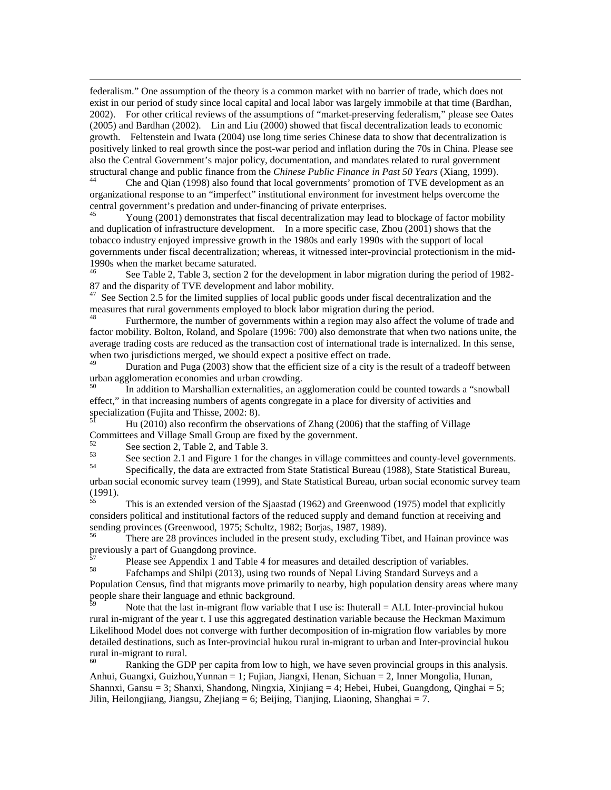$\overline{a}$ federalism." One assumption of the theory is a common market with no barrier of trade, which does not exist in our period of study since local capital and local labor was largely immobile at that time (Bardhan, 2002). For other critical reviews of the assumptions of "market-preserving federalism," please see Oates (2005) and Bardhan (2002). Lin and Liu (2000) showed that fiscal decentralization leads to economic growth. Feltenstein and Iwata (2004) use long time series Chinese data to show that decentralization is positively linked to real growth since the post-war period and inflation during the 70s in China. Please see also the Central Government's major policy, documentation, and mandates related to rural government structural change and public finance from the *Chinese Public Finance in Past 50 Years* (Xiang, 1999).<br><sup>44</sup> Che and Qian (1998) also found that local governments' promotion of TVE development as an

<span id="page-67-0"></span>organizational response to an "imperfect" institutional environment for investment helps overcome the central government's predation and under-financing of private enterprises.<br>
45 Young (2001) demonstrates that fiscal decentralization may lead to blockage of factor mobility

<span id="page-67-1"></span>and duplication of infrastructure development. In a more specific case, Zhou (2001) shows that the tobacco industry enjoyed impressive growth in the 1980s and early 1990s with the support of local governments under fiscal decentralization; whereas, it witnessed inter-provincial protectionism in the mid-1990s when the market became saturated.

<span id="page-67-2"></span>See Table 2, Table 3, section 2 for the development in labor migration during the period of 1982-87 and the disparity of TVE development and labor mobility.<br><sup>47</sup> See Section 2.5 for the limited supplies of local public goods under fiscal decentralization and the

<span id="page-67-3"></span>measures that rural governments employed to block labor migration during the period.<br><sup>48</sup> Furthermore, the number of governments within a region may also affect the volume of trade and

<span id="page-67-4"></span>factor mobility. Bolton, Roland, and Spolare (1996: 700) also demonstrate that when two nations unite, the average trading costs are reduced as the transaction cost of international trade is internalized. In this sense, when two jurisdictions merged, we should expect a positive effect on trade.

<span id="page-67-5"></span>Duration and Puga (2003) show that the efficient size of a city is the result of a tradeoff between urban agglomeration economies and urban crowding.

<span id="page-67-6"></span><sup>50</sup> In addition to Marshallian externalities, an agglomeration could be counted towards a "snowball effect," in that increasing numbers of agents congregate in a place for diversity of activities and specialization (Fujita and Thisse, 2002: 8).

<span id="page-67-7"></span><sup>51</sup> Hu (2010) also reconfirm the observations of Zhang (2006) that the staffing of Village Committees and Village Small Group are fixed by the government.

<span id="page-67-8"></span>

See section 2, Table 2, and Table 3.<br>See section 2.1 and Figure 1 for the changes in village committees and county-level governments.<br>Specifically, the data are extracted from State Statistical Bureau (1988), State Statis

<span id="page-67-10"></span><span id="page-67-9"></span>urban social economic survey team (1999), and State Statistical Bureau, urban social economic survey team (1991).<br>
<sup>55</sup>

<span id="page-67-11"></span>This is an extended version of the Sjaastad (1962) and Greenwood (1975) model that explicitly considers political and institutional factors of the reduced supply and demand function at receiving and sending provinces (Greenwood, 1975; Schultz, 1982; Borjas, 1987, 1989).

<span id="page-67-12"></span>There are 28 provinces included in the present study, excluding Tibet, and Hainan province was previously a part of Guangdong province.

<span id="page-67-13"></span> $57$  Please see Appendix 1 and Table 4 for measures and detailed description of variables.<br><sup>58</sup> Fafchamps and Shilpi (2013), using two rounds of Nepal Living Standard Surveys and a

<span id="page-67-14"></span>

Population Census, find that migrants move primarily to nearby, high population density areas where many people share their language and ethnic background.

<span id="page-67-15"></span>Note that the last in-migrant flow variable that I use is: Ihuterall  $= ALL$  Inter-provincial hukou rural in-migrant of the year t. I use this aggregated destination variable because the Heckman Maximum Likelihood Model does not converge with further decomposition of in-migration flow variables by more detailed destinations, such as Inter-provincial hukou rural in-migrant to urban and Inter-provincial hukou rural in-migrant to rural.<br><sup>60</sup> Ranking the GDP per capita from low to high, we have seven provincial groups in this analysis.

<span id="page-67-16"></span>Anhui, Guangxi, Guizhou,Yunnan = 1; Fujian, Jiangxi, Henan, Sichuan = 2, Inner Mongolia, Hunan, Shannxi, Gansu = 3; Shanxi, Shandong, Ningxia, Xinjiang = 4; Hebei, Hubei, Guangdong, Qinghai = 5; Jilin, Heilongjiang, Jiangsu, Zhejiang = 6; Beijing, Tianjing, Liaoning, Shanghai = 7.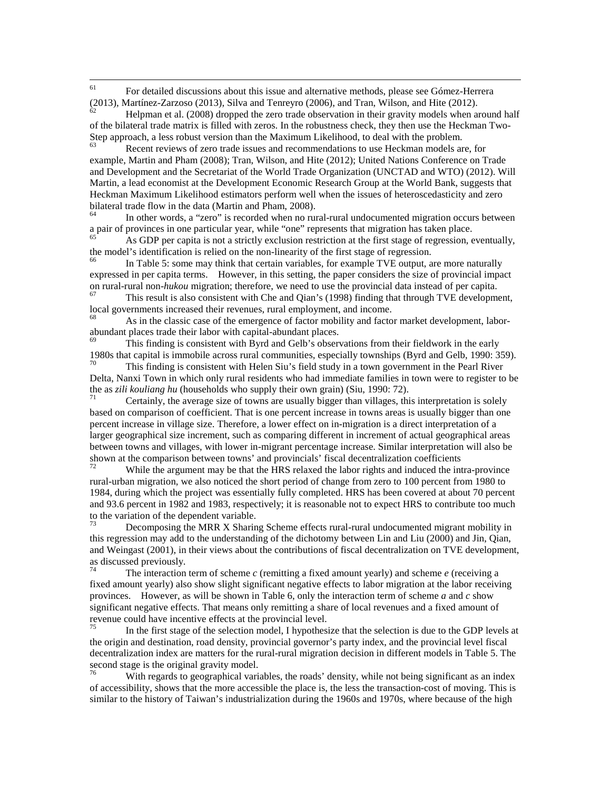<span id="page-68-0"></span><sup>61</sup> For detailed discussions about this issue and alternative methods, please see Gómez-Herrera (2013), Martínez-Zarzoso (2013), Silva and Tenreyro (2006), and Tran, Wilson, and Hite (2012).<br>  $\frac{62}{100}$  Helpman et al. (2008) dropped the zero trade observation in their gravity models when around half

<span id="page-68-1"></span>of the bilateral trade matrix is filled with zeros. In the robustness check, they then use the Heckman Two-Step approach, a less robust version than the Maximum Likelihood, to deal with the problem.

<span id="page-68-2"></span>Recent reviews of zero trade issues and recommendations to use Heckman models are, for example, Martin and Pham (2008); Tran, Wilson, and Hite (2012); United Nations Conference on Trade and Development and the Secretariat of the World Trade Organization (UNCTAD and WTO) (2012). Will Martin, a lead economist at the Development Economic Research Group at the World Bank, suggests that Heckman Maximum Likelihood estimators perform well when the issues of heteroscedasticity and zero bilateral trade flow in the data (Martin and Pham, 2008).

<span id="page-68-3"></span> $b<sup>64</sup>$  In other words, a "zero" is recorded when no rural-rural undocumented migration occurs between a pair of provinces in one particular year, while "one" represents that migration has taken place.

<span id="page-68-4"></span><sup>65</sup> As GDP per capita is not a strictly exclusion restriction at the first stage of regression, eventually, the model's identification is relied on the non-linearity of the first stage of regression.<br><sup>66</sup> In Table 5: some may think that certain variables, for example TVE output, are more naturally

<span id="page-68-5"></span>expressed in per capita terms. However, in this setting, the paper considers the size of provincial impact on rural-rural non-*hukou* migration; therefore, we need to use the provincial data instead of per capita.<br><sup>67</sup> This result is also consistent with Che and Qian's (1998) finding that through TVE development,

<span id="page-68-6"></span>local governments increased their revenues, rural employment, and income.

<span id="page-68-7"></span><sup>68</sup> As in the classic case of the emergence of factor mobility and factor market development, laborabundant places trade their labor with capital-abundant places.<br><sup>69</sup> This finding is consistent with Byrd and Gelb's observations from their fieldwork in the early

<span id="page-68-8"></span>1980s that capital is immobile across rural communities, especially townships (Byrd and Gelb, 1990: 359).

<span id="page-68-9"></span>This finding is consistent with Helen Siu's field study in a town government in the Pearl River Delta, Nanxi Town in which only rural residents who had immediate families in town were to register to be the as *zili kouliang hu* (households who supply their own grain) (Siu, 1990: 72).<br><sup>71</sup> Certainly, the average size of towns are usually bigger than villages, this interpretation is solely

<span id="page-68-10"></span>based on comparison of coefficient. That is one percent increase in towns areas is usually bigger than one percent increase in village size. Therefore, a lower effect on in-migration is a direct interpretation of a larger geographical size increment, such as comparing different in increment of actual geographical areas between towns and villages, with lower in-migrant percentage increase. Similar interpretation will also be shown at the comparison between towns' and provincials' fiscal decentralization coefficients

<span id="page-68-11"></span>While the argument may be that the HRS relaxed the labor rights and induced the intra-province rural-urban migration, we also noticed the short period of change from zero to 100 percent from 1980 to 1984, during which the project was essentially fully completed. HRS has been covered at about 70 percent and 93.6 percent in 1982 and 1983, respectively; it is reasonable not to expect HRS to contribute too much to the variation of the dependent variable.

<span id="page-68-12"></span>Decomposing the MRR X Sharing Scheme effects rural-rural undocumented migrant mobility in this regression may add to the understanding of the dichotomy between Lin and Liu (2000) and Jin, Qian, and Weingast (2001), in their views about the contributions of fiscal decentralization on TVE development, as discussed previously.<br>
The interaction form of the state of the state of the state of the state of the state of

<span id="page-68-13"></span>The interaction term of scheme  $c$  (remitting a fixed amount yearly) and scheme  $e$  (receiving a fixed amount yearly) also show slight significant negative effects to labor migration at the labor receiving provinces. However, as will be shown in Table 6, only the interaction term of scheme *a* and *c* show significant negative effects. That means only remitting a share of local revenues and a fixed amount of revenue could have incentive effects at the provincial level.

<span id="page-68-14"></span>In the first stage of the selection model, I hypothesize that the selection is due to the GDP levels at the origin and destination, road density, provincial governor's party index, and the provincial level fiscal decentralization index are matters for the rural-rural migration decision in different models in Table 5. The second stage is the original gravity model.

<span id="page-68-15"></span>With regards to geographical variables, the roads' density, while not being significant as an index of accessibility, shows that the more accessible the place is, the less the transaction-cost of moving. This is similar to the history of Taiwan's industrialization during the 1960s and 1970s, where because of the high